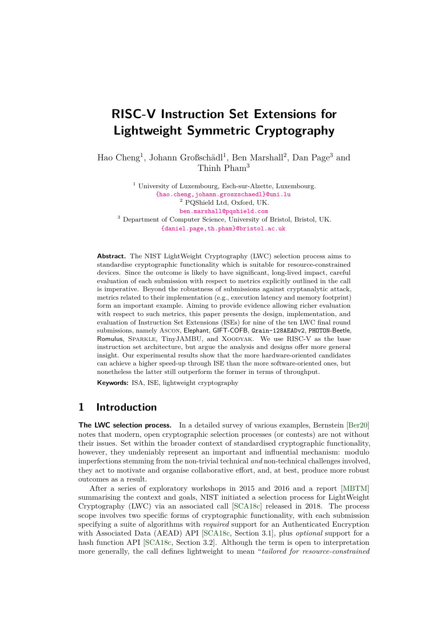# **RISC-V Instruction Set Extensions for Lightweight Symmetric Cryptography**

Hao Cheng<sup>1</sup>, Johann Großschädl<sup>1</sup>, Ben Marshall<sup>2</sup>, Dan Page<sup>3</sup> and Thinh Pham<sup>3</sup>

<sup>1</sup> University of Luxembourg, Esch-sur-Alzette, Luxembourg. <{hao.cheng,johann.groszschaedl}@uni.lu> <sup>2</sup> PQShield Ltd, Oxford, UK. <ben.marshall@pqshield.com> <sup>3</sup> Department of Computer Science, University of Bristol, Bristol, UK. <{daniel.page,th.pham}@bristol.ac.uk>

**Abstract.** The NIST LightWeight Cryptography (LWC) selection process aims to standardise cryptographic functionality which is suitable for resource-constrained devices. Since the outcome is likely to have significant, long-lived impact, careful evaluation of each submission with respect to metrics explicitly outlined in the call is imperative. Beyond the robustness of submissions against cryptanalytic attack, metrics related to their implementation (e.g., execution latency and memory footprint) form an important example. Aiming to provide evidence allowing richer evaluation with respect to such metrics, this paper presents the design, implementation, and evaluation of Instruction Set Extensions (ISEs) for nine of the ten LWC final round submissions, namely Ascon, Elephant, GIFT-COFB, Grain-128AEADv2, PHOTON-Beetle, Romulus, SPARKLE, TinyJAMBU, and XOODYAK. We use RISC-V as the base instruction set architecture, but argue the analysis and designs offer more general insight. Our experimental results show that the more hardware-oriented candidates can achieve a higher speed-up through ISE than the more software-oriented ones, but nonetheless the latter still outperform the former in terms of throughput.

**Keywords:** ISA, ISE, lightweight cryptography

## **1 Introduction**

**The LWC selection process.** In a detailed survey of various examples, Bernstein [\[Ber20\]](#page-21-0) notes that modern, open cryptographic selection processes (or contests) are not without their issues. Set within the broader context of standardised cryptographic functionality, however, they undeniably represent an important and influential mechanism: modulo imperfections stemming from the non-trivial technical *and* non-technical challenges involved, they act to motivate and organise collaborative effort, and, at best, produce more robust outcomes as a result.

After a series of exploratory workshops in 2015 and 2016 and a report [\[MBTM\]](#page-23-0) summarising the context and goals, NIST initiated a selection process for LightWeight Cryptography (LWC) via an associated call  $[SCA18c]$  released in 2018. The process scope involves two specific forms of cryptographic functionality, with each submission specifying a suite of algorithms with *required* support for an Authenticated Encryption with Associated Data (AEAD) API [\[SCA18c,](#page-24-0) Section 3.1], plus *optional* support for a hash function API [\[SCA18c,](#page-24-0) Section 3.2]. Although the term is open to interpretation more generally, the call defines lightweight to mean "*tailored for resource-constrained*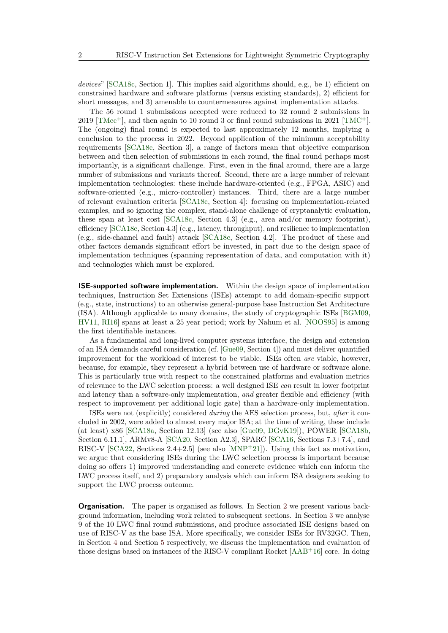*devices*" [\[SCA18c,](#page-24-0) Section 1]. This implies said algorithms should, e.g., be 1) efficient on constrained hardware and software platforms (versus existing standards), 2) efficient for short messages, and 3) amenable to countermeasures against implementation attacks.

The 56 round 1 submissions accepted were reduced to 32 round 2 submissions in 2019 [\[TMcc](#page-24-1)<sup>+</sup>], and then again to 10 round 3 or final round submissions in 2021 [\[TMC](#page-24-2)<sup>+</sup>]. The (ongoing) final round is expected to last approximately 12 months, implying a conclusion to the process in 2022. Beyond application of the minimum acceptability requirements [\[SCA18c,](#page-24-0) Section 3], a range of factors mean that objective comparison between and then selection of submissions in each round, the final round perhaps most importantly, is a significant challenge. First, even in the final around, there are a large number of submissions and variants thereof. Second, there are a large number of relevant implementation technologies: these include hardware-oriented (e.g., FPGA, ASIC) and software-oriented (e.g., micro-controller) instances. Third, there are a large number of relevant evaluation criteria [\[SCA18c,](#page-24-0) Section 4]: focusing on implementation-related examples, and so ignoring the complex, stand-alone challenge of cryptanalytic evaluation, these span at least cost [\[SCA18c,](#page-24-0) Section 4.3] (e.g., area and/or memory footprint), efficiency [\[SCA18c,](#page-24-0) Section 4.3] (e.g., latency, throughput), and resilience to implementation (e.g., side-channel and fault) attack [\[SCA18c,](#page-24-0) Section 4.2]. The product of these and other factors demands significant effort be invested, in part due to the design space of implementation techniques (spanning representation of data, and computation with it) and technologies which must be explored.

**ISE-supported software implementation.** Within the design space of implementation techniques, Instruction Set Extensions (ISEs) attempt to add domain-specific support (e.g., state, instructions) to an otherwise general-purpose base Instruction Set Architecture (ISA). Although applicable to many domains, the study of cryptographic ISEs [\[BGM09,](#page-21-1) [HV11,](#page-23-1) [RI16\]](#page-23-2) spans at least a 25 year period; work by Nahum et al. [\[NOOS95\]](#page-23-3) is among the first identifiable instances.

As a fundamental and long-lived computer systems interface, the design and extension of an ISA demands careful consideration (cf. [\[Gue09,](#page-23-4) Section 4]) and must deliver quantified improvement for the workload of interest to be viable. ISEs often *are* viable, however, because, for example, they represent a hybrid between use of hardware or software alone. This is particularly true with respect to the constrained platforms and evaluation metrics of relevance to the LWC selection process: a well designed ISE *can* result in lower footprint and latency than a software-only implementation, *and* greater flexible and efficiency (with respect to improvement per additional logic gate) than a hardware-only implementation.

ISEs were not (explicitly) considered *during* the AES selection process, but, *after* it concluded in 2002, were added to almost every major ISA; at the time of writing, these include (at least) x86 [\[SCA18a,](#page-24-3) Section 12.13] (see also [\[Gue09,](#page-23-4) [DGvK19\]](#page-22-0)), POWER [\[SCA18b,](#page-24-4) Section 6.11.1], ARMv8-A [\[SCA20,](#page-24-5) Section A2.3], SPARC [\[SCA16,](#page-24-6) Sections 7.3+7.4], and RISC-V [\[SCA22,](#page-24-7) Sections  $2.4+2.5$ ] (see also [\[MNP](#page-23-5)<sup>+</sup>21]). Using this fact as motivation, we argue that considering ISEs during the LWC selection process is important because doing so offers 1) improved understanding and concrete evidence which can inform the LWC process itself, and 2) preparatory analysis which can inform ISA designers seeking to support the LWC process outcome.

**Organisation.** The paper is organised as follows. In Section [2](#page-2-0) we present various background information, including work related to subsequent sections. In Section [3](#page-3-0) we analyse 9 of the 10 LWC final round submissions, and produce associated ISE designs based on use of RISC-V as the base ISA. More specifically, we consider ISEs for RV32GC. Then, in Section [4](#page-15-0) and Section [5](#page-17-0) respectively, we discuss the implementation and evaluation of those designs based on instances of the RISC-V compliant Rocket [\[AAB](#page-20-0)<sup>+</sup>16] core. In doing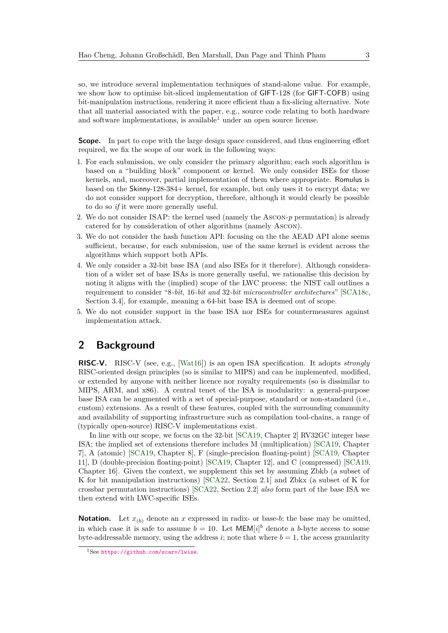so, we introduce several implementation techniques of stand-alone value. For example, we show how to optimise bit-sliced implementation of GIFT-128 (for GIFT-COFB) using bit-manipulation instructions, rendering it more efficient than a fix-slicing alternative. Note that all material associated with the paper, e.g., source code relating to both hardware and software implementations, is available<sup>[1](#page-2-1)</sup> under an open source license.

**Scope.** In part to cope with the large design space considered, and thus engineering effort required, we fix the scope of our work in the following ways:

- 1. For each submission, we only consider the primary algorithm; each such algorithm is based on a "building block" component or kernel. We only consider ISEs for those kernels, and, moreover, partial implementation of them where appropriate. Romulus is based on the Skinny-128-384+ kernel, for example, but only uses it to encrypt data; we do not consider support for decryption, therefore, although it would clearly be possible to do so *if* it were more generally useful.
- 2. We do not consider ISAP: the kernel used (namely the Ascon-*p* permutation) is already catered for by consideration of other algorithms (namely Ascon).
- 3. We do not consider the hash function API: focusing on the the AEAD API alone seems sufficient, because, for each submission, use of the same kernel is evident across the algorithms which support both APIs.
- 4. We only consider a 32-bit base ISA (and also ISEs for it therefore). Although consideration of a wider set of base ISAs is more generally useful, we rationalise this decision by noting it aligns with the (implied) scope of the LWC process: the NIST call outlines a requirement to consider "8*-bit,* 16*-bit and* 32*-bit microcontroller architectures*" [\[SCA18c,](#page-24-0) Section 3.4], for example, meaning a 64-bit base ISA is deemed out of scope.
- 5. We do not consider support in the base ISA nor ISEs for countermeasures against implementation attack.

## <span id="page-2-0"></span>**2 Background**

**RISC-V.** RISC-V (see, e.g., [\[Wat16\]](#page-24-8)) is an open ISA specification. It adopts *strongly* RISC-oriented design principles (so is similar to MIPS) and can be implemented, modified, or extended by anyone with neither licence nor royalty requirements (so is dissimilar to MIPS, ARM, and x86). A central tenet of the ISA is modularity: a general-purpose base ISA can be augmented with a set of special-purpose, standard or non-standard (i.e., custom) extensions. As a result of these features, coupled with the surrounding community and availability of supporting infrastructure such as compilation tool-chains, a range of (typically open-source) RISC-V implementations exist.

In line with our scope, we focus on the 32-bit [\[SCA19,](#page-24-9) Chapter 2] RV32GC integer base ISA; the implied set of extensions therefore includes M (multiplication) [\[SCA19,](#page-24-9) Chapter 7], A (atomic) [\[SCA19,](#page-24-9) Chapter 8], F (single-precision floating-point) [\[SCA19,](#page-24-9) Chapter 11], D (double-precision floating-point) [\[SCA19,](#page-24-9) Chapter 12], and C (compressed) [\[SCA19,](#page-24-9) Chapter 16]. Given the context, we supplement this set by assuming Zbkb (a subset of K for bit manipulation instructions) [\[SCA22,](#page-24-7) Section 2.1] and Zbkx (a subset of K for crossbar permutation instructions) [\[SCA22,](#page-24-7) Section 2.2] *also* form part of the base ISA we then extend with LWC-specific ISEs.

**Notation.** Let  $x_{(b)}$  denote an  $x$  expressed in radix- or base-*b*; the base may be omitted, in which case it is safe to assume  $b = 10$ . Let  $\text{MEM}[i]$ <sup>b</sup> denote a *b*-byte access to some byte-addressable memory, using the address  $i$ ; note that where  $b = 1$ , the access granularity

<span id="page-2-1"></span><sup>1</sup>See <https://github.com/scarv/lwise>.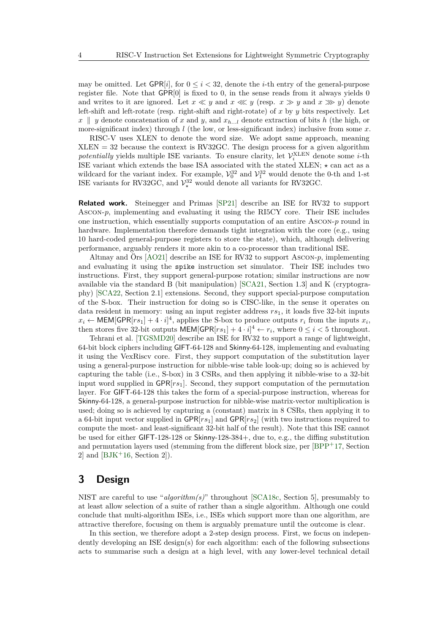may be omitted. Let  $\mathsf{GPR}[i]$ , for  $0 \leq i < 32$ , denote the *i*-th entry of the general-purpose register file. Note that GPR[0] is fixed to 0, in the sense reads from it always yields 0 and writes to it are ignored. Let  $x \ll y$  and  $x \ll y$  (resp.  $x \gg y$  and  $x \gg y$ ) denote left-shift and left-rotate (resp. right-shift and right-rotate) of *x* by *y* bits respectively. Let  $x \parallel y$  denote concatenation of *x* and *y*, and  $x_{h...l}$  denote extraction of bits *h* (the high, or more-significant index) through *l* (the low, or less-significant index) inclusive from some *x*.

RISC-V uses XLEN to denote the word size. We adopt same approach, meaning  $XLEN = 32$  because the context is RV32GC. The design process for a given algorithm *potentially* yields multiple ISE variants. To ensure clarity, let  $\mathcal{V}_i^{\text{XLEN}}$  denote some *i*-th ISE variant which extends the base ISA associated with the stated XLEN; *⋆* can act as a wildcard for the variant index. For example,  $\mathcal{V}_0^{32}$  and  $\mathcal{V}_1^{32}$  would denote the 0-th and 1-st ISE variants for RV32GC, and  $\mathcal{V}_{\star}^{32}$  would denote all variants for RV32GC.

**Related work.** Steinegger and Primas [\[SP21\]](#page-24-10) describe an ISE for RV32 to support Ascon-*p*, implementing and evaluating it using the RI5CY core. Their ISE includes one instruction, which essentially supports computation of an entire Ascon-*p* round in hardware. Implementation therefore demands tight integration with the core (e.g., using 10 hard-coded general-purpose registers to store the state), which, although delivering performance, arguably renders it more akin to a co-processor than traditional ISE.

Altınay and Örs [\[AO21\]](#page-20-1) describe an ISE for RV32 to support Ascon-*p*, implementing and evaluating it using the spike instruction set simulator. Their ISE includes two instructions. First, they support general-purpose rotation; similar instructions are now available via the standard B (bit manipulation) [\[SCA21,](#page-24-11) Section 1.3] and K (cryptography) [\[SCA22,](#page-24-7) Section 2.1] extensions. Second, they support special-purpose computation of the S-box. Their instruction for doing so is CISC-like, in the sense it operates on data resident in memory: using an input register address *rs*1, it loads five 32-bit inputs  $x_i \leftarrow \text{MEM}[GPR[rs_1] + 4 \cdot i]^4$ , applies the S-box to produce outputs  $r_i$  from the inputs  $x_i$ , then stores five 32-bit outputs  $MEM[GPR[rs_1] + 4 \cdot i]^4 \leftarrow r_i$ , where  $0 \le i < 5$  throughout.

Tehrani et al. [\[TGSMD20\]](#page-24-12) describe an ISE for RV32 to support a range of lightweight, 64-bit block ciphers including GIFT-64-128 and Skinny-64-128, implementing and evaluating it using the VexRiscv core. First, they support computation of the substitution layer using a general-purpose instruction for nibble-wise table look-up; doing so is achieved by capturing the table (i.e., S-box) in 3 CSRs, and then applying it nibble-wise to a 32-bit input word supplied in GPR[*rs*1]. Second, they support computation of the permutation layer. For GIFT-64-128 this takes the form of a special-purpose instruction, whereas for Skinny-64-128, a general-purpose instruction for nibble-wise matrix-vector multiplication is used; doing so is achieved by capturing a (constant) matrix in 8 CSRs, then applying it to a 64-bit input vector supplied in GPR[*rs*1] and GPR[*rs*2] (with two instructions required to compute the most- and least-significant 32-bit half of the result). Note that this ISE cannot be used for either GIFT-128-128 or Skinny-128-384+, due to, e.g., the diffing substitution and permutation layers used (stemming from the different block size, per [\[BPP](#page-22-1)<sup>+</sup>17, Section 2] and  $[BJK^+16, Section 2]$  $[BJK^+16, Section 2]$ .

### <span id="page-3-0"></span>**3 Design**

NIST are careful to use "*algorithm(s)*" throughout [\[SCA18c,](#page-24-0) Section 5], presumably to at least allow selection of a suite of rather than a single algorithm. Although one could conclude that multi-algorithm ISEs, i.e., ISEs which support more than one algorithm, are attractive therefore, focusing on them is arguably premature until the outcome is clear.

In this section, we therefore adopt a 2-step design process. First, we focus on independently developing an ISE design(s) for each algorithm: each of the following subsections acts to summarise such a design at a high level, with any lower-level technical detail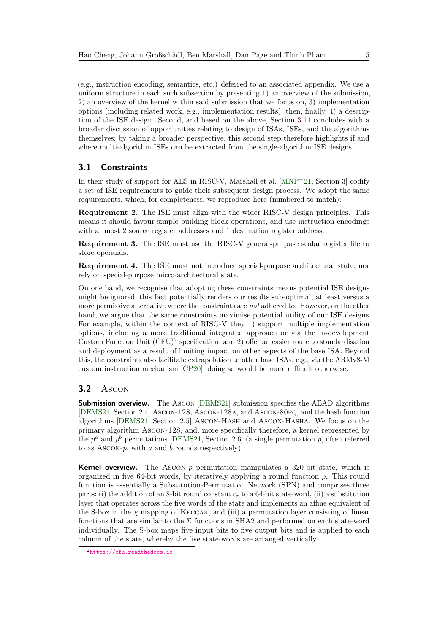(e.g., instruction encoding, semantics, etc.) deferred to an associated appendix. We use a uniform structure in each such subsection by presenting 1) an overview of the submission, 2) an overview of the kernel within said submission that we focus on, 3) implementation options (including related work, e.g., implementation results), then, finally, 4) a description of the ISE design. Second, and based on the above, Section [3.11](#page-12-0) concludes with a broader discussion of opportunities relating to design of ISAs, ISEs, and the algorithms themselves; by taking a broader perspective, this second step therefore highlights if and where multi-algorithm ISEs can be extracted from the single-algorithm ISE designs.

### <span id="page-4-1"></span>**3.1 Constraints**

In their study of support for AES in RISC-V, Marshall et al.  $[MNP<sup>+</sup>21$  $[MNP<sup>+</sup>21$ , Section 3] codify a set of ISE requirements to guide their subsequent design process. We adopt the same requirements, which, for completeness, we reproduce here (numbered to match):

**Requirement 2.** The ISE must align with the wider RISC-V design principles. This means it should favour simple building-block operations, and use instruction encodings with at most 2 source register addresses and 1 destination register address.

**Requirement 3.** The ISE must use the RISC-V general-purpose scalar register file to store operands.

**Requirement 4.** The ISE must not introduce special-purpose architectural state, nor rely on special-purpose micro-architectural state.

On one hand, we recognise that adopting these constraints means potential ISE designs might be ignored; this fact potentially renders our results sub-optimal, at least versus a more permissive alternative where the constraints are *not* adhered to. However, on the other hand, we argue that the same constraints maximise potential utility of our ISE designs. For example, within the context of RISC-V they 1) support multiple implementation options, including a more traditional integrated approach or via the in-development Custom Function Unit  $(CFU)^2$  $(CFU)^2$  specification, and 2) offer an easier route to standardisation and deployment as a result of limiting impact on other aspects of the base ISA. Beyond this, the constraints also facilitate extrapolation to other base ISAs, e.g., via the ARMv8-M custom instruction mechanism [\[CP20\]](#page-22-2); doing so would be more difficult otherwise.

### **3.2** Ascon

**Submission overview.** The Ascon [\[DEMS21\]](#page-22-3) submission specifies the AEAD algorithms [\[DEMS21,](#page-22-3) Section 2.4] Ascon-128, Ascon-128a, and Ascon-80pq, and the hash function algorithms [\[DEMS21,](#page-22-3) Section 2.5] Ascon-Hash and Ascon-Hasha. We focus on the primary algorithm Ascon-128, and, more specifically therefore, a kernel represented by the  $p^a$  and  $p^b$  permutations [\[DEMS21,](#page-22-3) Section 2.6] (a single permutation  $p$ , often referred to as Ascon-*p*, with *a* and *b* rounds respectively).

**Kernel overview.** The Ascon-*p* permutation manipulates a 320-bit state, which is organized in five 64-bit words, by iteratively applying a round function *p*. This round function is essentially a Substitution-Permutation Network (SPN) and comprises three parts: (i) the addition of an 8-bit round constant *c<sup>r</sup>* to a 64-bit state-word, (ii) a substitution layer that operates across the five words of the state and implements an affine equivalent of the S-box in the  $\chi$  mapping of KECCAK, and (iii) a permutation layer consisting of linear functions that are similar to the  $\Sigma$  functions in SHA2 and performed on each state-word individually. The S-box maps five input bits to five output bits and is applied to each column of the state, whereby the five state-words are arranged vertically.

<span id="page-4-0"></span><sup>2</sup><https://cfu.readthedocs.io>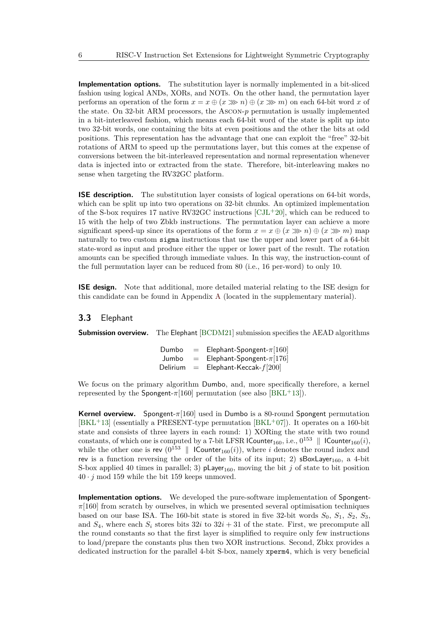**Implementation options.** The substitution layer is normally implemented in a bit-sliced fashion using logical ANDs, XORs, and NOTs. On the other hand, the permutation layer performs an operation of the form  $x = x \oplus (x \ggg n) \oplus (x \ggg m)$  on each 64-bit word x of the state. On 32-bit ARM processors, the Ascon-*p* permutation is usually implemented in a bit-interleaved fashion, which means each 64-bit word of the state is split up into two 32-bit words, one containing the bits at even positions and the other the bits at odd positions. This representation has the advantage that one can exploit the "free" 32-bit rotations of ARM to speed up the permutations layer, but this comes at the expense of conversions between the bit-interleaved representation and normal representation whenever data is injected into or extracted from the state. Therefore, bit-interleaving makes no sense when targeting the RV32GC platform.

**ISE description.** The substitution layer consists of logical operations on 64-bit words, which can be split up into two operations on 32-bit chunks. An optimized implementation of the S-box requires 17 native RV32GC instructions  $\left[\text{CJL}^{\text{+}}20\right]$ , which can be reduced to 15 with the help of two Zbkb instructions. The permutation layer can achieve a more significant speed-up since its operations of the form  $x = x \oplus (x \ggg n) \oplus (x \ggg m)$  map naturally to two custom sigma instructions that use the upper and lower part of a 64-bit state-word as input and produce either the upper or lower part of the result. The rotation amounts can be specified through immediate values. In this way, the instruction-count of the full permutation layer can be reduced from 80 (i.e., 16 per-word) to only 10.

**ISE design.** Note that additional, more detailed material relating to the ISE design for this candidate can be found in Appendix [A](#page-26-0) (located in the supplementary material).

#### **3.3** Elephant

**Submission overview.** The Elephant [\[BCDM21\]](#page-21-3) submission specifies the AEAD algorithms

Dumbo = Elephant-Spongent-*π*[160] Jumbo = Elephant-Spongent-*π*[176] Delirium = Elephant-Keccak-*f*[200]

We focus on the primary algorithm Dumbo, and, more specifically therefore, a kernel represented by the Spongent- $\pi$ [160] permutation (see also [\[BKL](#page-22-5)<sup>+</sup>13]).

**Kernel overview.** Spongent-*π*[160] used in Dumbo is a 80-round Spongent permutation  $[BKL+13]$  $[BKL+13]$  (essentially a PRESENT-type permutation  $[BKL+07]$ ). It operates on a 160-bit state and consists of three layers in each round: 1) XORing the state with two round constants, of which one is computed by a 7-bit LFSR  $\mathsf{ICounter}_{160}, \, \mathrm{i.e.,}\, 0^{153} \; \parallel \; \mathsf{ICounter}_{160}(i),$ while the other one is rev  $(0^{153} \parallel \text{ICounter}_{160}(i))$ , where *i* denotes the round index and rev is a function reversing the order of the bits of its input; 2)  $sBox{Layer_{160}}$ , a 4-bit S-box applied 40 times in parallel; 3) pLayer<sub>160</sub>, moving the bit *j* of state to bit position  $40 \cdot j \mod 159$  while the bit 159 keeps unmoved.

**Implementation options.** We developed the pure-software implementation of Spongent- $\pi$ [160] from scratch by ourselves, in which we presented several optimisation techniques based on our base ISA. The 160-bit state is stored in five 32-bit words  $S_0$ ,  $S_1$ ,  $S_2$ ,  $S_3$ , and  $S_4$ , where each  $S_i$  stores bits  $32i$  to  $32i + 31$  of the state. First, we precompute all the round constants so that the first layer is simplified to require only few instructions to load/prepare the constants plus then two XOR instructions. Second, Zbkx provides a dedicated instruction for the parallel 4-bit S-box, namely xperm4, which is very beneficial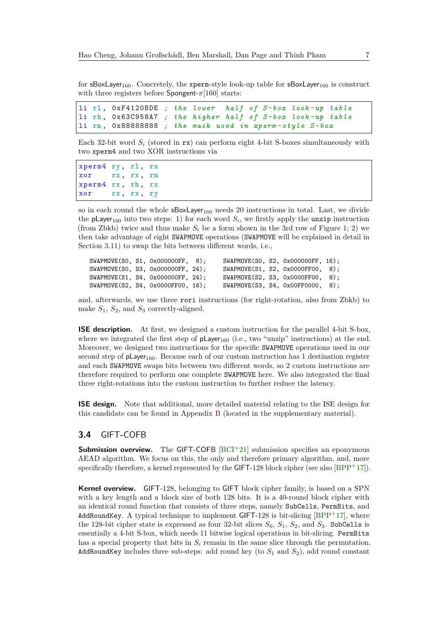for  $sBoxLayer_{160}$ . Concretely, the xperm-style look-up table for  $sBoxLayer_{160}$  is construct with three registers before Spongent-*π*[160] starts:

```
li rl , 0xF4120BDE ; the lower half of S-box look -up table
li rh , 0x63C958A7 ; the higher half of S-box look -up table
li rm , 0x88888888 ; the mask used in xperm - style S-box
```
Each 32-bit word  $S_i$  (stored in  $rx$ ) can perform eight 4-bit S-boxes simultaneously with two xperm4 and two XOR instructions via

```
xperm4 ry, rl, rx
xor rx , rx , rm
xperm4 rx , rh , rx
xor rx, rx, ry
```
so in each round the whole  $sBoxLayer_{160}$  needs 20 instructions in total. Last, we divide the player<sub>160</sub> into two steps: 1) for each word  $S_i$ , we firstly apply the unzip instruction (from Zbkb) twice and thus make  $S_i$  be a form shown in the 3rd row of Figure [1;](#page-7-0) 2) we then take advantage of eight SWAPMOVE operations (SWAPMOVE will be explained in detail in Section [3.11\)](#page-12-0) to swap the bits between different words, i.e.,

| SWAPMOVE(SO, S1, 0x000000FF, 8);  |  | SWAPMOVE(SO, S2, 0x000000FF, 16);   |  |
|-----------------------------------|--|-------------------------------------|--|
| SWAPMOVE(SO, S3, 0x000000FF, 24); |  | $SWAPMOWE(S1, S2, 0x0000FF00, 8)$ : |  |
| SWAPMOVE(S1, S4, 0x000000FF, 24); |  | SWAPMOVE(S2, S3, 0x0000FF00, 8);    |  |
| SWAPMOVE(S2, S4, 0x0000FF00, 16); |  | SWAPMOVE(S3, S4, 0x00FF0000, 8);    |  |
|                                   |  |                                     |  |

and, afterwards, we use three rori instructions (for right-rotation, also from Zbkb) to make  $S_1$ ,  $S_2$ , and  $S_3$  correctly-aligned.

**ISE description.** At first, we designed a custom instruction for the parallel 4-bit S-box, where we integrated the first step of  $player_{160}$  (i.e., two "unzip" instructions) at the end. Moreover, we designed two instructions for the specific SWAPMOVE operations used in our second step of  $p\text{Layer}_{160}$ . Because each of our custom instruction has 1 destination register and each SWAPMOVE swaps bits between two different words, so 2 custom instructions are therefore required to perform one complete SWAPMOVE here. We also integrated the final three right-rotations into the custom instruction to further reduce the latency.

**ISE design.** Note that additional, more detailed material relating to the ISE design for this candidate can be found in Appendix [B](#page-27-0) (located in the supplementary material).

### **3.4** GIFT**-**COFB

**Submission overview.** The GIFT-COFB [\[BCI](#page-21-5)<sup>+</sup>21] submission specifies an eponymous AEAD algorithm. We focus on this, the only and therefore primary algorithm, and, more specifically therefore, a kernel represented by the GIFT-128 block cipher (see also  $[BPP+17]$  $[BPP+17]$ ).

**Kernel overview.** GIFT-128, belonging to GIFT block cipher family, is based on a SPN with a key length and a block size of both 128 bits. It is a 40-round block cipher with an identical round function that consists of three steps, namely SubCells, PermBits, and AddRoundKey. A typical technique to implement  $GIFT-128$  is bit-slicing  $[BPP+17]$  $[BPP+17]$ , where the 128-bit cipher state is expressed as four 32-bit slices  $S_0$ ,  $S_1$ ,  $S_2$ , and  $S_3$ . SubCells is essentially a 4-bit S-box, which needs 11 bitwise logical operations in bit-slicing. PermBits has a special property that bits in *S<sup>i</sup>* remain in the same slice through the permutation. AddRoundKey includes three sub-steps: add round key (to  $S_1$  and  $S_2$ ), add round constant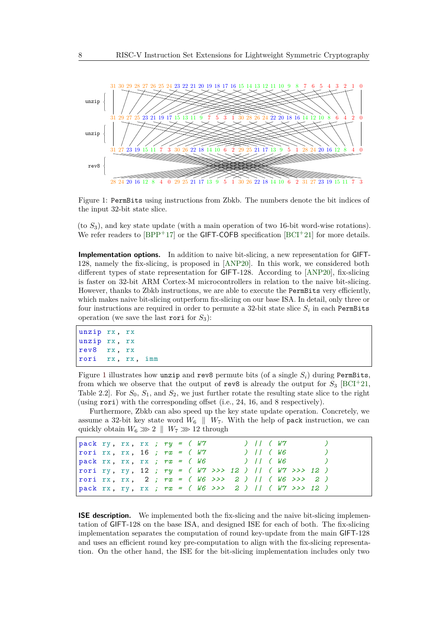<span id="page-7-0"></span>

Figure 1: PermBits using instructions from Zbkb. The numbers denote the bit indices of the input 32-bit state slice.

(to *S*3), and key state update (with a main operation of two 16-bit word-wise rotations). We refer readers to  $[BPP+17]$  $[BPP+17]$  or the GIFT-COFB specification  $[BCI+21]$  $[BCI+21]$  for more details.

**Implementation options.** In addition to naive bit-slicing, a new representation for GIFT-128, namely the fix-slicing, is proposed in [\[ANP20\]](#page-20-2). In this work, we considered both different types of state representation for GIFT-128. According to [\[ANP20\]](#page-20-2), fix-slicing is faster on 32-bit ARM Cortex-M microcontrollers in relation to the naive bit-slicing. However, thanks to Zbkb instructions, we are able to execute the PermBits very efficiently, which makes naive bit-slicing outperform fix-slicing on our base ISA. In detail, only three or four instructions are required in order to permute a 32-bit state slice  $S_i$  in each PermBits operation (we save the last rori for *S*3):

```
unzip rx , rx
unzip rx , rx
rev8 rx, rx
rori rx, rx, imm
```
Figure [1](#page-7-0) illustrates how unzip and rev8 permute bits (of a single *Si*) during PermBits, from which we observe that the output of rev8 is already the output for  $S_3$  [\[BCI](#page-21-5)<sup>+</sup>21, Table 2.2]. For  $S_0$ ,  $S_1$ , and  $S_2$ , we just further rotate the resulting state slice to the right (using rori) with the corresponding offset (i.e., 24, 16, and 8 respectively).

Furthermore, Zbkb can also speed up the key state update operation. Concretely, we assume a 32-bit key state word  $W_6 \parallel W_7$ . With the help of pack instruction, we can quickly obtain  $W_6 \gg 2 \parallel W_7 \gg 12$  through

| pack ry, rx, rx ; $ry = (W7)$                        |  |  |  |  |  | $\left( \begin{array}{c} \n\end{array} \right)$ $\left( \begin{array}{c} \n\end{array} \right)$ $\left( \begin{array}{c} \n\end{array} \right)$ |  |        |  |
|------------------------------------------------------|--|--|--|--|--|-------------------------------------------------------------------------------------------------------------------------------------------------|--|--------|--|
| rori $rx$ , $rx$ , $16$ ; $rx = (W7)$                |  |  |  |  |  |                                                                                                                                                 |  | 11(W6) |  |
| pack rx, rx, rx ; $rx = (W6)$ / / (W6)               |  |  |  |  |  |                                                                                                                                                 |  |        |  |
| rori ry, ry, 12 ; $ry = (W7 >> 12)$ // (W7 >>> 12)   |  |  |  |  |  |                                                                                                                                                 |  |        |  |
| rori rx, rx, 2; $rx = (W6 >> 2)$ // ( $W6 >> 2$ )    |  |  |  |  |  |                                                                                                                                                 |  |        |  |
| pack rx, ry, rx ; $rx = (W6 >> 2)$ // ( $W7 >> 12$ ) |  |  |  |  |  |                                                                                                                                                 |  |        |  |

**ISE description.** We implemented both the fix-slicing and the naive bit-slicing implementation of GIFT-128 on the base ISA, and designed ISE for each of both. The fix-slicing implementation separates the computation of round key-update from the main GIFT-128 and uses an efficient round key pre-computation to align with the fix-slicing representation. On the other hand, the ISE for the bit-slicing implementation includes only two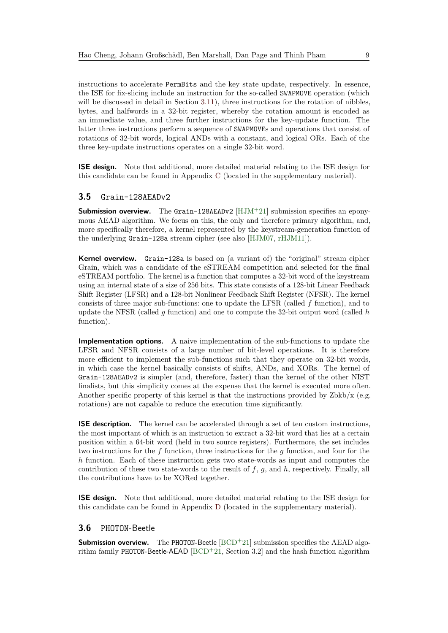instructions to accelerate PermBits and the key state update, respectively. In essence, the ISE for fix-slicing include an instruction for the so-called SWAPMOVE operation (which will be discussed in detail in Section [3.11\)](#page-12-0), three instructions for the rotation of nibbles, bytes, and halfwords in a 32-bit register, whereby the rotation amount is encoded as an immediate value, and three further instructions for the key-update function. The latter three instructions perform a sequence of SWAPMOVEs and operations that consist of rotations of 32-bit words, logical ANDs with a constant, and logical ORs. Each of the three key-update instructions operates on a single 32-bit word.

**ISE design.** Note that additional, more detailed material relating to the ISE design for this candidate can be found in Appendix [C](#page-29-0) (located in the supplementary material).

#### **3.5** Grain-128AEADv2

**Submission overview.** The Grain-128AEADv2 [\[HJM](#page-23-6)<sup>+</sup>21] submission specifies an eponymous AEAD algorithm. We focus on this, the only and therefore primary algorithm, and, more specifically therefore, a kernel represented by the keystream-generation function of the underlying Grain-128a stream cipher (see also [\[HJM07,](#page-23-7) [rHJM11\]](#page-23-8)).

**Kernel overview.** Grain-128a is based on (a variant of) the "original" stream cipher Grain, which was a candidate of the eSTREAM competition and selected for the final eSTREAM portfolio. The kernel is a function that computes a 32-bit word of the keystream using an internal state of a size of 256 bits. This state consists of a 128-bit Linear Feedback Shift Register (LFSR) and a 128-bit Nonlinear Feedback Shift Register (NFSR). The kernel consists of three major sub-functions: one to update the LFSR (called *f* function), and to update the NFSR (called *g* function) and one to compute the 32-bit output word (called *h* function).

**Implementation options.** A naive implementation of the sub-functions to update the LFSR and NFSR consists of a large number of bit-level operations. It is therefore more efficient to implement the sub-functions such that they operate on 32-bit words, in which case the kernel basically consists of shifts, ANDs, and XORs. The kernel of Grain-128AEADv2 is simpler (and, therefore, faster) than the kernel of the other NIST finalists, but this simplicity comes at the expense that the kernel is executed more often. Another specific property of this kernel is that the instructions provided by  $Zbkb/x$  (e.g. rotations) are not capable to reduce the execution time significantly.

**ISE description.** The kernel can be accelerated through a set of ten custom instructions, the most important of which is an instruction to extract a 32-bit word that lies at a certain position within a 64-bit word (held in two source registers). Furthermore, the set includes two instructions for the *f* function, three instructions for the *g* function, and four for the *h* function. Each of these instruction gets two state-words as input and computes the contribution of these two state-words to the result of *f*, *g*, and *h*, respectively. Finally, all the contributions have to be XORed together.

**ISE design.** Note that additional, more detailed material relating to the ISE design for this candidate can be found in Appendix [D](#page-32-0) (located in the supplementary material).

#### **3.6** PHOTON**-**Beetle

**Submission overview.** The PHOTON-Beetle [\[BCD](#page-21-6)<sup>+</sup>21] submission specifies the AEAD algorithm family PHOTON-Beetle-AEAD  $[BCD+21, Section 3.2]$  $[BCD+21, Section 3.2]$  and the hash function algorithm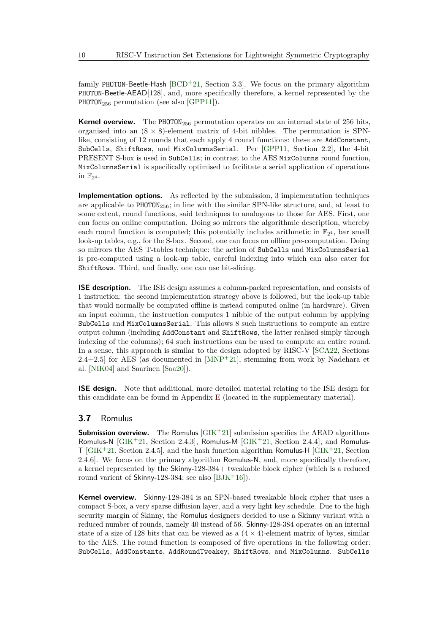family PHOTON-Beetle-Hash  $[BCD+21, Section 3.3]$  $[BCD+21, Section 3.3]$ . We focus on the primary algorithm PHOTON-Beetle-AEAD[128], and, more specifically therefore, a kernel represented by the PHOTON<sub>256</sub> permutation (see also [\[GPP11\]](#page-22-6)).

**Kernel overview.** The PHOTON<sub>256</sub> permutation operates on an internal state of 256 bits, organised into an  $(8 \times 8)$ -element matrix of 4-bit nibbles. The permutation is SPNlike, consisting of 12 rounds that each apply 4 round functions: these are AddConstant, SubCells, ShiftRows, and MixColumnsSerial. Per [\[GPP11,](#page-22-6) Section 2.2], the 4-bit PRESENT S-box is used in SubCells; in contrast to the AES MixColumns round function, MixColumnsSerial is specifically optimised to facilitate a serial application of operations in  $\mathbb{F}_{2^4}$ .

**Implementation options.** As reflected by the submission, 3 implementation techniques are applicable to  $PHOTON<sub>256</sub>$ ; in line with the similar SPN-like structure, and, at least to some extent, round functions, said techniques to analogous to those for AES. First, one can focus on online computation. Doing so mirrors the algorithmic description, whereby each round function is computed; this potentially includes arithmetic in  $\mathbb{F}_{2^4}$ , bar small look-up tables, e.g., for the S-box. Second, one can focus on offline pre-computation. Doing so mirrors the AES T-tables technique: the action of SubCells and MixColumnsSerial is pre-computed using a look-up table, careful indexing into which can also cater for ShiftRows. Third, and finally, one can use bit-slicing.

**ISE description.** The ISE design assumes a column-packed representation, and consists of 1 instruction: the second implementation strategy above is followed, but the look-up table that would normally be computed offline is instead computed online (in hardware). Given an input column, the instruction computes 1 nibble of the output column by applying SubCells and MixColumnsSerial. This allows 8 such instructions to compute an entire output column (including AddConstant and ShiftRows, the latter realised simply through indexing of the columns); 64 such instructions can be used to compute an entire round. In a sense, this approach is similar to the design adopted by RISC-V [\[SCA22,](#page-24-7) Sections  $2.4+2.5$ ] for AES (as documented in [\[MNP](#page-23-5)+21], stemming from work by Nadehara et al. [\[NIK04\]](#page-23-9) and Saarinen [\[Saa20\]](#page-23-10)).

**ISE design.** Note that additional, more detailed material relating to the ISE design for this candidate can be found in Appendix [E](#page-34-0) (located in the supplementary material).

### **3.7** Romulus

**Submission overview.** The Romulus  $[GIK^+21]$  $[GIK^+21]$  submission specifies the AEAD algorithms Romulus-N  $[GIK<sup>+</sup>21, Section 2.4.3],$  $[GIK<sup>+</sup>21, Section 2.4.3],$  Romulus-M  $[GIK<sup>+</sup>21, Section 2.4.4],$  and Romulus- $\mathsf{T}$  [\[GIK](#page-22-7)<sup>+</sup>21, Section 2.4.5], and the hash function algorithm Romulus-H [GIK<sup>+</sup>21, Section 2.4.6]. We focus on the primary algorithm Romulus-N, and, more specifically therefore, a kernel represented by the Skinny-128-384+ tweakable block cipher (which is a reduced round varient of Skinny-128-384; see also  $[BJK^+16]$  $[BJK^+16]$ .

**Kernel overview.** Skinny-128-384 is an SPN-based tweakable block cipher that uses a compact S-box, a very sparse diffusion layer, and a very light key schedule. Due to the high security margin of Skinny, the Romulus designers decided to use a Skinny variant with a reduced number of rounds, namely 40 instead of 56. Skinny-128-384 operates on an internal state of a size of 128 bits that can be viewed as a  $(4 \times 4)$ -element matrix of bytes, similar to the AES. The round function is composed of five operations in the following order: SubCells, AddConstants, AddRoundTweakey, ShiftRows, and MixColumns. SubCells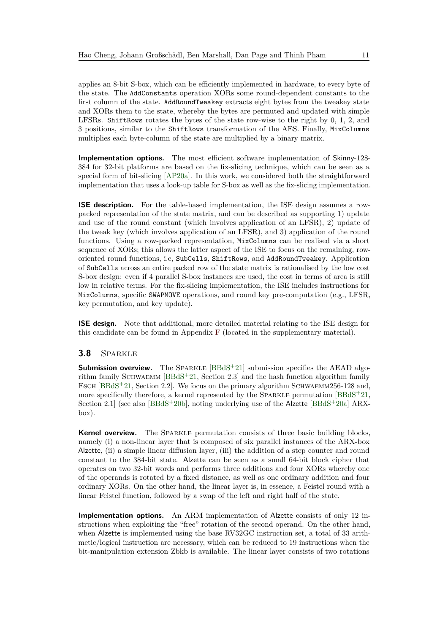applies an 8-bit S-box, which can be efficiently implemented in hardware, to every byte of the state. The AddConstants operation XORs some round-dependent constants to the first column of the state. AddRoundTweakey extracts eight bytes from the tweakey state and XORs them to the state, whereby the bytes are permuted and updated with simple LFSRs. ShiftRows rotates the bytes of the state row-wise to the right by 0, 1, 2, and 3 positions, similar to the ShiftRows transformation of the AES. Finally, MixColumns multiplies each byte-column of the state are multiplied by a binary matrix.

**Implementation options.** The most efficient software implementation of Skinny-128- 384 for 32-bit platforms are based on the fix-slicing technique, which can be seen as a special form of bit-slicing [\[AP20a\]](#page-20-3). In this work, we considered both the straightforward implementation that uses a look-up table for S-box as well as the fix-slicing implementation.

**ISE description.** For the table-based implementation, the ISE design assumes a rowpacked representation of the state matrix, and can be described as supporting 1) update and use of the round constant (which involves application of an LFSR), 2) update of the tweak key (which involves application of an LFSR), and 3) application of the round functions. Using a row-packed representation, MixColumns can be realised via a short sequence of XORs; this allows the latter aspect of the ISE to focus on the remaining, roworiented round functions, i.e, SubCells, ShiftRows, and AddRoundTweakey. Application of SubCells across an entire packed row of the state matrix is rationalised by the low cost S-box design: even if 4 parallel S-box instances are used, the cost in terms of area is still low in relative terms. For the fix-slicing implementation, the ISE includes instructions for MixColumns, specific SWAPMOVE operations, and round key pre-computation (e.g., LFSR, key permutation, and key update).

**ISE design.** Note that additional, more detailed material relating to the ISE design for this candidate can be found in Appendix [F](#page-35-0) (located in the supplementary material).

### **3.8** Sparkle

**Submission overview.** The SPARKLE [\[BBdS](#page-21-7)<sup>+</sup>21] submission specifies the AEAD algorithm family SCHWAEMM  $[BBdS+21, Section 2.3]$  $[BBdS+21, Section 2.3]$  and the hash function algorithm family ESCH  $[BBdS+21, Section 2.2]$  $[BBdS+21, Section 2.2]$ . We focus on the primary algorithm SCHWAEMM256-128 and, more specifically therefore, a kernel represented by the SPARKLE permutation  $[BBdS^+21,$  $[BBdS^+21,$ Section 2.1 (see also [\[BBdS](#page-21-9)+20b], noting underlying use of the Alzette [BBdS+20a] ARXbox).

**Kernel overview.** The SPARKLE permutation consists of three basic building blocks, namely (i) a non-linear layer that is composed of six parallel instances of the ARX-box Alzette, (ii) a simple linear diffusion layer, (iii) the addition of a step counter and round constant to the 384-bit state. Alzette can be seen as a small 64-bit block cipher that operates on two 32-bit words and performs three additions and four XORs whereby one of the operands is rotated by a fixed distance, as well as one ordinary addition and four ordinary XORs. On the other hand, the linear layer is, in essence, a Feistel round with a linear Feistel function, followed by a swap of the left and right half of the state.

**Implementation options.** An ARM implementation of Alzette consists of only 12 instructions when exploiting the "free" rotation of the second operand. On the other hand, when Alzette is implemented using the base RV32GC instruction set, a total of 33 arithmetic/logical instruction are necessary, which can be reduced to 19 instructions when the bit-manipulation extension Zbkb is available. The linear layer consists of two rotations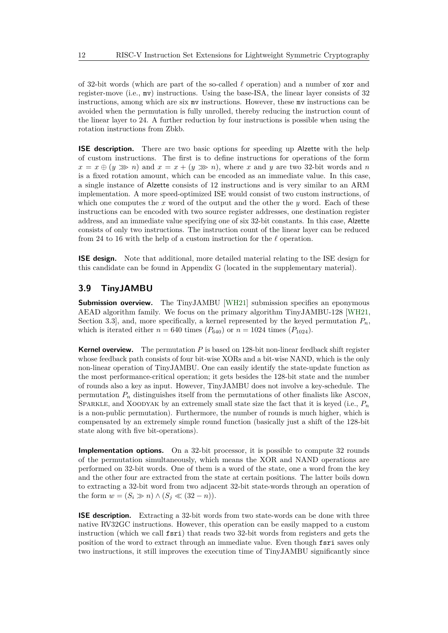of 32-bit words (which are part of the so-called *ℓ* operation) and a number of xor and register-move (i.e., mv) instructions. Using the base-ISA, the linear layer consists of 32 instructions, among which are six mv instructions. However, these mv instructions can be avoided when the permutation is fully unrolled, thereby reducing the instruction count of the linear layer to 24. A further reduction by four instructions is possible when using the rotation instructions from Zbkb.

**ISE description.** There are two basic options for speeding up Alzette with the help of custom instructions. The first is to define instructions for operations of the form  $x = x \oplus (y \ggg n)$  and  $x = x + (y \ggg n)$ , where *x* and *y* are two 32-bit words and *n* is a fixed rotation amount, which can be encoded as an immediate value. In this case, a single instance of Alzette consists of 12 instructions and is very similar to an ARM implementation. A more speed-optimized ISE would consist of two custom instructions, of which one computes the *x* word of the output and the other the *y* word. Each of these instructions can be encoded with two source register addresses, one destination register address, and an immediate value specifying one of six 32-bit constants. In this case, Alzette consists of only two instructions. The instruction count of the linear layer can be reduced from 24 to 16 with the help of a custom instruction for the *ℓ* operation.

**ISE design.** Note that additional, more detailed material relating to the ISE design for this candidate can be found in Appendix [G](#page-41-0) (located in the supplementary material).

### **3.9 TinyJAMBU**

**Submission overview.** The TinyJAMBU [\[WH21\]](#page-25-0) submission specifies an eponymous AEAD algorithm family. We focus on the primary algorithm TinyJAMBU-128 [\[WH21,](#page-25-0) Section 3.3, and, more specifically, a kernel represented by the keyed permutation  $P_n$ , which is iterated either  $n = 640$  times ( $P_{640}$ ) or  $n = 1024$  times ( $P_{1024}$ ).

**Kernel overview.** The permutation *P* is based on 128-bit non-linear feedback shift register whose feedback path consists of four bit-wise XORs and a bit-wise NAND, which is the only non-linear operation of TinyJAMBU. One can easily identify the state-update function as the most performance-critical operation; it gets besides the 128-bit state and the number of rounds also a key as input. However, TinyJAMBU does not involve a key-schedule. The permutation  $P_n$  distinguishes itself from the permutations of other finalists like Ascon, SPARKLE, and XOODYAK by an extremely small state size the fact that it is keyed (i.e.,  $P_n$ is a non-public permutation). Furthermore, the number of rounds is much higher, which is compensated by an extremely simple round function (basically just a shift of the 128-bit state along with five bit-operations).

**Implementation options.** On a 32-bit processor, it is possible to compute 32 rounds of the permutation simultaneously, which means the XOR and NAND operations are performed on 32-bit words. One of them is a word of the state, one a word from the key and the other four are extracted from the state at certain positions. The latter boils down to extracting a 32-bit word from two adjacent 32-bit state-words through an operation of the form  $w = (S_i \gg n) \land (S_j \ll (32 - n)).$ 

**ISE description.** Extracting a 32-bit words from two state-words can be done with three native RV32GC instructions. However, this operation can be easily mapped to a custom instruction (which we call fsri) that reads two 32-bit words from registers and gets the position of the word to extract through an immediate value. Even though fsri saves only two instructions, it still improves the execution time of TinyJAMBU significantly since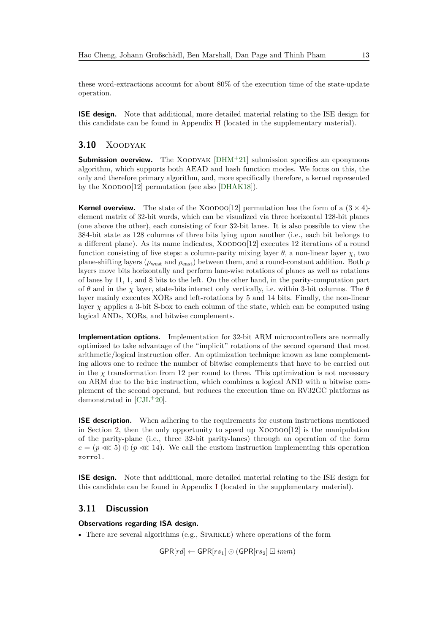these word-extractions account for about 80% of the execution time of the state-update operation.

**ISE design.** Note that additional, more detailed material relating to the ISE design for this candidate can be found in Appendix [H](#page-44-0) (located in the supplementary material).

### **3.10** XOODYAK

**Submission overview.** The XOODYAK [\[DHM](#page-22-8)+21] submission specifies an eponymous algorithm, which supports both AEAD and hash function modes. We focus on this, the only and therefore primary algorithm, and, more specifically therefore, a kernel represented by the XOODOO $[12]$  permutation (see also  $[DHAK18]$ ).

**Kernel overview.** The state of the XOODOO[12] permutation has the form of a  $(3 \times 4)$ element matrix of 32-bit words, which can be visualized via three horizontal 128-bit planes (one above the other), each consisting of four 32-bit lanes. It is also possible to view the 384-bit state as 128 columns of three bits lying upon another (i.e., each bit belongs to a different plane). As its name indicates, Xoodoo[12] executes 12 iterations of a round function consisting of five steps: a column-parity mixing layer  $\theta$ , a non-linear layer  $\chi$ , two plane-shifting layers (*ρ*west and *ρ*east) between them, and a round-constant addition. Both *ρ* layers move bits horizontally and perform lane-wise rotations of planes as well as rotations of lanes by 11, 1, and 8 bits to the left. On the other hand, in the parity-computation part of  $\theta$  and in the *χ* layer, state-bits interact only vertically, i.e. within 3-bit columns. The  $\theta$ layer mainly executes XORs and left-rotations by 5 and 14 bits. Finally, the non-linear layer *χ* applies a 3-bit S-box to each column of the state, which can be computed using logical ANDs, XORs, and bitwise complements.

**Implementation options.** Implementation for 32-bit ARM microcontrollers are normally optimized to take advantage of the "implicit" rotations of the second operand that most arithmetic/logical instruction offer. An optimization technique known as lane complementing allows one to reduce the number of bitwise complements that have to be carried out in the  $\chi$  transformation from 12 per round to three. This optimization is not necessary on ARM due to the bic instruction, which combines a logical AND with a bitwise complement of the second operand, but reduces the execution time on RV32GC platforms as demonstrated in [\[CJL](#page-22-4)<sup>+</sup>20].

**ISE description.** When adhering to the requirements for custom instructions mentioned in Section [2,](#page-2-0) then the only opportunity to speed up  $XOODO[12]$  is the manipulation of the parity-plane (i.e., three 32-bit parity-lanes) through an operation of the form  $e = (p \ll 5) \oplus (p \ll 14)$ . We call the custom instruction implementing this operation xorrol.

**ISE design.** Note that additional, more detailed material relating to the ISE design for this candidate can be found in Appendix [I](#page-45-0) (located in the supplementary material).

### <span id="page-12-0"></span>**3.11 Discussion**

#### **Observations regarding ISA design.**

• There are several algorithms (e.g., SPARKLE) where operations of the form

 $GPR[rd] \leftarrow GPR[rs_1] \odot (GPR[rs_2] \boxdot imm)$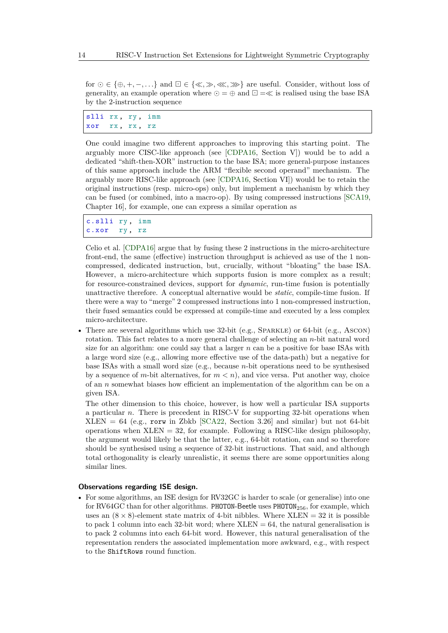for ⊙ ∈ {⊕*,* +*,* −*, . . .*} and ⊡ ∈ {≪*,* ≫*,*≪*,*≫} are useful. Consider, without loss of generality, an example operation where  $\odot = \oplus$  and  $\square = \ll$  is realised using the base ISA by the 2-instruction sequence

slli rx, ry, imm xor rx , rx , rz

One could imagine two different approaches to improving this starting point. The arguably more CISC-like approach (see [\[CDPA16,](#page-22-10) Section V]) would be to add a dedicated "shift-then-XOR" instruction to the base ISA; more general-purpose instances of this same approach include the ARM "flexible second operand" mechanism. The arguably more RISC-like approach (see [\[CDPA16,](#page-22-10) Section VI]) would be to retain the original instructions (resp. micro-ops) only, but implement a mechanism by which they can be fused (or combined, into a macro-op). By using compressed instructions [\[SCA19,](#page-24-9) Chapter 16], for example, one can express a similar operation as

c.slli ry , imm c.xor ry, rz

Celio et al. [\[CDPA16\]](#page-22-10) argue that by fusing these 2 instructions in the micro-architecture front-end, the same (effective) instruction throughput is achieved as use of the 1 noncompressed, dedicated instruction, but, crucially, without "bloating" the base ISA. However, a micro-architecture which supports fusion is more complex as a result; for resource-constrained devices, support for *dynamic*, run-time fusion is potentially unattractive therefore. A conceptual alternative would be *static*, compile-time fusion. If there were a way to "merge" 2 compressed instructions into 1 non-compressed instruction, their fused semantics could be expressed at compile-time and executed by a less complex micro-architecture.

• There are several algorithms which use 32-bit (e.g., SPARKLE) or 64-bit (e.g., Ascon) rotation. This fact relates to a more general challenge of selecting an *n*-bit natural word size for an algorithm: one could say that a larger  $n$  can be a positive for base ISAs with a large word size (e.g., allowing more effective use of the data-path) but a negative for base ISAs with a small word size (e.g., because *n*-bit operations need to be synthesised by a sequence of *m*-bit alternatives, for  $m < n$ , and vice versa. Put another way, choice of an *n* somewhat biases how efficient an implementation of the algorithm can be on a given ISA.

The other dimension to this choice, however, is how well a particular ISA supports a particular *n*. There is precedent in RISC-V for supporting 32-bit operations when  $XLEN = 64$  (e.g., rorw in Zbkb [\[SCA22,](#page-24-7) Section 3.26] and similar) but not 64-bit operations when  $XLEN = 32$ , for example. Following a RISC-like design philosophy, the argument would likely be that the latter, e.g., 64-bit rotation, can and so therefore should be synthesised using a sequence of 32-bit instructions. That said, and although total orthogonality is clearly unrealistic, it seems there are some opportunities along similar lines.

#### **Observations regarding ISE design.**

• For some algorithms, an ISE design for RV32GC is harder to scale (or generalise) into one for RV64GC than for other algorithms. PHOTON-Beetle uses  $PHOTON<sub>256</sub>$ , for example, which uses an  $(8 \times 8)$ -element state matrix of 4-bit nibbles. Where XLEN = 32 it is possible to pack 1 column into each 32-bit word; where  $XLEN = 64$ , the natural generalisation is to pack 2 columns into each 64-bit word. However, this natural generalisation of the representation renders the associated implementation more awkward, e.g., with respect to the ShiftRows round function.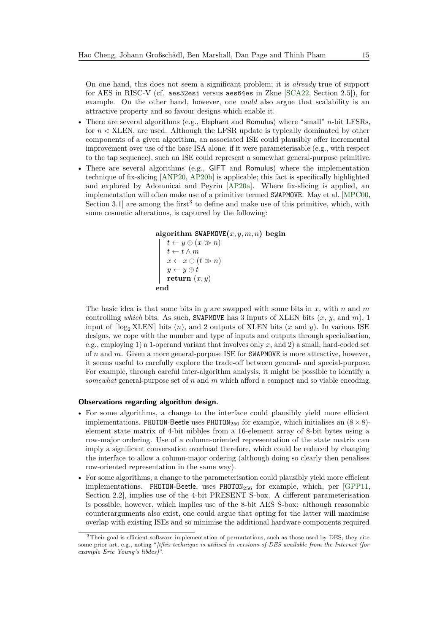On one hand, this does not seem a significant problem; it is *already* true of support for AES in RISC-V (cf. aes32esi versus aes64es in Zkne [\[SCA22,](#page-24-7) Section 2.5]), for example. On the other hand, however, one *could* also argue that scalability is an attractive property and so favour designs which enable it.

- There are several algorithms (e.g., Elephant and Romulus) where "small" *n*-bit LFSRs, for *n <* XLEN, are used. Although the LFSR update is typically dominated by other components of a given algorithm, an associated ISE could plausibly offer incremental improvement over use of the base ISA alone; if it were parameterisable (e.g., with respect to the tap sequence), such an ISE could represent a somewhat general-purpose primitive.
- There are several algorithms (e.g., GIFT and Romulus) where the implementation technique of fix-slicing [\[ANP20,](#page-20-2) [AP20b\]](#page-20-4) is applicable; this fact is specifically highlighted and explored by Adomnicai and Peyrin [\[AP20a\]](#page-20-3). Where fix-slicing is applied, an implementation will often make use of a primitive termed SWAPMOVE. May et al. [\[MPC00,](#page-23-11) Section [3](#page-14-0).1 are among the first<sup>3</sup> to define and make use of this primitive, which, with some cosmetic alterations, is captured by the following:

```
\text{algorithm SWAPMIVE}(x, y, m, n) \text{ begin}t \leftarrow y \oplus (x \gg n)t \leftarrow t \wedge mx \leftarrow x \oplus (t \gg n)
```

```
return (x, y)
```
 $y \leftarrow y \oplus t$ 

**end**

The basic idea is that some bits in *y* are swapped with some bits in *x*, with *n* and *m* controlling *which* bits. As such, SWAPMOVE has 3 inputs of XLEN bits (*x*, *y*, and *m*), 1 input of  $\lceil \log_2 XLEN \rceil$  bits  $(n)$ , and 2 outputs of XLEN bits  $(x \text{ and } y)$ . In various ISE designs, we cope with the number and type of inputs and outputs through specialisation, e.g., employing 1) a 1-operand variant that involves only *x*, and 2) a small, hard-coded set of *n* and *m*. Given a more general-purpose ISE for SWAPMOVE is more attractive, however, it seems useful to carefully explore the trade-off between general- and special-purpose. For example, through careful inter-algorithm analysis, it might be possible to identify a *somewhat* general-purpose set of *n* and *m* which afford a compact and so viable encoding.

#### **Observations regarding algorithm design.**

- For some algorithms, a change to the interface could plausibly yield more efficient implementations. PHOTON-Beetle uses PHOTON<sub>256</sub> for example, which initialises an  $(8 \times 8)$ element state matrix of 4-bit nibbles from a 16-element array of 8-bit bytes using a row-major ordering. Use of a column-oriented representation of the state matrix can imply a significant conversation overhead therefore, which could be reduced by changing the interface to allow a column-major ordering (although doing so clearly then penalises row-oriented representation in the same way).
- For some algorithms, a change to the parameterisation could plausibly yield more efficient implementations. PHOTON-Beetle, uses PHOTON<sub>256</sub> for example, which, per [\[GPP11,](#page-22-6) Section 2.2], implies use of the 4-bit PRESENT S-box. A different parameterisation is possible, however, which implies use of the 8-bit AES S-box: although reasonable counterarguments also exist, one could argue that opting for the latter will maximise overlap with existing ISEs and so minimise the additional hardware components required

<span id="page-14-0"></span><sup>&</sup>lt;sup>3</sup>Their goal is efficient software implementation of permutations, such as those used by DES; they cite some prior art, e.g., noting "*[t]his technique is utilised in versions of DES available from the Internet (for example Eric Young's libdes)*".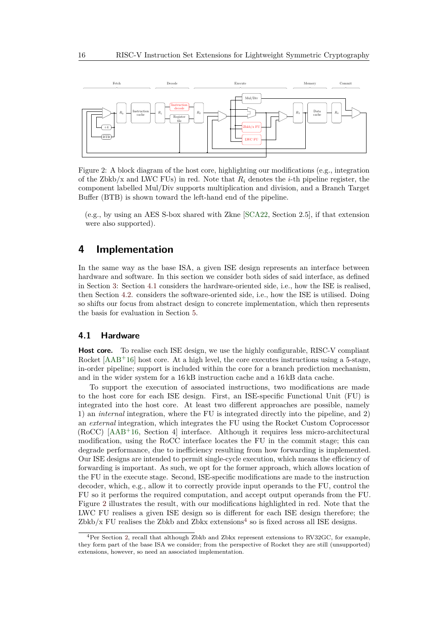<span id="page-15-2"></span>

Figure 2: A block diagram of the host core, highlighting our modifications (e.g., integration of the Zbkb/x and LWC FUs) in red. Note that *R<sup>i</sup>* denotes the *i*-th pipeline register, the component labelled Mul/Div supports multiplication and division, and a Branch Target Buffer (BTB) is shown toward the left-hand end of the pipeline.

(e.g., by using an AES S-box shared with Zkne [\[SCA22,](#page-24-7) Section 2.5], if that extension were also supported).

## <span id="page-15-0"></span>**4 Implementation**

In the same way as the base ISA, a given ISE design represents an interface between hardware and software. In this section we consider both sides of said interface, as defined in Section [3:](#page-3-0) Section [4.1](#page-15-1) considers the hardware-oriented side, i.e., how the ISE is realised, then Section [4.2.](#page-16-0) considers the software-oriented side, i.e., how the ISE is utilised. Doing so shifts our focus from abstract design to concrete implementation, which then represents the basis for evaluation in Section [5.](#page-17-0)

#### <span id="page-15-1"></span>**4.1 Hardware**

Host core. To realise each ISE design, we use the highly configurable, RISC-V compliant Rocket  $[ABA<sup>+</sup>16]$  host core. At a high level, the core executes instructions using a 5-stage, in-order pipeline; support is included within the core for a branch prediction mechanism, and in the wider system for a 16 kB instruction cache and a 16 kB data cache.

To support the execution of associated instructions, two modifications are made to the host core for each ISE design. First, an ISE-specific Functional Unit (FU) is integrated into the host core. At least two different approaches are possible, namely 1) an *internal* integration, where the FU is integrated directly into the pipeline, and 2) an *external* integration, which integrates the FU using the Rocket Custom Coprocessor (RoCC) [\[AAB](#page-20-0)<sup>+</sup>16, Section 4] interface. Although it requires less micro-architectural modification, using the RoCC interface locates the FU in the commit stage; this can degrade performance, due to inefficiency resulting from how forwarding is implemented. Our ISE designs are intended to permit single-cycle execution, which means the efficiency of forwarding is important. As such, we opt for the former approach, which allows location of the FU in the execute stage. Second, ISE-specific modifications are made to the instruction decoder, which, e.g., allow it to correctly provide input operands to the FU, control the FU so it performs the required computation, and accept output operands from the FU. Figure [2](#page-15-2) illustrates the result, with our modifications highlighted in red. Note that the LWC FU realises a given ISE design so is different for each ISE design therefore; the Zbkb/x FU realises the Zbkb and Zbkx extensions<sup>[4](#page-15-3)</sup> so is fixed across all ISE designs.

<span id="page-15-3"></span><sup>4</sup>Per Section [2,](#page-2-0) recall that although Zbkb and Zbkx represent extensions to RV32GC, for example, they form part of the base ISA we consider; from the perspective of Rocket they are still (unsupported) extensions, however, so need an associated implementation.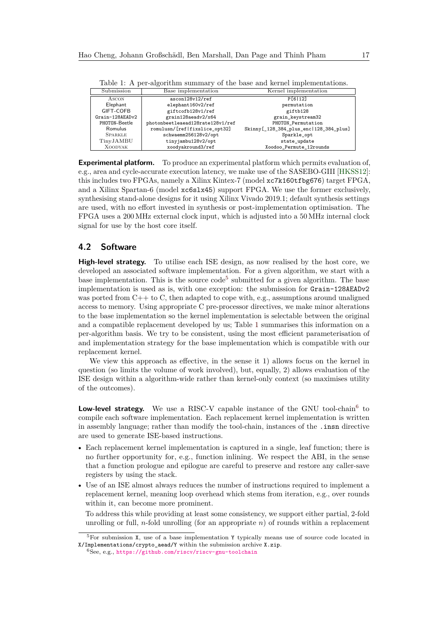<span id="page-16-2"></span>

| Submission      | Base implementation              | Kernel implementation                   |
|-----------------|----------------------------------|-----------------------------------------|
| ASCON           | ascon128v12/ref                  | P[6 12]                                 |
| Elephant        | elephant160v2/ref                | permutation                             |
| GIFT-COFB       | giftcofb128v1/ref                | giftb128                                |
| Grain-128AEADv2 | grain128aeadv2/x64               | grain keystream32                       |
| PHOTON-Beetle   | photonbeetleaead128rate128v1/ref | PHOTON Permutation                      |
| Romulus         | romulusn/[ref fixslice opt32]    | Skinny [_128_384_plus_enc 128_384_plus] |
| <b>SPARKLE</b>  | schwaemm256128v2/opt             | Sparkle opt                             |
| TinyJAMBU       | tinyjambu128v2/opt               | state update                            |
| <b>XOODYAK</b>  | xoodyakround3/ref                | Xoodoo Permute 12rounds                 |

Table 1: A per-algorithm summary of the base and kernel implementations.

**Experimental platform.** To produce an experimental platform which permits evaluation of, e.g., area and cycle-accurate execution latency, we make use of the SASEBO-GIII [\[HKSS12\]](#page-23-12): this includes two FPGAs, namely a Xilinx Kintex-7 (model xc7k160tfbg676) target FPGA, and a Xilinx Spartan-6 (model xc6slx45) support FPGA. We use the former exclusively, synthesising stand-alone designs for it using Xilinx Vivado 2019*.*1; default synthesis settings are used, with no effort invested in synthesis or post-implementation optimisation. The FPGA uses a 200 MHz external clock input, which is adjusted into a 50 MHz internal clock signal for use by the host core itself.

### <span id="page-16-0"></span>**4.2 Software**

**High-level strategy.** To utilise each ISE design, as now realised by the host core, we developed an associated software implementation. For a given algorithm, we start with a base implementation. This is the source  $\text{code}^5$  $\text{code}^5$  submitted for a given algorithm. The base implementation is used as is, with one exception: the submission for Grain-128AEADv2 was ported from C++ to C, then adapted to cope with, e.g., assumptions around unaligned access to memory. Using appropriate C pre-processor directives, we make minor alterations to the base implementation so the kernel implementation is selectable between the original and a compatible replacement developed by us; Table [1](#page-16-2) summarises this information on a per-algorithm basis. We try to be consistent, using the most efficient parameterisation of and implementation strategy for the base implementation which is compatible with our replacement kernel.

We view this approach as effective, in the sense it 1) allows focus on the kernel in question (so limits the volume of work involved), but, equally, 2) allows evaluation of the ISE design within a algorithm-wide rather than kernel-only context (so maximises utility of the outcomes).

Low-level strategy. We use a RISC-V capable instance of the GNU tool-chain<sup>[6](#page-16-3)</sup> to compile each software implementation. Each replacement kernel implementation is written in assembly language; rather than modify the tool-chain, instances of the .insn directive are used to generate ISE-based instructions.

- Each replacement kernel implementation is captured in a single, leaf function; there is no further opportunity for, e.g., function inlining. We respect the ABI, in the sense that a function prologue and epilogue are careful to preserve and restore any caller-save registers by using the stack.
- Use of an ISE almost always reduces the number of instructions required to implement a replacement kernel, meaning loop overhead which stems from iteration, e.g., over rounds within it, can become more prominent.

To address this while providing at least some consistency, we support either partial, 2-fold unrolling or full, *n*-fold unrolling (for an appropriate *n*) of rounds within a replacement

<span id="page-16-1"></span> ${}^{5}$  For submission X, use of a base implementation Y typically means use of source code located in X/Implementations/crypto\_aead/Y within the submission archive X.zip.

<span id="page-16-3"></span><sup>6</sup>See, e.g., <https://github.com/riscv/riscv-gnu-toolchain>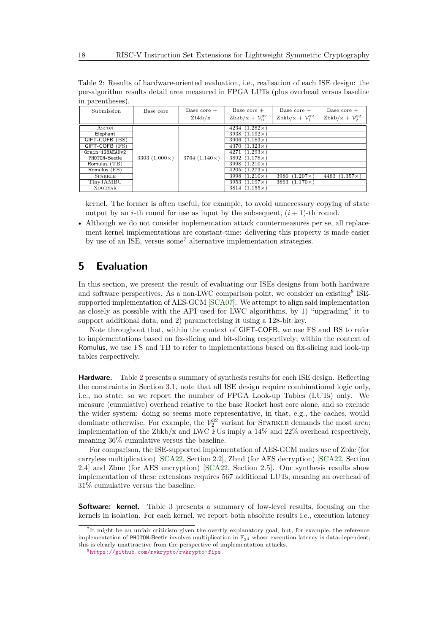| Submission                                                                                                                                                                 | Base core             | Base core $+$<br>$Z$ bkb/ $x$ | Base core $+$<br>Zbkb/x + $\mathcal{V}_0^{32}$                                                                                                                                                                                                                                             | Base core $+$<br>Zbkb/x + $\mathcal{V}_1^{32}$  | Base core $+$<br>Zbkb/x + $\mathcal{V}_2^{32}$ |
|----------------------------------------------------------------------------------------------------------------------------------------------------------------------------|-----------------------|-------------------------------|--------------------------------------------------------------------------------------------------------------------------------------------------------------------------------------------------------------------------------------------------------------------------------------------|-------------------------------------------------|------------------------------------------------|
| ASCON<br>Elephant<br>GIFT-COFB (BS)<br>GIFT-COFB (FS)<br>Grain-128AEADv2<br>PHOTON-Beetle<br>Romulus (TB)<br>Romulus (FS)<br><b>SPARKLE</b><br>TinyJAMBU<br><b>XOODYAK</b> | 3303 $(1.000 \times)$ | 3764 $(1.140\times)$          | $(1.282\times$<br>4234<br>3938<br>$(1.192\times)$<br>3906<br>$(1.183\times)$<br>4370 $(1.323\times)$<br>4271<br>$(1.293\times)$<br>3892 $(1.178\times)$<br>3998<br>$(1.210\times)$<br>$4205$ $(1.273 \times)$<br>3998<br>$(1.210\times)$<br>3953 $(1.197\times)$<br>$3814$ $(1.155 \times$ | 3986<br>$(1.207\times)$<br>3863 $(1.170\times)$ | 4483 $(1.357\times)$                           |

<span id="page-17-3"></span>Table 2: Results of hardware-oriented evaluation, i.e., realisation of each ISE design: the per-algorithm results detail area measured in FPGA LUTs (plus overhead versus baseline in parentheses).

kernel. The former is often useful, for example, to avoid unnecessary copying of state output by an *i*-th round for use as input by the subsequent,  $(i + 1)$ -th round.

• Although we do not consider implementation attack countermeasures per se, all replacement kernel implementations are constant-time: delivering this property is made easier by use of an ISE, versus some<sup>[7](#page-17-1)</sup> alternative implementation strategies.

## <span id="page-17-0"></span>**5 Evaluation**

In this section, we present the result of evaluating our ISEs designs from both hardware and software perspectives. As a non-LWC comparison point, we consider an existing<sup>[8](#page-17-2)</sup> ISEsupported implementation of AES-GCM [\[SCA07\]](#page-24-13). We attempt to align said implementation as closely as possible with the API used for LWC algorithms, by 1) "upgrading" it to support additional data, and 2) parameterising it using a 128-bit key.

Note throughout that, within the context of GIFT-COFB, we use FS and BS to refer to implementations based on fix-slicing and bit-slicing respectively; within the context of Romulus, we use FS and TB to refer to implementations based on fix-slicing and look-up tables respectively.

**Hardware.** Table [2](#page-17-3) presents a summary of synthesis results for each ISE design. Reflecting the constraints in Section [3.1,](#page-4-1) note that all ISE design require combinational logic only, i.e., no state, so we report the number of FPGA Look-up Tables (LUTs) only. We measure (cumulative) overhead relative to the base Rocket host core alone, and so exclude the wider system: doing so seems more representative, in that, e.g., the caches, would dominate otherwise. For example, the  $\mathcal{V}_2^{32}$  variant for SPARKLE demands the most area: implementation of the Zbkb/x and LWC FUs imply a 14% and 22% overhead respectively, meaning 36% cumulative versus the baseline.

For comparison, the ISE-supported implementation of AES-GCM makes use of Zbkc (for carryless multiplication) [\[SCA22,](#page-24-7) Section 2.2], Zbnd (for AES decryption) [\[SCA22,](#page-24-7) Section 2.4] and Zbne (for AES encryption) [\[SCA22,](#page-24-7) Section 2.5]. Our synthesis results show implementation of these extensions requires 567 additional LUTs, meaning an overhead of 31% cumulative versus the baseline.

**Software: kernel.** Table [3](#page-18-0) presents a summary of low-level results, focusing on the kernels in isolation. For each kernel, we report both absolute results i.e., execution latency

<span id="page-17-1"></span><sup>&</sup>lt;sup>7</sup>It might be an unfair criticism given the overtly explanatory goal, but, for example, the reference implementation of PHOTON-Beetle involves multiplication in  $\mathbb{F}_{24}$  whose execution latency is data-dependent; this is clearly unattractive from the perspective of implementation attacks.

<span id="page-17-2"></span><sup>8</sup><https://github.com/rvkrypto/rvkrypto-fips>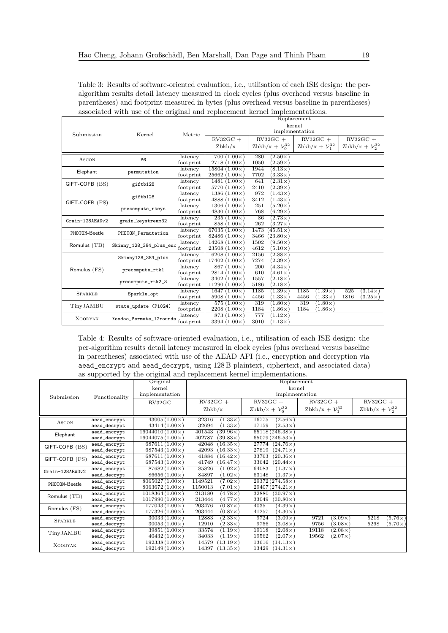<span id="page-18-0"></span>Table 3: Results of software-oriented evaluation, i.e., utilisation of each ISE design: the peralgorithm results detail latency measured in clock cycles (plus overhead versus baseline in parentheses) and footprint measured in bytes (plus overhead versus baseline in parentheses) associated with use of the original and replacement kernel implementations.

|                 |                         |           |                         |                               | Replacement     |      |                               |      |                               |  |
|-----------------|-------------------------|-----------|-------------------------|-------------------------------|-----------------|------|-------------------------------|------|-------------------------------|--|
|                 |                         |           | kernel                  |                               |                 |      |                               |      |                               |  |
| Submission      | Kernel                  | Metric    | implementation          |                               |                 |      |                               |      |                               |  |
|                 |                         |           | $RV32GC +$              | $RV32GC +$                    |                 |      | $RV32GC +$                    |      | $RV32GC +$                    |  |
|                 |                         |           | Zbkb/x                  | Zbkb/x + $\mathcal{V}_0^{32}$ |                 |      | Zbkb/x + $\mathcal{V}_1^{32}$ |      | Zbkb/x + $\mathcal{V}_2^{32}$ |  |
|                 |                         | latency   | $700(1.00\times)$       | 280                           | $(2.50\times)$  |      |                               |      |                               |  |
| <b>ASCON</b>    | P <sub>6</sub>          | footprint | $2718(1.00\times)$      | 1050                          | $(2.59\times)$  |      |                               |      |                               |  |
|                 |                         | latency   | $15804 (1.00 \times)$   | 1944                          | $(8.13\times)$  |      |                               |      |                               |  |
| Elephant        | permutation             | footprint | 25662 $(1.00 \times)$   | 7702                          | $(3.33\times)$  |      |                               |      |                               |  |
| GIFT-COFB (BS)  | giftb128                | latency   | 1481 $(1.00 \times)$    | 641                           | $(2.31\times)$  |      |                               |      |                               |  |
|                 |                         | footprint | 5770 $(1.00 \times)$    | 2410                          | $(2.39\times)$  |      |                               |      |                               |  |
|                 | giftb128                | latency   | $1386(1.00\times)$      | 972                           | $(1.43\times)$  |      |                               |      |                               |  |
| GIFT-COFB (FS)  |                         | footprint | 4888 $(1.00\times)$     | 3412                          | $(1.43\times)$  |      |                               |      |                               |  |
|                 | precompute_rkeys        | latency   | 1306 $(1.00\times)$     | 251                           | $(5.20\times)$  |      |                               |      |                               |  |
|                 |                         | footprint | 4830 $(1.00 \times)$    | 768                           | $(6.29\times)$  |      |                               |      |                               |  |
| Grain-128AEADv2 | grain_keystream32       | latency   | $235(1.00\times)$       | 86                            | $(2.73\times)$  |      |                               |      |                               |  |
|                 |                         | footprint | 858 $(1.00\times)$      | 262                           | $(3.27\times)$  |      |                               |      |                               |  |
| PHOTON-Beetle   | PHOTON Permutation      | latency   | 67035 $(1.00 \times)$   | 1473                          | $(45.51\times)$ |      |                               |      |                               |  |
|                 |                         | footprint | 82486 $(1.00\times)$    | 3466                          | $(23.80\times)$ |      |                               |      |                               |  |
| Romulus (TB)    |                         | latency   | $14268$ $(1.00 \times)$ | 1502                          | $(9.50\times)$  |      |                               |      |                               |  |
|                 | Skinny_128_384_plus_enc | footprint | 23508 $(1.00\times)$    | 4612                          | $(5.10\times)$  |      |                               |      |                               |  |
|                 |                         | latency   | 6208 $(1.00 \times)$    | 2156                          | $(2.88\times)$  |      |                               |      |                               |  |
|                 | Skinny128_384_plus      | footprint | $17402 (1.00 \times)$   | 7274                          | $(2.39\times)$  |      |                               |      |                               |  |
| Romulus (FS)    | precompute_rtk1         | latency   | $867(1.00\times)$       | 200                           | $(4.34\times)$  |      |                               |      |                               |  |
|                 |                         | footprint | $2814(1.00\times)$      | 610                           | $(4.61\times)$  |      |                               |      |                               |  |
|                 | precompute rtk2 3       | latency   | 3402 $(1.00\times)$     | 1557                          | $(2.18\times)$  |      |                               |      |                               |  |
|                 |                         | footprint | $11290 (1.00 \times)$   | 5186                          | $(2.18\times)$  |      |                               |      |                               |  |
| <b>SPARKLE</b>  | Sparkle_opt             | latency   | 1647 $(1.00 \times)$    | 1185                          | $(1.39\times)$  | 1185 | $(1.39\times)$                | 525  | $(3.14\times)$                |  |
|                 |                         | footprint | 5908 $(1.00 \times)$    | 4456                          | $(1.33\times)$  | 4456 | $(1.33\times)$                | 1816 | $(3.25\times)$                |  |
| TinyJAMBU       | state_update (P1024)    | latency   | 575 $(1.00\times)$      | 319                           | $(1.80\times)$  | 319  | $(1.80\times)$                |      |                               |  |
|                 |                         | footprint | 2208 $(1.00 \times)$    | 1184                          | $(1.86\times)$  | 1184 | $(1.86\times)$                |      |                               |  |
| <b>XOODYAK</b>  | Xoodoo_Permute_12rounds | latency   | $873(1.00\times)$       | 777                           | $(1.12\times)$  |      |                               |      |                               |  |
|                 |                         | footprint | 3394 $(1.00\times)$     | 3010                          | $(1.13\times)$  |      |                               |      |                               |  |

<span id="page-18-1"></span>Table 4: Results of software-oriented evaluation, i.e., utilisation of each ISE design: the per-algorithm results detail latency measured in clock cycles (plus overhead versus baseline in parentheses) associated with use of the AEAD API (i.e., encryption and decryption via aead\_encrypt and aead\_decrypt, using 128 B plaintext, ciphertext, and associated data) as supported by the original and replacement kernel implementations.

|                 |               | Original               |                           | Replacement                   |                               |                               |  |  |  |
|-----------------|---------------|------------------------|---------------------------|-------------------------------|-------------------------------|-------------------------------|--|--|--|
|                 |               | kernel                 |                           | kernel                        |                               |                               |  |  |  |
| Submission      | Functionality | implementation         |                           | implementation                |                               |                               |  |  |  |
|                 |               | RV32GC                 | $RV32GC +$                | $RV32GC +$                    | $RV32GC +$                    | $RV32GC +$                    |  |  |  |
|                 |               |                        | Zbkb/x                    | Zbkb/x + $\mathcal{V}_0^{32}$ | Zbkb/x + $\mathcal{V}_1^{32}$ | Zbkb/x + $\mathcal{V}_2^{32}$ |  |  |  |
|                 |               |                        |                           |                               |                               |                               |  |  |  |
| <b>ASCON</b>    | aead_encrypt  | $43005(1.00\times)$    | $(1.33\times)$<br>32316   | 16775<br>$(2.56\times)$       |                               |                               |  |  |  |
|                 | aead_decrypt  | $43414(1.00\times)$    | 32694<br>$(1.33\times)$   | 17159<br>$(2.53\times)$       |                               |                               |  |  |  |
| Elephant        | aead_encrypt  | $16044010(1.00\times)$ | 401543<br>$(39.96\times)$ | $65118(246.38\times)$         |                               |                               |  |  |  |
|                 | aead_decrypt  | $16044075(1.00\times)$ | 402787<br>$(39.83\times)$ | $65079(246.53\times)$         |                               |                               |  |  |  |
| GIFT-COFB (BS)  | aead_encrypt  | $687611(1.00\times)$   | 42048<br>$(16.35\times)$  | 27774<br>$(24.76\times)$      |                               |                               |  |  |  |
|                 | aead_decrypt  | $687543(1.00\times)$   | 42093<br>$(16.33\times)$  | 27819<br>$(24.71\times)$      |                               |                               |  |  |  |
| GIFT-COFB (FS)  | aead_encrypt  | $687611(1.00\times)$   | 41884<br>$(16.42\times)$  | 33763<br>$(20.36\times)$      |                               |                               |  |  |  |
|                 | aead_decrypt  | $687543(1.00\times)$   | 41749<br>$(16.47\times)$  | 33642<br>$(20.44\times)$      |                               |                               |  |  |  |
|                 | aead_encrypt  | $87682(1.00\times)$    | 85826<br>$(1.02\times)$   | $(1.37\times)$<br>64083       |                               |                               |  |  |  |
| Grain-128AEADv2 | aead_decrypt  | $86656(1.00\times)$    | 84897<br>$(1.02\times)$   | 63148<br>$(1.37\times)$       |                               |                               |  |  |  |
| PHOTON-Beetle   | aead_encrypt  | $8065027(1.00\times)$  | 1149521<br>$(7.02\times)$ | $29372(274.58\times)$         |                               |                               |  |  |  |
|                 | aead_decrypt  | $8063672(1.00\times)$  | 1150013<br>$(7.01\times)$ | $29407(274.21\times)$         |                               |                               |  |  |  |
| Romulus (TB)    | aead_encrypt  | $1018364(1.00\times)$  | 213180<br>$(4.78\times)$  | 32880<br>$(30.97\times)$      |                               |                               |  |  |  |
|                 | aead decrypt  | $1017990(1.00\times)$  | 213444<br>$(4.77\times)$  | 33049<br>$(30.80\times)$      |                               |                               |  |  |  |
| Romulus (FS)    | aead_encrypt  | $177043(1.00\times)$   | 203476<br>$(0.87\times)$  | 40351<br>$(4.39\times)$       |                               |                               |  |  |  |
|                 | aead_decrypt  | $177326(1.00\times)$   | 203444<br>$(0.87\times)$  | 41257<br>$(4.30\times)$       |                               |                               |  |  |  |
| <b>SPARKLE</b>  | aead_encrypt  | $30033(1.00\times)$    | 12883<br>$(2.33\times)$   | 9724<br>$(3.09\times)$        | 9721<br>$(3.09\times)$        | $(5.76\times)$<br>5218        |  |  |  |
|                 | aead_decrypt  | $30053(1.00\times)$    | 12910<br>$(2.33\times)$   | 9756<br>$(3.08\times)$        | 9756<br>$(3.08\times)$        | 5268<br>$(5.70\times)$        |  |  |  |
| TinyJAMBU       | aead_encrypt  | $39851(1.00\times)$    | 33574<br>$(1.19\times)$   | 19118<br>$(2.08\times)$       | 19118<br>$(2.08\times)$       |                               |  |  |  |
|                 | aead_decrypt  | $40432(1.00\times)$    | 34033<br>$(1.19\times)$   | 19562<br>$(2.07\times)$       | $(2.07\times)$<br>19562       |                               |  |  |  |
| <b>XOODYAK</b>  | aead_encrypt  | $192338(1.00\times)$   | 14579<br>$(13.19\times)$  | 13616<br>$(14.13\times)$      |                               |                               |  |  |  |
|                 | aead decrypt  | $192149(1.00\times)$   | 14397<br>$(13.35\times)$  | 13429<br>$(14.31\times)$      |                               |                               |  |  |  |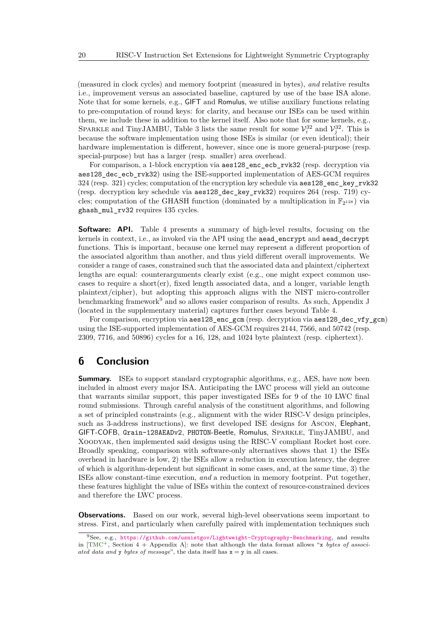(measured in clock cycles) and memory footprint (measured in bytes), *and* relative results i.e., improvement versus an associated baseline, captured by use of the base ISA alone. Note that for some kernels, e.g., GIFT and Romulus, we utilise auxiliary functions relating to pre-computation of round keys: for clarity, and because our ISEs can be used within them, we include these in addition to the kernel itself. Also note that for some kernels, e.g., SPARKLE and TinyJAMBU, Table [3](#page-18-0) lists the same result for some  $\mathcal{V}^{32}_i$  and  $\mathcal{V}^{32}_j$ . This is because the software implementation using those ISEs is similar (or even identical); their hardware implementation is different, however, since one is more general-purpose (resp. special-purpose) but has a larger (resp. smaller) area overhead.

For comparison, a 1-block encryption via aes128\_enc\_ecb\_rvk32 (resp. decryption via aes128\_dec\_ecb\_rvk32) using the ISE-supported implementation of AES-GCM requires 324 (resp. 321) cycles; computation of the encryption key schedule via aes128\_enc\_key\_rvk32 (resp. decryption key schedule via aes128\_dec\_key\_rvk32) requires 264 (resp. 719) cycles; computation of the GHASH function (dominated by a multiplication in  $\mathbb{F}_{2^{128}}$ ) via ghash\_mul\_rv32 requires 135 cycles.

**Software: API.** Table [4](#page-18-1) presents a summary of high-level results, focusing on the kernels in context, i.e., as invoked via the API using the aead\_encrypt and aead\_decrypt functions. This is important, because one kernel may represent a different proportion of the associated algorithm than another, and thus yield different overall improvements. We consider a range of cases, constrained such that the associated data and plaintext/ciphertext lengths are equal: counterarguments clearly exist (e.g., one might expect common usecases to require a short(er), fixed length associated data, and a longer, variable length plaintext/cipher), but adopting this approach aligns with the NIST micro-controller benchmarking framework[9](#page-19-0) and so allows easier comparison of results. As such, Appendix [J](#page-46-0) (located in the supplementary material) captures further cases beyond Table [4.](#page-18-1)

For comparison, encryption via aes128\_enc\_gcm (resp. decryption via aes128\_dec\_vfy\_gcm) using the ISE-supported implementation of AES-GCM requires 2144, 7566, and 50742 (resp. 2309, 7716, and 50896) cycles for a 16, 128, and 1024 byte plaintext (resp. ciphertext).

## **6 Conclusion**

**Summary.** ISEs to support standard cryptographic algorithms, e.g., AES, have now been included in almost every major ISA. Anticipating the LWC process will yield an outcome that warrants similar support, this paper investigated ISEs for 9 of the 10 LWC final round submissions. Through careful analysis of the constituent algorithms, and following a set of principled constraints (e.g., alignment with the wider RISC-V design principles, such as 3-address instructions), we first developed ISE designs for Ascon, Elephant, GIFT-COFB, Grain-128AEADv2, PHOTON-Beetle, Romulus, Sparkle, TinyJAMBU, and Xoodyak, then implemented said designs using the RISC-V compliant Rocket host core. Broadly speaking, comparison with software-only alternatives shows that 1) the ISEs overhead in hardware is low, 2) the ISEs allow a reduction in execution latency, the degree of which is algorithm-dependent but significant in some cases, and, at the same time, 3) the ISEs allow constant-time execution, *and* a reduction in memory footprint. Put together, these features highlight the value of ISEs within the context of resource-constrained devices and therefore the LWC process.

**Observations.** Based on our work, several high-level observations seem important to stress. First, and particularly when carefully paired with implementation techniques such

<span id="page-19-0"></span><sup>9</sup>See, e.g., <https://github.com/usnistgov/Lightweight-Cryptography-Benchmarking>, and results in [\[TMC](#page-24-2)+, Section 4 + Appendix A]: note that although the data format allows "x *bytes of associated data and* y *bytes of message*", the data itself has x = y in all cases.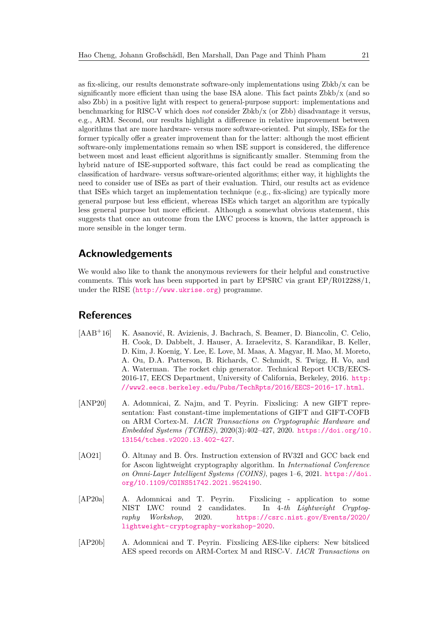as fix-slicing, our results demonstrate software-only implementations using  $Zbkb/x$  can be significantly more efficient than using the base ISA alone. This fact paints Zbkb/x (and so also Zbb) in a positive light with respect to general-purpose support: implementations and benchmarking for RISC-V which does *not* consider Zbkb/x (or Zbb) disadvantage it versus, e.g., ARM. Second, our results highlight a difference in relative improvement between algorithms that are more hardware- versus more software-oriented. Put simply, ISEs for the former typically offer a greater improvement than for the latter: although the most efficient software-only implementations remain so when ISE support is considered, the difference between most and least efficient algorithms is significantly smaller. Stemming from the hybrid nature of ISE-supported software, this fact could be read as complicating the classification of hardware- versus software-oriented algorithms; either way, it highlights the need to consider use of ISEs as part of their evaluation. Third, our results act as evidence that ISEs which target an implementation technique (e.g., fix-slicing) are typically more general purpose but less efficient, whereas ISEs which target an algorithm are typically less general purpose but more efficient. Although a somewhat obvious statement, this suggests that once an outcome from the LWC process is known, the latter approach is more sensible in the longer term.

## **Acknowledgements**

We would also like to thank the anonymous reviewers for their helpful and constructive comments. This work has been supported in part by EPSRC via grant EP/R012288/1, under the RISE (<http://www.ukrise.org>) programme.

## **References**

- <span id="page-20-0"></span>[AAB<sup>+</sup>16] K. Asanović, R. Avizienis, J. Bachrach, S. Beamer, D. Biancolin, C. Celio, H. Cook, D. Dabbelt, J. Hauser, A. Izraelevitz, S. Karandikar, B. Keller, D. Kim, J. Koenig, Y. Lee, E. Love, M. Maas, A. Magyar, H. Mao, M. Moreto, A. Ou, D.A. Patterson, B. Richards, C. Schmidt, S. Twigg, H. Vo, and A. Waterman. The rocket chip generator. Technical Report UCB/EECS-2016-17, EECS Department, University of California, Berkeley, 2016. [http:](http://www2.eecs.berkeley.edu/Pubs/TechRpts/2016/EECS-2016-17.html) [//www2.eecs.berkeley.edu/Pubs/TechRpts/2016/EECS-2016-17.html](http://www2.eecs.berkeley.edu/Pubs/TechRpts/2016/EECS-2016-17.html).
- <span id="page-20-2"></span>[ANP20] A. Adomnicai, Z. Najm, and T. Peyrin. Fixslicing: A new GIFT representation: Fast constant-time implementations of GIFT and GIFT-COFB on ARM Cortex-M. *IACR Transactions on Cryptographic Hardware and Embedded Systems (TCHES)*, 2020(3):402–427, 2020. [https://doi.org/10.](https://doi.org/10.13154/tches.v2020.i3.402-427) [13154/tches.v2020.i3.402-427](https://doi.org/10.13154/tches.v2020.i3.402-427).
- <span id="page-20-1"></span>[AO21] Ö. Altınay and B. Örs. Instruction extension of RV32I and GCC back end for Ascon lightweight cryptography algorithm. In *International Conference on Omni-Layer Intelligent Systems (COINS)*, pages 1–6, 2021. [https://doi.](https://doi.org/10.1109/COINS51742.2021.9524190) [org/10.1109/COINS51742.2021.9524190](https://doi.org/10.1109/COINS51742.2021.9524190).
- <span id="page-20-3"></span>[AP20a] A. Adomnicai and T. Peyrin. Fixslicing - application to some NIST LWC round 2 candidates. In 4*-th Lightweight Cryptography Workshop*, 2020. [https://csrc.nist.gov/Events/2020/](https://csrc.nist.gov/Events/2020/lightweight-cryptography-workshop-2020) [lightweight-cryptography-workshop-2020](https://csrc.nist.gov/Events/2020/lightweight-cryptography-workshop-2020).
- <span id="page-20-4"></span>[AP20b] A. Adomnicai and T. Peyrin. Fixslicing AES-like ciphers: New bitsliced AES speed records on ARM-Cortex M and RISC-V. *IACR Transactions on*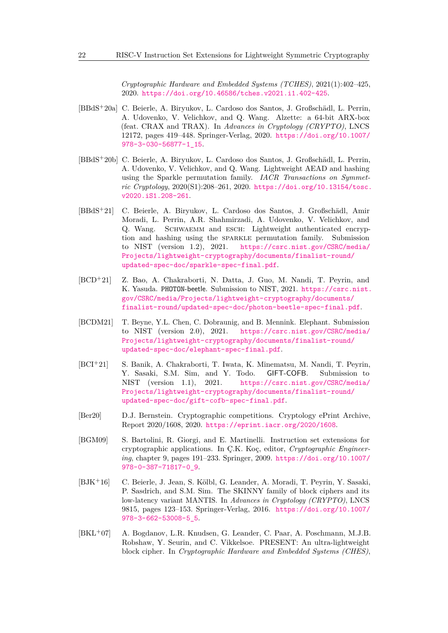*Cryptographic Hardware and Embedded Systems (TCHES)*, 2021(1):402–425, 2020. <https://doi.org/10.46586/tches.v2021.i1.402-425>.

- <span id="page-21-9"></span>[BBdS<sup>+</sup>20a] C. Beierle, A. Biryukov, L. Cardoso dos Santos, J. Großschädl, L. Perrin, A. Udovenko, V. Velichkov, and Q. Wang. Alzette: a 64-bit ARX-box (feat. CRAX and TRAX). In *Advances in Cryptology (CRYPTO)*, LNCS 12172, pages 419–448. Springer-Verlag, 2020. [https://doi.org/10.1007/](https://doi.org/10.1007/978-3-030-56877-1_15) [978-3-030-56877-1\\_15](https://doi.org/10.1007/978-3-030-56877-1_15).
- <span id="page-21-8"></span>[BBdS<sup>+</sup>20b] C. Beierle, A. Biryukov, L. Cardoso dos Santos, J. Großschädl, L. Perrin, A. Udovenko, V. Velichkov, and Q. Wang. Lightweight AEAD and hashing using the Sparkle permutation family. *IACR Transactions on Symmetric Cryptology*, 2020(S1):208–261, 2020. [https://doi.org/10.13154/tosc.](https://doi.org/10.13154/tosc.v2020.iS1.208-261) [v2020.iS1.208-261](https://doi.org/10.13154/tosc.v2020.iS1.208-261).
- <span id="page-21-7"></span>[BBdS<sup>+</sup>21] C. Beierle, A. Biryukov, L. Cardoso dos Santos, J. Großschädl, Amir Moradi, L. Perrin, A.R. Shahmirzadi, A. Udovenko, V. Velichkov, and Q. Wang. SCHWAEMM and ESCH: Lightweight authenticated encryption and hashing using the sparkle permutation family. Submission to NIST (version 1*.*2), 2021. [https://csrc.nist.gov/CSRC/media/](https://csrc.nist.gov/CSRC/media/Projects/lightweight-cryptography/documents/finalist-round/updated-spec-doc/sparkle-spec-final.pdf) [Projects/lightweight-cryptography/documents/finalist-round/](https://csrc.nist.gov/CSRC/media/Projects/lightweight-cryptography/documents/finalist-round/updated-spec-doc/sparkle-spec-final.pdf) [updated-spec-doc/sparkle-spec-final.pdf](https://csrc.nist.gov/CSRC/media/Projects/lightweight-cryptography/documents/finalist-round/updated-spec-doc/sparkle-spec-final.pdf).
- <span id="page-21-6"></span>[BCD<sup>+</sup>21] Z. Bao, A. Chakraborti, N. Datta, J. Guo, M. Nandi, T. Peyrin, and K. Yasuda. PHOTON-beetle. Submission to NIST, 2021. [https://csrc.nist.](https://csrc.nist.gov/CSRC/media/Projects/lightweight-cryptography/documents/finalist-round/updated-spec-doc/photon-beetle-spec-final.pdf) [gov/CSRC/media/Projects/lightweight-cryptography/documents/](https://csrc.nist.gov/CSRC/media/Projects/lightweight-cryptography/documents/finalist-round/updated-spec-doc/photon-beetle-spec-final.pdf) [finalist-round/updated-spec-doc/photon-beetle-spec-final.pdf](https://csrc.nist.gov/CSRC/media/Projects/lightweight-cryptography/documents/finalist-round/updated-spec-doc/photon-beetle-spec-final.pdf).
- <span id="page-21-3"></span>[BCDM21] T. Beyne, Y.L. Chen, C. Dobraunig, and B. Mennink. Elephant. Submission to NIST (version 2*.*0), 2021. [https://csrc.nist.gov/CSRC/media/](https://csrc.nist.gov/CSRC/media/Projects/lightweight-cryptography/documents/finalist-round/updated-spec-doc/elephant-spec-final.pdf) [Projects/lightweight-cryptography/documents/finalist-round/](https://csrc.nist.gov/CSRC/media/Projects/lightweight-cryptography/documents/finalist-round/updated-spec-doc/elephant-spec-final.pdf) [updated-spec-doc/elephant-spec-final.pdf](https://csrc.nist.gov/CSRC/media/Projects/lightweight-cryptography/documents/finalist-round/updated-spec-doc/elephant-spec-final.pdf).
- <span id="page-21-5"></span>[BCI<sup>+</sup>21] S. Banik, A. Chakraborti, T. Iwata, K. Minematsu, M. Nandi, T. Peyrin, Y. Sasaki, S.M. Sim, and Y. Todo. GIFT-COFB. Submission to NIST (version 1*.*1), 2021. [https://csrc.nist.gov/CSRC/media/](https://csrc.nist.gov/CSRC/media/Projects/lightweight-cryptography/documents/finalist-round/updated-spec-doc/gift-cofb-spec-final.pdf) [Projects/lightweight-cryptography/documents/finalist-round/](https://csrc.nist.gov/CSRC/media/Projects/lightweight-cryptography/documents/finalist-round/updated-spec-doc/gift-cofb-spec-final.pdf) [updated-spec-doc/gift-cofb-spec-final.pdf](https://csrc.nist.gov/CSRC/media/Projects/lightweight-cryptography/documents/finalist-round/updated-spec-doc/gift-cofb-spec-final.pdf).
- <span id="page-21-0"></span>[Ber20] D.J. Bernstein. Cryptographic competitions. Cryptology ePrint Archive, Report 2020/1608, 2020. <https://eprint.iacr.org/2020/1608>.
- <span id="page-21-1"></span>[BGM09] S. Bartolini, R. Giorgi, and E. Martinelli. Instruction set extensions for cryptographic applications. In Ç.K. Koç, editor, *Cryptographic Engineering*, chapter 9, pages 191–233. Springer, 2009. [https://doi.org/10.1007/](https://doi.org/10.1007/978-0-387-71817-0_9) [978-0-387-71817-0\\_9](https://doi.org/10.1007/978-0-387-71817-0_9).
- <span id="page-21-2"></span>[BJK<sup>+</sup>16] C. Beierle, J. Jean, S. Kölbl, G. Leander, A. Moradi, T. Peyrin, Y. Sasaki, P. Sasdrich, and S.M. Sim. The SKINNY family of block ciphers and its low-latency variant MANTIS. In *Advances in Cryptology (CRYPTO)*, LNCS 9815, pages 123–153. Springer-Verlag, 2016. [https://doi.org/10.1007/](https://doi.org/10.1007/978-3-662-53008-5_5) [978-3-662-53008-5\\_5](https://doi.org/10.1007/978-3-662-53008-5_5).
- <span id="page-21-4"></span>[BKL<sup>+</sup>07] A. Bogdanov, L.R. Knudsen, G. Leander, C. Paar, A. Poschmann, M.J.B. Robshaw, Y. Seurin, and C. Vikkelsoe. PRESENT: An ultra-lightweight block cipher. In *Cryptographic Hardware and Embedded Systems (CHES)*,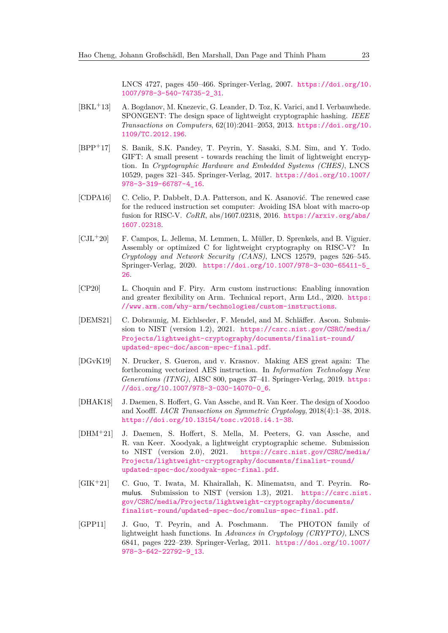LNCS 4727, pages 450–466. Springer-Verlag, 2007. [https://doi.org/10.](https://doi.org/10.1007/978-3-540-74735-2_31) [1007/978-3-540-74735-2\\_31](https://doi.org/10.1007/978-3-540-74735-2_31).

- <span id="page-22-5"></span>[BKL<sup>+</sup>13] A. Bogdanov, M. Knezevic, G. Leander, D. Toz, K. Varici, and I. Verbauwhede. SPONGENT: The design space of lightweight cryptographic hashing. *IEEE Transactions on Computers*, 62(10):2041–2053, 2013. [https://doi.org/10.](https://doi.org/10.1109/TC.2012.196) [1109/TC.2012.196](https://doi.org/10.1109/TC.2012.196).
- <span id="page-22-1"></span>[BPP<sup>+</sup>17] S. Banik, S.K. Pandey, T. Peyrin, Y. Sasaki, S.M. Sim, and Y. Todo. GIFT: A small present - towards reaching the limit of lightweight encryption. In *Cryptographic Hardware and Embedded Systems (CHES)*, LNCS 10529, pages 321–345. Springer-Verlag, 2017. [https://doi.org/10.1007/](https://doi.org/10.1007/978-3-319-66787-4_16) [978-3-319-66787-4\\_16](https://doi.org/10.1007/978-3-319-66787-4_16).
- <span id="page-22-10"></span>[CDPA16] C. Celio, P. Dabbelt, D.A. Patterson, and K. Asanović. The renewed case for the reduced instruction set computer: Avoiding ISA bloat with macro-op fusion for RISC-V. *CoRR*, abs/1607.02318, 2016. [https://arxiv.org/abs/](https://arxiv.org/abs/1607.02318) [1607.02318](https://arxiv.org/abs/1607.02318).
- <span id="page-22-4"></span>[CJL<sup>+</sup>20] F. Campos, L. Jellema, M. Lemmen, L. Müller, D. Sprenkels, and B. Viguier. Assembly or optimized C for lightweight cryptography on RISC-V? In *Cryptology and Network Security (CANS)*, LNCS 12579, pages 526–545. Springer-Verlag, 2020. [https://doi.org/10.1007/978-3-030-65411-5\\_](https://doi.org/10.1007/978-3-030-65411-5_26) [26](https://doi.org/10.1007/978-3-030-65411-5_26).
- <span id="page-22-2"></span>[CP20] L. Choquin and F. Piry. Arm custom instructions: Enabling innovation and greater flexibility on Arm. Technical report, Arm Ltd., 2020. [https:](https://www.arm.com/why-arm/technologies/custom-instructions) [//www.arm.com/why-arm/technologies/custom-instructions](https://www.arm.com/why-arm/technologies/custom-instructions).
- <span id="page-22-3"></span>[DEMS21] C. Dobraunig, M. Eichlseder, F. Mendel, and M. Schläffer. Ascon. Submission to NIST (version 1*.*2), 2021. [https://csrc.nist.gov/CSRC/media/](https://csrc.nist.gov/CSRC/media/Projects/lightweight-cryptography/documents/finalist-round/updated-spec-doc/ascon-spec-final.pdf) [Projects/lightweight-cryptography/documents/finalist-round/](https://csrc.nist.gov/CSRC/media/Projects/lightweight-cryptography/documents/finalist-round/updated-spec-doc/ascon-spec-final.pdf) [updated-spec-doc/ascon-spec-final.pdf](https://csrc.nist.gov/CSRC/media/Projects/lightweight-cryptography/documents/finalist-round/updated-spec-doc/ascon-spec-final.pdf).
- <span id="page-22-0"></span>[DGvK19] N. Drucker, S. Gueron, and v. Krasnov. Making AES great again: The forthcoming vectorized AES instruction. In *Information Technology New Generations (ITNG)*, AISC 800, pages 37–41. Springer-Verlag, 2019. [https:](https://doi.org/10.1007/978-3-030-14070-0_6) [//doi.org/10.1007/978-3-030-14070-0\\_6](https://doi.org/10.1007/978-3-030-14070-0_6).
- <span id="page-22-9"></span>[DHAK18] J. Daemen, S. Hoffert, G. Van Assche, and R. Van Keer. The design of Xoodoo and Xoofff. *IACR Transactions on Symmetric Cryptology*, 2018(4):1–38, 2018. <https://doi.org/10.13154/tosc.v2018.i4.1-38>.
- <span id="page-22-8"></span>[DHM<sup>+</sup>21] J. Daemen, S. Hoffert, S. Mella, M. Peeters, G. van Assche, and R. van Keer. Xoodyak, a lightweight cryptographic scheme. Submission to NIST (version 2*.*0), 2021. [https://csrc.nist.gov/CSRC/media/](https://csrc.nist.gov/CSRC/media/Projects/lightweight-cryptography/documents/finalist-round/updated-spec-doc/xoodyak-spec-final.pdf) [Projects/lightweight-cryptography/documents/finalist-round/](https://csrc.nist.gov/CSRC/media/Projects/lightweight-cryptography/documents/finalist-round/updated-spec-doc/xoodyak-spec-final.pdf) [updated-spec-doc/xoodyak-spec-final.pdf](https://csrc.nist.gov/CSRC/media/Projects/lightweight-cryptography/documents/finalist-round/updated-spec-doc/xoodyak-spec-final.pdf).
- <span id="page-22-7"></span>[GIK<sup>+</sup>21] C. Guo, T. Iwata, M. Khairallah, K. Minematsu, and T. Peyrin. Romulus. Submission to NIST (version 1*.*3), 2021. [https://csrc.nist.](https://csrc.nist.gov/CSRC/media/Projects/lightweight-cryptography/documents/finalist-round/updated-spec-doc/romulus-spec-final.pdf) [gov/CSRC/media/Projects/lightweight-cryptography/documents/](https://csrc.nist.gov/CSRC/media/Projects/lightweight-cryptography/documents/finalist-round/updated-spec-doc/romulus-spec-final.pdf) [finalist-round/updated-spec-doc/romulus-spec-final.pdf](https://csrc.nist.gov/CSRC/media/Projects/lightweight-cryptography/documents/finalist-round/updated-spec-doc/romulus-spec-final.pdf).
- <span id="page-22-6"></span>[GPP11] J. Guo, T. Peyrin, and A. Poschmann. The PHOTON family of lightweight hash functions. In *Advances in Cryptology (CRYPTO)*, LNCS 6841, pages 222–239. Springer-Verlag, 2011. [https://doi.org/10.1007/](https://doi.org/10.1007/978-3-642-22792-9_13) [978-3-642-22792-9\\_13](https://doi.org/10.1007/978-3-642-22792-9_13).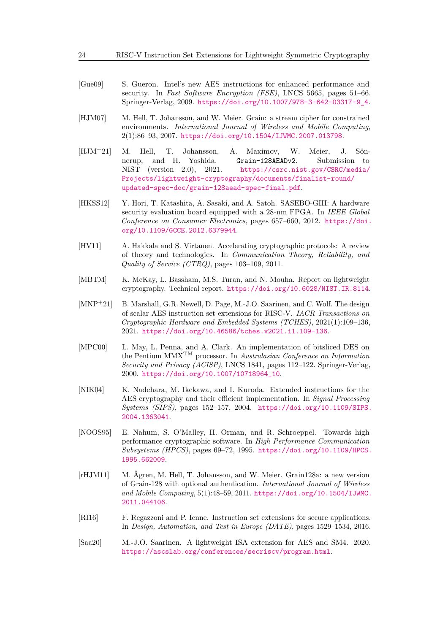- <span id="page-23-4"></span>[Gue09] S. Gueron. Intel's new AES instructions for enhanced performance and security. In *Fast Software Encryption (FSE)*, LNCS 5665, pages 51–66. Springer-Verlag, 2009. [https://doi.org/10.1007/978-3-642-03317-9\\_4](https://doi.org/10.1007/978-3-642-03317-9_4).
- <span id="page-23-7"></span>[HJM07] M. Hell, T. Johansson, and W. Meier. Grain: a stream cipher for constrained environments. *International Journal of Wireless and Mobile Computing*, 2(1):86–93, 2007. <https://doi.org/10.1504/IJWMC.2007.013798>.
- <span id="page-23-6"></span>[HJM<sup>+</sup>21] M. Hell, T. Johansson, A. Maximov, W. Meier, J. Sönnerup, and H. Yoshida. Grain-128AEADv2. Submission to NIST (version 2*.*0), 2021. [https://csrc.nist.gov/CSRC/media/](https://csrc.nist.gov/CSRC/media/Projects/lightweight-cryptography/documents/finalist-round/updated-spec-doc/grain-128aead-spec-final.pdf) [Projects/lightweight-cryptography/documents/finalist-round/](https://csrc.nist.gov/CSRC/media/Projects/lightweight-cryptography/documents/finalist-round/updated-spec-doc/grain-128aead-spec-final.pdf) [updated-spec-doc/grain-128aead-spec-final.pdf](https://csrc.nist.gov/CSRC/media/Projects/lightweight-cryptography/documents/finalist-round/updated-spec-doc/grain-128aead-spec-final.pdf).
- <span id="page-23-12"></span>[HKSS12] Y. Hori, T. Katashita, A. Sasaki, and A. Satoh. SASEBO-GIII: A hardware security evaluation board equipped with a 28-nm FPGA. In *IEEE Global Conference on Consumer Electronics*, pages 657–660, 2012. [https://doi.](https://doi.org/10.1109/GCCE.2012.6379944) [org/10.1109/GCCE.2012.6379944](https://doi.org/10.1109/GCCE.2012.6379944).
- <span id="page-23-1"></span>[HV11] A. Hakkala and S. Virtanen. Accelerating cryptographic protocols: A review of theory and technologies. In *Communication Theory, Reliability, and Quality of Service (CTRQ)*, pages 103–109, 2011.
- <span id="page-23-0"></span>[MBTM] K. McKay, L. Bassham, M.S. Turan, and N. Mouha. Report on lightweight cryptography. Technical report. <https://doi.org/10.6028/NIST.IR.8114>.
- <span id="page-23-5"></span>[MNP<sup>+</sup>21] B. Marshall, G.R. Newell, D. Page, M.-J.O. Saarinen, and C. Wolf. The design of scalar AES instruction set extensions for RISC-V. *IACR Transactions on Cryptographic Hardware and Embedded Systems (TCHES)*, 2021(1):109–136, 2021. <https://doi.org/10.46586/tches.v2021.i1.109-136>.
- <span id="page-23-11"></span>[MPC00] L. May, L. Penna, and A. Clark. An implementation of bitsliced DES on the Pentium MMXTM processor. In *Australasian Conference on Information Security and Privacy (ACISP)*, LNCS 1841, pages 112–122. Springer-Verlag, 2000. [https://doi.org/10.1007/10718964\\_10](https://doi.org/10.1007/10718964_10).
- <span id="page-23-9"></span>[NIK04] K. Nadehara, M. Ikekawa, and I. Kuroda. Extended instructions for the AES cryptography and their efficient implementation. In *Signal Processing Systems (SIPS)*, pages 152–157, 2004. [https://doi.org/10.1109/SIPS.](https://doi.org/10.1109/SIPS.2004.1363041) [2004.1363041](https://doi.org/10.1109/SIPS.2004.1363041).
- <span id="page-23-3"></span>[NOOS95] E. Nahum, S. O'Malley, H. Orman, and R. Schroeppel. Towards high performance cryptographic software. In *High Performance Communication Subsystems (HPCS)*, pages 69–72, 1995. [https://doi.org/10.1109/HPCS.](https://doi.org/10.1109/HPCS.1995.662009) [1995.662009](https://doi.org/10.1109/HPCS.1995.662009).
- <span id="page-23-8"></span>[rHJM11] M. Ågren, M. Hell, T. Johansson, and W. Meier. Grain128a: a new version of Grain-128 with optional authentication. *International Journal of Wireless and Mobile Computing*, 5(1):48–59, 2011. [https://doi.org/10.1504/IJWMC.](https://doi.org/10.1504/IJWMC.2011.044106) [2011.044106](https://doi.org/10.1504/IJWMC.2011.044106).
- <span id="page-23-2"></span>[RI16] F. Regazzoni and P. Ienne. Instruction set extensions for secure applications. In *Design, Automation, and Test in Europe (DATE)*, pages 1529–1534, 2016.
- <span id="page-23-10"></span>[Saa20] M.-J.O. Saarinen. A lightweight ISA extension for AES and SM4. 2020. <https://ascslab.org/conferences/secriscv/program.html>.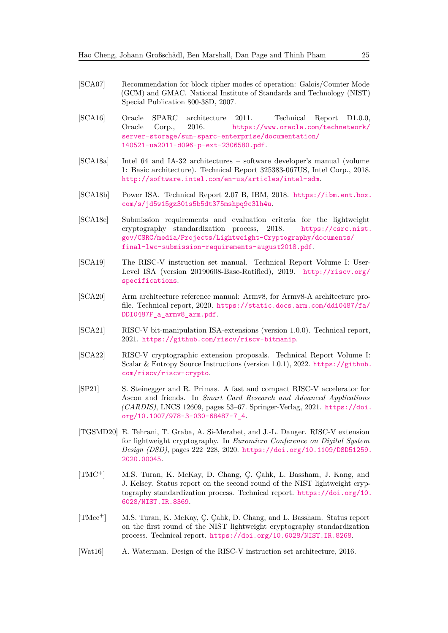- <span id="page-24-13"></span>[SCA07] Recommendation for block cipher modes of operation: Galois/Counter Mode (GCM) and GMAC. National Institute of Standards and Technology (NIST) Special Publication 800-38D, 2007.
- <span id="page-24-6"></span>[SCA16] Oracle SPARC architecture 2011. Technical Report D1.0.0, Oracle Corp., 2016. [https://www.oracle.com/technetwork/](https://www.oracle.com/technetwork/server-storage/sun-sparc-enterprise/documentation/140521-ua2011-d096-p-ext-2306580.pdf) [server-storage/sun-sparc-enterprise/documentation/](https://www.oracle.com/technetwork/server-storage/sun-sparc-enterprise/documentation/140521-ua2011-d096-p-ext-2306580.pdf) [140521-ua2011-d096-p-ext-2306580.pdf](https://www.oracle.com/technetwork/server-storage/sun-sparc-enterprise/documentation/140521-ua2011-d096-p-ext-2306580.pdf).
- <span id="page-24-3"></span>[SCA18a] Intel 64 and IA-32 architectures – software developer's manual (volume 1: Basic architecture). Technical Report 325383-067US, Intel Corp., 2018. <http://software.intel.com/en-us/articles/intel-sdm>.
- <span id="page-24-4"></span>[SCA18b] Power ISA. Technical Report 2.07 B, IBM, 2018. [https://ibm.ent.box.](https://ibm.ent.box.com/s/jd5w15gz301s5b5dt375mshpq9c3lh4u) [com/s/jd5w15gz301s5b5dt375mshpq9c3lh4u](https://ibm.ent.box.com/s/jd5w15gz301s5b5dt375mshpq9c3lh4u).
- <span id="page-24-0"></span>[SCA18c] Submission requirements and evaluation criteria for the lightweight cryptography standardization process, 2018. [https://csrc.nist.](https://csrc.nist.gov/CSRC/media/Projects/Lightweight-Cryptography/documents/final-lwc-submission-requirements-august2018.pdf) [gov/CSRC/media/Projects/Lightweight-Cryptography/documents/](https://csrc.nist.gov/CSRC/media/Projects/Lightweight-Cryptography/documents/final-lwc-submission-requirements-august2018.pdf) [final-lwc-submission-requirements-august2018.pdf](https://csrc.nist.gov/CSRC/media/Projects/Lightweight-Cryptography/documents/final-lwc-submission-requirements-august2018.pdf).
- <span id="page-24-9"></span>[SCA19] The RISC-V instruction set manual. Technical Report Volume I: User-Level ISA (version 20190608-Base-Ratified), 2019. [http://riscv.org/](http://riscv.org/specifications) [specifications](http://riscv.org/specifications).
- <span id="page-24-5"></span>[SCA20] Arm architecture reference manual: Armv8, for Armv8-A architecture profile. Technical report, 2020. [https://static.docs.arm.com/ddi0487/fa/](https://static.docs.arm.com/ddi0487/fa/DDI0487F_a_armv8_arm.pdf) [DDI0487F\\_a\\_armv8\\_arm.pdf](https://static.docs.arm.com/ddi0487/fa/DDI0487F_a_armv8_arm.pdf).
- <span id="page-24-11"></span>[SCA21] RISC-V bit-manipulation ISA-extensions (version 1.0.0). Technical report, 2021. <https://github.com/riscv/riscv-bitmanip>.
- <span id="page-24-7"></span>[SCA22] RISC-V cryptographic extension proposals. Technical Report Volume I: Scalar & Entropy Source Instructions (version 1.0.1), 2022. [https://github.](https://github.com/riscv/riscv-crypto) [com/riscv/riscv-crypto](https://github.com/riscv/riscv-crypto).
- <span id="page-24-10"></span>[SP21] S. Steinegger and R. Primas. A fast and compact RISC-V accelerator for Ascon and friends. In *Smart Card Research and Advanced Applications (CARDIS)*, LNCS 12609, pages 53–67. Springer-Verlag, 2021. [https://doi.](https://doi.org/10.1007/978-3-030-68487-7_4) [org/10.1007/978-3-030-68487-7\\_4](https://doi.org/10.1007/978-3-030-68487-7_4).
- <span id="page-24-12"></span>[TGSMD20] E. Tehrani, T. Graba, A. Si-Merabet, and J.-L. Danger. RISC-V extension for lightweight cryptography. In *Euromicro Conference on Digital System Design (DSD)*, pages 222–228, 2020. [https://doi.org/10.1109/DSD51259.](https://doi.org/10.1109/DSD51259.2020.00045) [2020.00045](https://doi.org/10.1109/DSD51259.2020.00045).
- <span id="page-24-2"></span>[TMC<sup>+</sup>] M.S. Turan, K. McKay, D. Chang, Ç. Çalık, L. Bassham, J. Kang, and J. Kelsey. Status report on the second round of the NIST lightweight cryptography standardization process. Technical report. [https://doi.org/10.](https://doi.org/10.6028/NIST.IR.8369) [6028/NIST.IR.8369](https://doi.org/10.6028/NIST.IR.8369).
- <span id="page-24-1"></span>[TMcc<sup>+</sup>] M.S. Turan, K. McKay, Ç. Çalık, D. Chang, and L. Bassham. Status report on the first round of the NIST lightweight cryptography standardization process. Technical report. <https://doi.org/10.6028/NIST.IR.8268>.
- <span id="page-24-8"></span>[Wat16] A. Waterman. Design of the RISC-V instruction set architecture, 2016.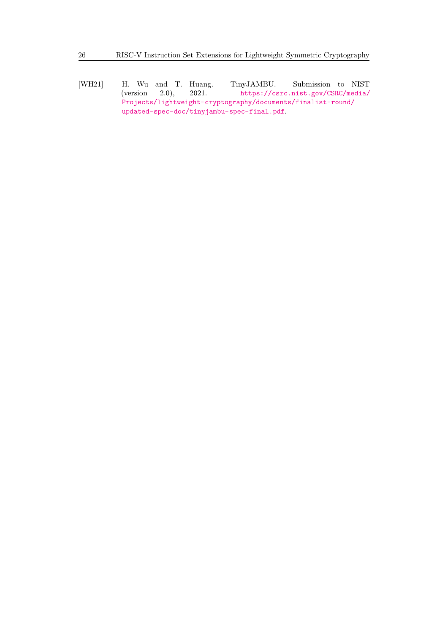<span id="page-25-0"></span>[WH21] H. Wu and T. Huang. TinyJAMBU. Submission to NIST (version 2*.*0), 2021. [https://csrc.nist.gov/CSRC/media/](https://csrc.nist.gov/CSRC/media/Projects/lightweight-cryptography/documents/finalist-round/updated-spec-doc/tinyjambu-spec-final.pdf) [Projects/lightweight-cryptography/documents/finalist-round/](https://csrc.nist.gov/CSRC/media/Projects/lightweight-cryptography/documents/finalist-round/updated-spec-doc/tinyjambu-spec-final.pdf) [updated-spec-doc/tinyjambu-spec-final.pdf](https://csrc.nist.gov/CSRC/media/Projects/lightweight-cryptography/documents/finalist-round/updated-spec-doc/tinyjambu-spec-final.pdf).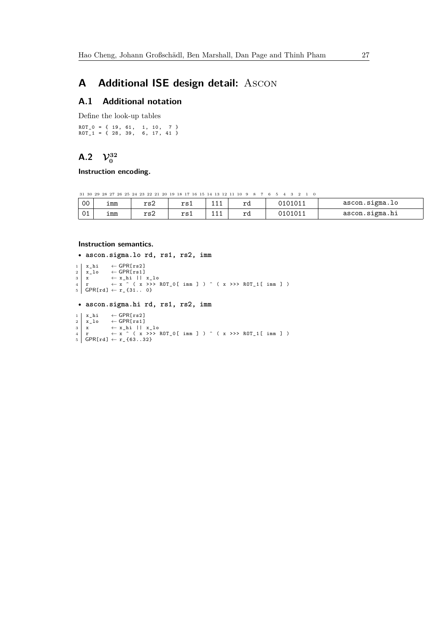## <span id="page-26-0"></span>**A Additional ISE design detail:** Ascon

### **A.1 Additional notation**

Define the look-up tables ROT\_0 = { 19 , 61 , 1, 10 , 7 } ROT\_1 = { 28 , 39 , 6, 17 , 41 }

# **A.2**  $\mathcal{V}_0^{32}$

**Instruction encoding.**

 $31\ 30\ 29\ 28\ 27\ 26\ 25\ 24\ 23\ 22\ 21\ 20\ 19\ 18\ 17\ 16\ 15\ 14\ 13\ 12\ 11\ 10\ 9\ 8\ 7\ 6\ 5\ 4\ 3\ 2\ 1\ 0$ 

| 00 | imm | 20 <sup>2</sup><br>⊥ ⊃∠ | 22.5<br>ᆠᅌᆠ | - - - | r.<br>∸~ | 0101 | ascon.sigma.lo |
|----|-----|-------------------------|-------------|-------|----------|------|----------------|
| 01 | imm | $\mathbf{r}$<br>⊥ ⊃∠    | 22.5<br>ᆠᇰᆂ | - - - | r,<br>∸~ |      | ascon.sigma.hi |

```
• ascon.sigma.lo rd, rs1, rs2, imm
\begin{array}{ccc} 1 & x_h \text{ i} & \leftarrow \text{GPR}[\text{rs2}] \\ 2 & x_h \text{ i} & \leftarrow \text{GPR}[\text{rs1}] \end{array}\leftarrow GPR[rs1]
3 x ← x_hi || x_lo<br>4 r ← x ^ ( x >>> ROT_0[ imm ] ) ^ ( x >>> ROT_1[ imm ] )<br>5 GPR[rd] ← r_{31.. 0}
 • ascon.sigma.hi rd, rs1, rs2, imm
1 x_hi ← GPR[rs2]<br>2 x_lo ← GPR[rs1]<br>4 x ← x ^ ( x >>> ROT_0[ imm ] ) ^ ( x >>> ROT_1[ imm ] )<br>5 GPR[rd] ← r_{63..32}
```
- 
-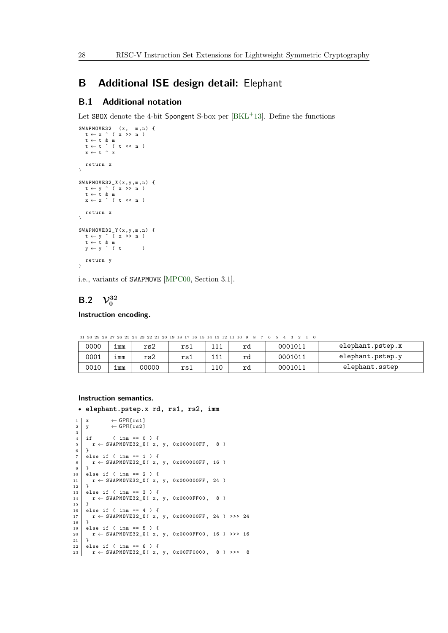## <span id="page-27-0"></span>**B Additional ISE design detail:** Elephant

### **B.1 Additional notation**

Let SBOX denote the 4-bit Spongent S-box per  $[BKL+13]$  $[BKL+13]$ . Define the functions

```
SWAPMOVE32 (x, m,n) {<br>
t ← x ^ ( x >> n )<br>
t ← t & m<br>
t ← t ^ ( t << n )<br>
x ← t ^ x
   return x
}
 SWAPMOVE32_X (x ,y ,m ,n) {
t ← y ^ ( x >> n )
t ← t & m
    x \leftarrow x ^ ( t << n )
     return x
}
 SWAPMOVE32_Y (x , y , m , n) {<br>
t ← y ^ ( x >> n )<br>
t ← t & m<br>
y ← y ^ ( t )
 return y
}
```
i.e., variants of SWAPMOVE [\[MPC00,](#page-23-11) Section 3.1].

# **B.2**  $\mathcal{V}_0^{32}$

**Instruction encoding.**

|      | 31 30 29 28 27 26 25 24 23 22 21 20 19 18 17 16 15 14 13 12 11 10 9 8 7 6 5 4 3 2 1 0 |       |     |     |    |         |                  |  |  |  |  |  |
|------|---------------------------------------------------------------------------------------|-------|-----|-----|----|---------|------------------|--|--|--|--|--|
| 0000 | imm                                                                                   | rs2   | rs1 | 111 | rd | 0001011 | elephant.pstep.x |  |  |  |  |  |
| 0001 | imm                                                                                   | rs2   | rs1 | 111 | rd | 0001011 | elephant.pstep.y |  |  |  |  |  |
| 0010 | imm                                                                                   | 00000 | rs1 | 110 | rd | 0001011 | elephant.sstep   |  |  |  |  |  |

```
• elephant.pstep.x rd, rs1, rs2, imm
```

```
\begin{array}{ccc} 1 & x & \leftarrow \text{GPR}[\text{rs1}] \\ 2 & y & \leftarrow \text{GPR}[\text{rs2}] \end{array}y \leftarrow GPR[rs2]3
 4 | if ( imm == 0 ) {<br>5 |   r ← SWAPMOVE32_X( x, y, 0x000000FF, 8 )
 6 \mid \}7 else if ( imm == 1 ) {
8 r ← SWAPMOVE32_X ( x , y , 0 x000000FF , 16 )
\begin{array}{c|c} 9 & \rightarrow \\ 10 & \neq \end{array}10 else if ( imm == 2 ) {<br>11 r \leftarrow SWAPMOVE32 X( x,
     r \leftarrow \text{SWAPMOWE32_X(X, y, 0 x000000FF, 24)}12 }
\begin{bmatrix} 12 \\ 13 \end{bmatrix} else if ( imm == 3 ) {
14 r ← SWAPMOVE32_X(x, y, 0x0000FF00, 8)
15 }
16 else if ( imm == 4 ) {<br>17 r ← SWAPMOVE32_X( x, y, 0x000000FF, 24 ) >>> 24
18 }<br>20 else if ( imm == 5 ) {<br>21 }<br>21 }
22 else if ( imm == 6 ) {<br>
23 \t + SWAPMOVE32_X(x,r \leftarrow \texttt{SWAPMOWE32_X(} x, y, 0x00FF0000, 8 ) >> 8
```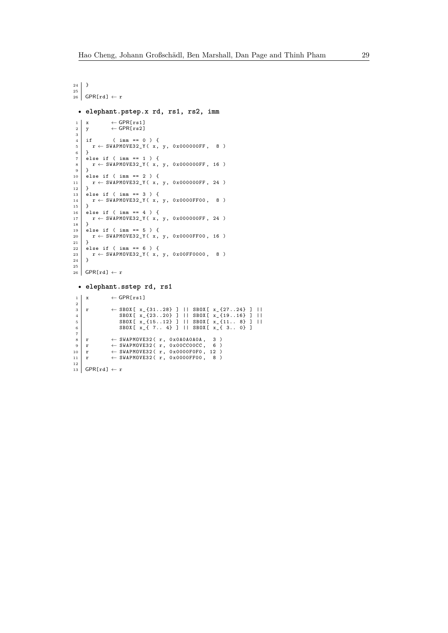```
24 }
25
\begin{array}{c|c} 23 \\ 26 \end{array} GPR[rd] \leftarrow r
   • elephant.pstep.x rd, rs1, rs2, imm
 \begin{array}{ccc} 1 & x & \leftarrow \text{GPR}[\text{rs1}] \\ 2 & y & \leftarrow \text{GPR}[\text{rs2}] \end{array}y \leftarrow \text{GPR}[\text{rs2}]3
  4 if ( imm == 0 ) {<br>
5 r ← SWAPMOVE32_Y( x, y, 0x000000FF, 8 )<br>
6 }
  7 else if ( imm == 1 ) {<br>8 r ← SWAPMOVE32_Y( x, y, 0x000000FF, 16 )<br>9 }
10 else if ( imm == 2 ) {<br>
11 r ← SWAPMOVE32_Y( x, y, 0x000000FF, 24 )<br>
12 }
13 else if ( imm == 3 ) {
14 r ← SWAPMOVE32_Y ( x , y , 0 x0000FF00 , 8 )
\begin{array}{c|c} 15 & \rightarrow \\ 16 & \rightarrow \end{array}16 else if ( imm == 4 ) {<br>17 r ← SWAPMOVE32_Y( x, y, 0x000000FF, 24 )
\begin{array}{c|c} 18 & \rightarrow \\ 19 & \in \end{array}19 else if ( imm == 5 ) {<br>
20 \t r \leftarrow SWAPMOVE32_Y( x,
20 r \leftarrow \text{SWAPMOWE32_Y(x, y, 0x0000FF00, 16)}21 }<br>22 else if ( imm == 6 ) {<br>23 r ← SWAPMOVE32_Y( x, y, 0x00FF0000, 8 )<br>24 }
25
26 GPR[rd] \leftarrow r
   • elephant.sstep rd, rs1
 1 \mid x \leftarrow \text{GPR}[\text{rs1}]\begin{array}{c} 2 \\ 3 \end{array}3 r ← SBOX [ x_{31..28} ] || SBOX [ x_{27..24} ] ||<br>
SBOX [ x_{23..20} ] || SBOX [ x_{19..16} ] ||<br>
SBOX [ x_{ 7.. 4} ] || SBOX [ x_{ 1.. 8} ] ||<br>
SBOX [ x_{ 7.. 4} ] || SBOX [ x_{ 3.. 0} ]
 7
8 r ← SWAPMOVE32( r, 0x0A0A0A0A, 3)<br>
9 r ← SWAPMOVE32( r, 0x00CC00CC, 6)<br>
10 r ← SWAPMOVE32( r, 0x0000FF00, 12)<br>
11 r ← SWAPMOVE32( r, 0x0000FF00, 8)
12
13 GPR[rd] \leftarrow r
```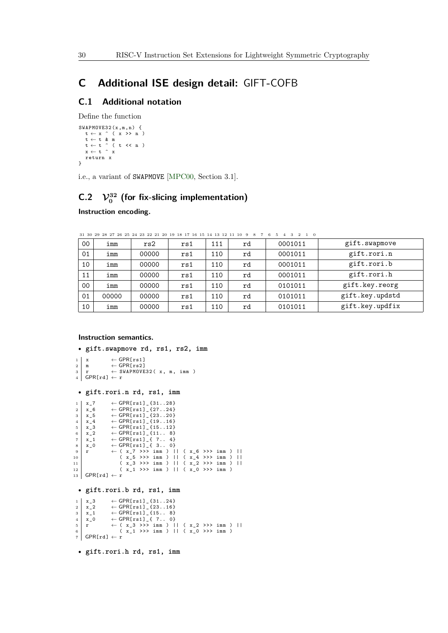## <span id="page-29-0"></span>**C Additional ISE design detail:** GIFT**-**COFB

### **C.1 Additional notation**

Define the function

```
SWAPMOVE32(x,m,n) {
   t \leftarrow x \quad (x \rightarrow x)t ← t & m
t ← t ^ ( t << n )
x ← t ^ x
   return x
}
```
i.e., a variant of SWAPMOVE [\[MPC00,](#page-23-11) Section 3.1].

# **C.2**  $\mathcal{V}_0^{32}$  (for fix-slicing implementation)

**Instruction encoding.**

| $00\,$ | imm   | rs2   | rs1 | 111 | rd | 0001011 | gift.swapmove   |  |  |  |  |  |
|--------|-------|-------|-----|-----|----|---------|-----------------|--|--|--|--|--|
| 01     | imm   | 00000 | rs1 | 110 | rd | 0001011 | gift.rori.n     |  |  |  |  |  |
| 10     | imm   | 00000 | rs1 | 110 | rd | 0001011 | gift.rori.b     |  |  |  |  |  |
| 11     | imm   | 00000 | rs1 | 110 | rd | 0001011 | gift.rori.h     |  |  |  |  |  |
| 00     | imm   | 00000 | rs1 | 110 | rd | 0101011 | gift.key.reorg  |  |  |  |  |  |
| 01     | 00000 | 00000 | rs1 | 110 | rd | 0101011 | gift.key.updstd |  |  |  |  |  |
| 10     | imm   | 00000 | rs1 | 110 | rd | 0101011 | gift.key.updfix |  |  |  |  |  |
|        |       |       |     |     |    |         |                 |  |  |  |  |  |

 $31\ 30\ 29\ 28\ 27\ 26\ 25\ 24\ 23\ 22\ 21\ 20\ 19\ 18\ 17\ 16\ 15\ 14\ 13\ 12\ 11\ 10\ 9\ 8\ 7\ 6\ 5\ 4\ 3\ 2\ 1\ 0$ 

**Instruction semantics.**

```
• gift.swapmove rd, rs1, rs2, imm
```

```
1 \mid x \mid \leftarrow \text{GPR}[\text{rs1}]
```

```
2 m ← GPR[rs2]<br>3 r ← SWAPMOVE32(x, m, imm)
```

```
4 GPR[rd] \leftarrow r
```

```
• gift.rori.n rd, rs1, imm
```

| 1              | x 7                    | $\leftarrow$ GPR[rs1] {3128}                              |
|----------------|------------------------|-----------------------------------------------------------|
| $\overline{2}$ | x 6                    | $\leftarrow$ GPR[rs1] {2724}                              |
| 3              | $x - 5$                | $\leftarrow$ GPR[rs1] {2320}                              |
| $\overline{4}$ | x 4                    | $\leftarrow$ GPR[rs1] {1916}                              |
| 5              | x 3                    | $\leftarrow$ GPR[rs1] [1512}                              |
| 6              | x <sub>2</sub>         | $\leftarrow$ GPR[rs1] {11 8}                              |
| $\overline{7}$ | x <sub>1</sub>         | $\leftarrow$ GPR[rs1] { 7 4}                              |
| 8              | $x \quad 0$            | $\leftarrow$ GPR[rs1] { 3 0}                              |
| 9              | r                      | $\leftarrow$ ( x_7 >>> imm )    ( x_6 >>> imm )           |
| 10             |                        | ( x 5 >>> imm )    ( x 4 >>> imm )                        |
| 11             |                        | $(x_3 \gg) \sim \text{imm}$   $(x_2 \gg) \sim \text{imm}$ |
| $12 \,$        |                        | $(x 1 \gg) \text{ imm}$    $(x 0 \gg) \text{ imm}$ )      |
| 13             | $GPR[rd] \leftarrow r$ |                                                           |
|                |                        |                                                           |

### • **gift.rori.b rd, rs1, imm**

```
1 x_2 \left.\begin{array}{ll} x_3 \left( \text{GPR[rs1]}_2 \right) & x_1 \\ x_2 \left( \text{GPR[rs1]}_2 \right) & x_2 \\ x_3 \left( \text{GPR[rs1]}_2 \right) & x_3 \end{array}\right. + GPR[rs1]<sub>1</sub>{15.. 8}
  2 x_1^2 ← GPR[rs1]_{23..16}<br>
3 x_1^2 ← GPR[rs1]_{15.. 8}<br>
5 x_1^2 ← GPR[rs1]_{7.. 0}<br>
5 x_1^2 ← (x_1^3 >> imm ) || (x_1^2 >>> imm ) ||<br>
(x_1^3 >> imm ) || (x_2^3 >> imm ) ||
\begin{array}{ccc} \n\frac{1}{5} & \text{r} & \leftarrow & \leftarrow \\
\frac{6}{7} & \text{GPR[rd]} & \leftarrow & \text{r} \n\end{array}
```
• **gift.rori.h rd, rs1, imm**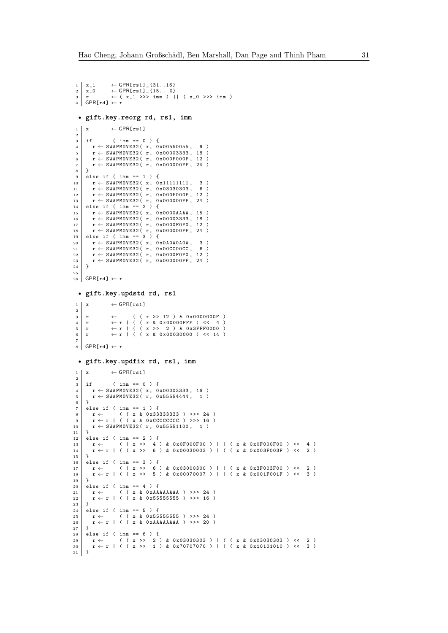```
1 | x_1 ← GPR[rs1]_{31..16}<br>2 | x_0 ← GPR[rs1]_{15.. 0}
 2 x = 0 ← GPR[rs1] {15...0}<br>3 r ← (x_1 >>> imm ) || (x_0 >>> imm )
       GPR[rd] \leftarrow r• gift.key.reorg rd, rs1, imm
 1 \mid x \leftarrow \text{GPR}[\text{rs1}]2
  3 if ( imm == 0 ) {<br>4 r ← SWAPMOVE32( x, 0x00550055, 9 )
  5 r ← SWAPMOVE32( r, 0x00003333, 18 )<br>6 r ← SWAPMOVE32( r, 0x000F000F, 12 )<br>7 r ← SWAPMOVE32( r, 0x000000FF, 24 )
 \begin{array}{c|c} 8 & \rightarrow \\ 9 & \rightarrow \end{array}9 else if ( imm == 1 ) {<br>10 r \leftarrow SWAPMOVE32( x, 0
         r \leftarrow SWAPMOVE32( x, 0x11111111, 3)
11 r \leftarrow SWAPMOVE32( r, 0x03030303, 6)<br>
12 r ← SWAPMOVE32( r, 0x000F000F, 12)
13 r \leftarrow SWAPMOVE32(r, 0x000000FF, 24)
14 else if ( imm == 2 ) {<br>15 r ← SWAPMOVE32( x, 0x0000AAAA, 15 )<br>16 r ← SWAPMOVE32( r, 0x00003333, 18 )
17 r ← SWAPMOVE32(r, 0x0000F0F0, 12)<br>18 r ← SWAPMOVE32(r, 0x000000FF, 24)<br>19 else if (imm == 3) {
20 r \leftarrow \text{SWAPMOWE32} (\begin{array}{c} x, & 0 \ x 0 A0A0A0A0A, & 3 \end{array})<br>21 r \leftarrow \text{SWAPMOWE32} (\begin{array}{c} x, & 0 \ x 0 0 0 \ \text{CC000CC}, & 6 \end{array})22 r \leftarrow \text{SWAPMOWE32} (r, 0 \times 0000F0F0, 12)<br>
r \leftarrow \text{SWAPMOWE32} (r, 0 \times 000000F0F, 24)\begin{array}{c|c} 24 & \end{array}25
_{26} GPR[rd] \leftarrow r
  • gift.key.updstd rd, rs1
 1 \mid x \mid \leftarrow GPR[rs1]
 2
  3 r ← ( ( x >> 12 ) & 0x000000F )<br>
r ← r | ( ( x & 0 x00000FFF ) << 4 )<br>
r ← r | ( ( x > 2 ) & 0 x3FFF 0000<br>
r ← r | ( ( x & 0 x00030000 ) << 14 )
 7
 s GPR[rd] \leftarrow r
  • gift.key.updfix rd, rs1, imm
 1 \mid x \leftarrow \text{GPR}[\text{rs1}]2
 3 if ( imm == 0 ) {
  4 r ← SWAPMOVE32( x, 0x00003333, 16 )<br>5 r ← SWAPMOVE32( r, 0x55554444, 1)
 \begin{array}{c|c} 6 & \rightarrow \\ 7 & \rightarrow \end{array}else if ( imm == 1 ) {
  8 r ← ( ( x & 0 x33333333 ) >>> 24 )
9 r ← r | ( ( x & 0 xCCCCCCCC ) >>> 16 )
10 r \leftarrow SWAPMOVE32 ( r, 0x55551100, 1)
\begin{array}{c|c} 11 & \rightarrow \\ 12 & \rightarrow \end{array}12 else if ( imm == 2 ) {<br>
13 | r ←      ( ( x >> 4 ) & 0x0F000F00 ) | ( ( x & 0x0F000F00 ) << 4 )<br>
14 | r ← r | ( ( x >> 6 ) & 0x00030003 ) | ( ( x & 0x003F003F ) << 2 )
\frac{1}{15} }
16 else if ( imm == 3 ) {
17 | r ← ( ( x >> 6 ) & 0x03000300 ) | ( ( x & 0x3F003F00 ) << 2 )<br>18 | r ← r | ( ( x >> 5 ) & 0x00070007 ) | ( ( x & 0x001F001F ) << 3 )
19 \mid \}20 else if ( imm == 4 ) {<br>
21 r \leftarrow ( ( x & 0 xAAAAAAAAA ) >>> 24 )
22 r ← r | ( ( x & 0 x55555555 ) >>> 16 )
\frac{23}{24}24 else if ( imm == 5 ) {<br>
25 r \leftarrow ( ( x & 0x55555555 ) >>> 24 )<br>
26 r \leftarrow r | ( ( x & 0xAAAAAAAAA ) >>> 20 )
27 \mid \}28 else if ( imm == 6 ) {<br>
29 r ← ( ( x >> 2 ) & 0x03030303 ) | ( ( x & 0x03030303 ) << 2 )<br>
30 r ← r | ( ( x >> 1 ) & 0x70707070 ) | ( ( x & 0x10101010 ) << 3 )
31 }
```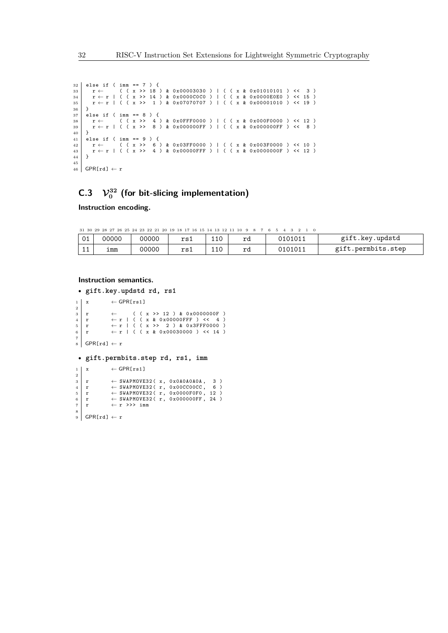$\begin{array}{c|ccccc}\n 32 & \text{else if} & (\text{imm} == 7) & \{ \\
 33 & \text{r} \leftarrow & (\text{ ( }x \rightarrow& 18) & \n\end{array}$ 33 r ← ( ( x >> 18 ) & 0 x00003030 ) | ( ( x & 0 x01010101 ) << 3 )<br>34 r ← r | ( ( x >> 14 ) & 0 x00000C0C0 ) | ( ( x & 0 x00000E0E0 ) << 15 )<br>35 r ← r | ( ( x >> 1 ) & 0 x07070707 ) | ( ( x & 0 x00001010 ) << 19 ) 36 } 37 else if ( imm == 8 ) {<br>38 r ← ( ( x >> 4 ) & 0x0FFF0000 ) | ( ( x & 0x000F0000 ) << 12 )<br>39 r ← r | ( ( x >> 8 ) & 0x000000FF ) | ( ( x & 0x000000FF ) << 8 )  $\begin{array}{c|c} 40 & 3 \\ 41 & 6 \end{array}$ 41 else if ( imm == 9 ) {<br>  $x \leftarrow (x > 6)$ <sup>42</sup> r ← ( ( x >> 6 ) & 0 x03FF0000 ) | ( ( x & 0 x003F0000 ) << 10 ) <sup>43</sup> r ← r | ( ( x >> 4 ) & 0 x00000FFF ) | ( ( x & 0 x0000000F ) << 12 )  $\frac{16}{44}$  } 45  $46$  GPR[rd]  $\leftarrow$  r

# **C.3**  $\mathcal{V}_0^{32}$  (for bit-slicing implementation)

**Instruction encoding.**

01231 3029 2827 2625 2423 2221 2019 1817 1615 1413 1211 10 9 8 7 6 5 4 3 2 1 0

| $\sim$<br>◡⊥ | 00000 | 00000 | rs1 | $\overline{A}$<br>ᅩᅩ | rd                 | 0101011 | updstd.<br>$\sim$ $-$<br>.kev |
|--------------|-------|-------|-----|----------------------|--------------------|---------|-------------------------------|
| ᆠᆂ           | imm   | 00000 | rs1 | $\overline{A}$<br>ᅩᅩ | $\mathbf{r}$<br>⊥u | 0101011 | .permbits.step<br>ᡴ           |

```
• gift.key.updstd rd, rs1
1 \mid x \mid \leftarrow GPR[rs1]
2
 3 r ← ( ( x >> 12 ) & 0x000000F )<br>
r ← r | ( ( x & 0 x00000FFF ) << 4 )<br>
r ← r | ( ( x > 2 ) & 0 x3FFF 0000<br>
r ← r | ( ( x & 0 x00030000 ) << 14 )
7
s GPR[rd] \leftarrow r
  • gift.permbits.step rd, rs1, imm
1 \mid x \leftarrow \text{GPR}[\text{rs1}]\begin{array}{c} 2 \\ 3 \end{array}3 r ← SWAPMOVE32( x, 0x0A0A0A0A, 3 )<br>
\begin{array}{lcl} \texttt{1} & \leftarrow & \texttt{SWAPMOWE32( r, 0x00000CC, 6)} \\ \texttt{2} & \leftarrow & \texttt{SWAPMOWE32( r, 0x000000C}, 62) \\ \texttt{3} & \leftarrow & \texttt{SWAPMOWE32( r, 0x0000000F, 24)} \end{array}7 \rvert r \rvert \leftarrow r \rightarrow \rightarrow \text{imm}8
\frac{9}{9} GPR[rd] \leftarrow r
```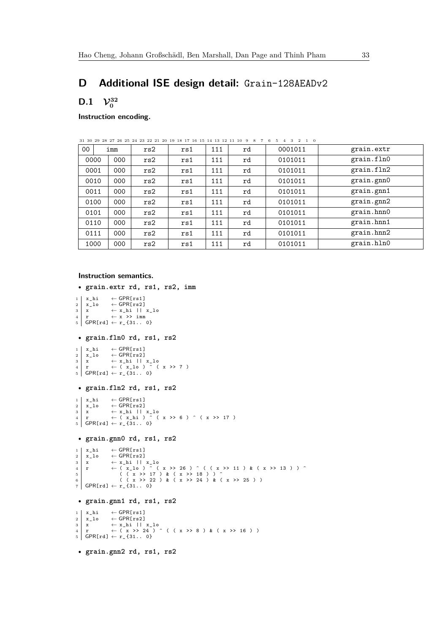## <span id="page-32-0"></span>**D Additional ISE design detail:** Grain-128AEADv2

# **D.1**  $\mathcal{V}_0^{32}$

#### **Instruction encoding.**

|      | 3<br>1 0<br>31 30 29 28 27 26 25 24 23 22 21<br>19 18 17 16 15 14 13 12 11 10 9<br>8<br>5<br>$\overline{2}$<br>20<br>6<br>$\overline{4}$ |     |     |     |     |    |         |            |  |  |  |  |  |
|------|------------------------------------------------------------------------------------------------------------------------------------------|-----|-----|-----|-----|----|---------|------------|--|--|--|--|--|
| 00   |                                                                                                                                          | imm | rs2 | rs1 | 111 | rd | 0001011 | grain.extr |  |  |  |  |  |
| 0000 |                                                                                                                                          | 000 | rs2 | rs1 | 111 | rd | 0101011 | grain.fln0 |  |  |  |  |  |
| 0001 |                                                                                                                                          | 000 | rs2 | rs1 | 111 | rd | 0101011 | grain.fln2 |  |  |  |  |  |
| 0010 |                                                                                                                                          | 000 | rs2 | rs1 | 111 | rd | 0101011 | grain.gnn0 |  |  |  |  |  |
| 0011 |                                                                                                                                          | 000 | rs2 | rs1 | 111 | rd | 0101011 | grain.gnn1 |  |  |  |  |  |
| 0100 |                                                                                                                                          | 000 | rs2 | rs1 | 111 | rd | 0101011 | grain.gnn2 |  |  |  |  |  |
| 0101 |                                                                                                                                          | 000 | rs2 | rs1 | 111 | rd | 0101011 | grain.hnn0 |  |  |  |  |  |
| 0110 |                                                                                                                                          | 000 | rs2 | rs1 | 111 | rd | 0101011 | grain.hnn1 |  |  |  |  |  |
| 0111 |                                                                                                                                          | 000 | rs2 | rs1 | 111 | rd | 0101011 | grain.hnn2 |  |  |  |  |  |
| 1000 |                                                                                                                                          | 000 | rs2 | rs1 | 111 | rd | 0101011 | grain.hln0 |  |  |  |  |  |

```
• grain.extr rd, rs1, rs2, imm
\begin{array}{ccc} 1 & x\_\text{hi} & \leftarrow \text{GPR}[\text{rs1}] \\ 2 & x\_\text{lo} & \leftarrow \text{GPR}[\text{rs2}] \end{array}2 x\rightarrow 0 ← GPR[rs2]<br>3 x\rightarrow 0 ← x\rightarrow 1 i || x\rightarrow 0<br>4 r\rightarrow 0 ← x\rightarrow 0 imm<br>5 GPR[rd] ← r\rightarrow 31... 0}
 • grain.fln0 rd, rs1, rs2
1 \mid x_hi ← GPR[rs1]
\begin{array}{ccc} 2 & x_{-}10 & \leftarrow GPR[rs2] \\ 3 & x & \leftarrow x_{-}hi & || \\ & & \leftarrow x_{-}1a_{-}\end{array}\begin{array}{ccccc} 3 & x & \leftarrow & x\text{-hi} & | & x\text{-lo} \\ 4 & r & \leftarrow & (x\text{-lo}) & (x \rightarrow & 7) \end{array}5 \mid \text{GPR[rd]} \leftarrow r_{-} \{31..0\}• grain.fln2 rd, rs1, rs2
1 \mid x_{h}i ← GPR[rs1]
\begin{array}{c} 1 \\ 2 \end{array} x_1x_0 + GPR[rs2]3 x ← x_hi || x_lo<br>
4 r ← ( x_hi ) ^ ( x >> 6 ) ^ ( x >> 17 )<br>
5 GPR[rd] ← r_{31.. 0}
  • grain.gnn0 rd, rs1, rs2
\begin{array}{ccc} 1 & x_hi & \leftarrow \text{GPR}[\text{rs1}] \\ 2 & x_hi & \leftarrow \text{GPR}[\text{rs2}] \end{array}2 x\perp 5 x + GPR[rs2]<br>
3 x + x_hi || x_lo<br>
5 (x \rightarrow 26) ( (x \rightarrow 11) & ( x \rightarrow 13 ) \rightarrow<br>
4 (x \rightarrow 13) ( (x \rightarrow 22) & ( x \rightarrow 18 ) \rightarrow<br>
4 (x \rightarrow 22) & ( x \rightarrow 24 ) & ( x \rightarrow 25 ) )<br>
7 GPR[rd] \leftarrow r_{31.. 0}
  • grain.gnn1 rd, rs1, rs2
\begin{array}{ccc} 1 & x_hi & \leftarrow GPR[rs1] \\ 2 & x_hi & \leftarrow GPR[rs2] \end{array}\leftarrow GPR[rs2]
 3 x ← x_hi || x_lo<br>
4 r ← ( x >> 24 ) ^ ( ( x >> 8 ) & ( x >> 16 ) )<br>
5 GPR[rd] ← r_{31.. 0}
  • grain.gnn2 rd, rs1, rs2
```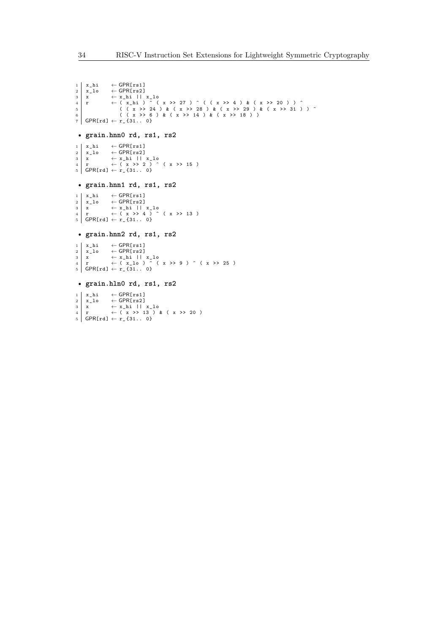```
\begin{array}{ccc} 1 & x_hi & \leftarrow \text{GPR}[\text{rs1}] \\ 2 & x_hi & \leftarrow \text{GPR}[\text{rs2}] \end{array}2 x_10 \leftarrow GPR[rs2]<br>
2 x \leftarrow x_hi || x_10<br>
5 x \leftarrow (x_hi || x_10<br>
5 (x >> 24 ) & (x >> 28 ) & (x >> 29 ) & (x >> 31 ) ) ^<br>
((x >> 6 ) & (x >> 14 ) & (x >> 18 ) )<br>
7 GPR[rd] \leftarrow r_{31.. 0}
 • grain.hnn0 rd, rs1, rs2
 1 x_hi ← GPR[rs1]<br>
2 x_lo ← GPR[rs2]<br>
4 x ← x_hi || x_lo<br>
4 r ← ( x >> 2 ) ^ ( x >> 15 )<br>
5 GPR[rd] ← r_{31.. 0}
  • grain.hnn1 rd, rs1, rs2
 1 x_hi ← GPR[rs1]<br>
2 x_lo ← GPR[rs2]<br>
4 x ← x_hi || x_lo<br>
4 r ← ( x >> 4 ) ^ ( x >> 13 )<br>
5 GPR[rd] ← r_{31.. 0}
  • grain.hnn2 rd, rs1, rs2
 1 x_hi ← GPR[rs1]<br>
2 x_lo ← GPR[rs2]<br>
4 x ← x_hi || x_lo<br>
4 r ← ( x_lo ) ^ ( x >> 9 ) ^ ( x >> 25 )<br>
5 GPR[rd] ← r_{31.. 0}
  • grain.hln0 rd, rs1, rs2
 1 x_hi ← GPR[rs1]<br>
2 x_lo ← GPR[rs2]<br>
4 x ← x_hi || x_lo<br>
4 r ← ( x >> 13 ) & ( x >> 20 )<br>
5 GPR[rd] ← r_{31.. 0}
```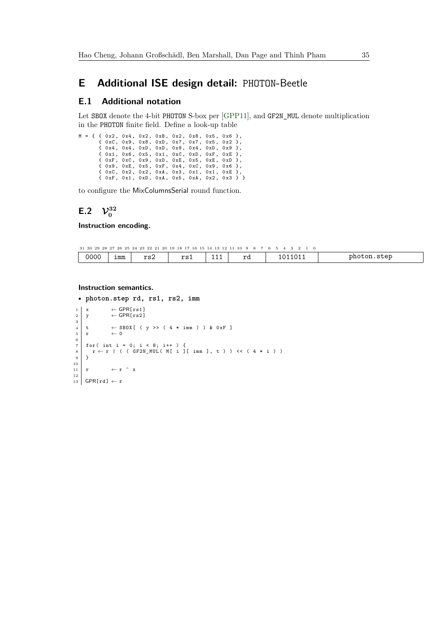## <span id="page-34-0"></span>**E Additional ISE design detail:** PHOTON**-**Beetle

### **E.1 Additional notation**

Let SBOX denote the 4-bit PHOTON S-box per [\[GPP11\]](#page-22-6), and GF2N\_MUL denote multiplication in the PHOTON finite field. Define a look-up table

M = { { 0x2, 0x4, 0x2, 0xB, 0x2, 0x8, 0x5, 0x6 },<br>{ 0xC, 0x9, 0x8, 0xD, 0x7, 0x7, 0x5, 0x2 },<br>{ 0x4, 0x4, 0xD, 0xD, 0x9, 0x4, 0x9, 0x9 },<br>{ 0x1, 0x6, 0x5, 0x1, 0xC, 0xD, 0xF, 0xE }, { 0xF , 0xC , 0 x9 , 0xD , 0 xE , 0x5 , 0xE , 0 xD }, { 0x9 , 0 xE , 0x5 , 0xF , 0 x4 , 0xC , 0x9 , 0 x6 }, { 0xC , 0x2 , 0 x2 , 0xA , 0x3 , 0 x1 , 0x1 , 0 xE }, { 0xF , 0x1 , 0 xD , 0xA , 0x5 , 0 xA , 0x2 , 0 x3 } }

to configure the MixColumnsSerial round function.

# **E.2**  $V_0^{32}$

**Instruction encoding.**

|      |     | 31 30 29 28 27 26 25 24 23 22 21 20 19 18 17 16 15 14 13 12 11 10 9 8 |    |       |                      |              |                  |
|------|-----|-----------------------------------------------------------------------|----|-------|----------------------|--------------|------------------|
| 0000 | imm | ra.<br>⊥ ہ∠                                                           | 22 | - - - | r <sub>0</sub><br>⊥u | 101<br>LIUII | step.<br>photon. |

```
• photon.step rd, rs1, rs2, imm
\begin{array}{ccc} 1 & x & \leftarrow \text{GPR}[\text{rs1}] \\ 2 & y & \leftarrow \text{GPR}[\text{rs2}] \end{array}\leftarrow GPR[rs2]
3
4 t ← SBOX[ ( y >> ( 4 * imm ) ) & 0 xF ]<br>5 r ← 0
      r \leftrightarrow 06
7 for ( int i = 0; i < 8; i ++ ) {
8 r \leftarrow r | ( ( GF2N_MUL ( M[ i ][ imm ], t ) ) << ( 4 * i ) )
      \rightarrow\begin{array}{c} 10 \\ 11 \end{array}r \leftrightarrow r \uparrow x12
13 GPR[rd] \leftarrow r
```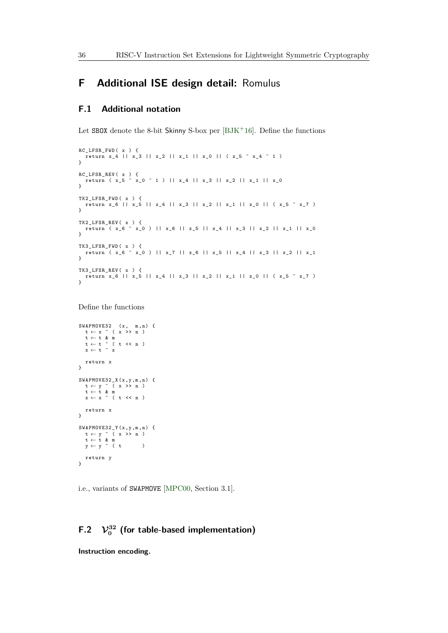## <span id="page-35-0"></span>**F Additional ISE design detail:** Romulus

### **F.1 Additional notation**

Let SBOX denote the 8-bit Skinny S-box per  $[BJK^+16]$  $[BJK^+16]$ . Define the functions

```
RC_LFSR_FWD(x){<br>| return x_4 || x_3 || x_2 || x_1 || x_0 || (x_5 ^ x_4 ^ 1 )<br>}
RC_LFSR_REV(x){<br>| return (x_5 ^ x_0 ^ 1 ) || x_4 || x_3 || x_2 || x_1 || x_0<br>}
TK2_LFSR_FWD(x){<br>| return x_6 || x_5 || x_4 || x_3 || x_2 || x_1 || x_0 || ( x_5 ^ x_7 )<br>}
TK2_LFSR_REV ( x ) {
return ( x_6 ^ x_0 ) || x_6 || x_5 || x_4 || x_3 || x_2 || x_1 || x_0
}
TK3_LFSR_FWD(x){<br>| return (x_6 ^ x_0 ) || x_7 || x_6 || x_5 || x_4 || x_3 || x_2 || x_1<br>}
TK3_LFSR_REV ( x ) {
return x_6 || x_5 || x_4 || x_3 || x_2 || x_1 || x_0 || ( x_5 ^ x_7 )
\mathbf{r}
```
Define the functions

```
SWAPMOWE32 (x, m,n) {<br>
t \leftarrow x \quad (x \gtgt; n)t ← t & m
t ← t ^ ( t << n )
x ← t ^ x
  return x
}
SWAPMOWE32_X(x,y,m,n) {
    t ← y ^ ( x >> n )
t ← t & m
  x \leftarrow x \quad (t \iff n)return x
}
SWAPMOVE32_Y (x ,y ,m ,n) {
    t ← y ^ ( x >> n )
t ← t & m
  y \leftarrow y \quad (t \qquad )return y
}
```
i.e., variants of SWAPMOVE [\[MPC00,](#page-23-11) Section 3.1].

# **F.2**  $\mathcal{V}_0^{32}$  (for table-based implementation)

**Instruction encoding.**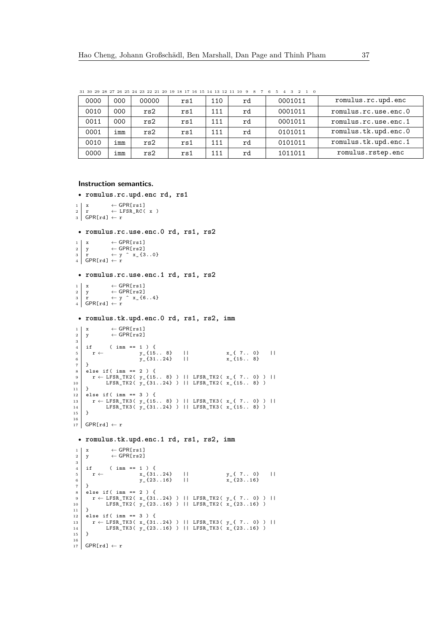| 0000 | 000 | 00000 | rs1 | 110 | rd | 0001011 | romulus.rc.upd.enc   |
|------|-----|-------|-----|-----|----|---------|----------------------|
| 0010 | 000 | rs2   | rs1 | 111 | rd | 0001011 | romulus.rc.use.enc.0 |
| 0011 | 000 | rs2   | rs1 | 111 | rd | 0001011 | romulus.rc.use.enc.1 |
| 0001 | imm | rs2   | rs1 | 111 | rd | 0101011 | romulus.tk.upd.enc.0 |
| 0010 | imm | rs2   | rs1 | 111 | rd | 0101011 | romulus.tk.upd.enc.1 |
| 0000 | imm | rs2   | rs1 | 111 | rd | 1011011 | romulus.rstep.enc    |

31 30 29 28 27 26 25 24 23 22 21 20 19 18 17 16 15 14 13 12 11 10 9 8 7 6 5 4 3 2 1 0

```
Instruction semantics.
```

```
• romulus.rc.upd.enc rd, rs1
 \begin{array}{ccc} 1 & x & \leftarrow \text{GPR}[\text{rs1}] \\ 2 & r & \leftarrow \text{LFSR RC} \end{array}\leftarrow LFSR RC( x )
 3 \mid \text{GPR[rd]} \leftarrow r• romulus.rc.use.enc.0 rd, rs1, rs2
 \begin{array}{ccc} 1 & x & \leftarrow \text{GPR}[\text{rs1}] \\ 2 & y & \leftarrow \text{GPR}[\text{rs2}] \end{array}\begin{array}{ccccc} 2 & y & \leftarrow \text{GPR}[\text{rs}\,2] & & & \ & 3 & r & \leftarrow y \quad \texttt{x\_}\{3\ldots 0\} & & \ & 4 & \text{GPR}[\text{rd}] \leftarrow r & & & \end{array}• romulus.rc.use.enc.1 rd, rs1, rs2
 \begin{array}{ccc} 1 & x & \leftarrow \text{GPR}[\text{rs1}] \\ 2 & y & \leftarrow \text{GPR}[\text{rs2}] \end{array}y \leftarrow \text{GPR[rs2]}\begin{array}{c|c|c}\n2 & y & \cdots & 1 & 0 \\
\hline\n3 & r & \leftarrow y & x_{-} \{6..4\}\n\end{array}\frac{1}{4} GPR[rd] \leftarrow r
   • romulus.tk.upd.enc.0 rd, rs1, rs2, imm
 \begin{array}{ccc} 1 & x & \leftarrow \text{GPR}[\text{rs1}] \\ 2 & y & \leftarrow \text{GPR}[\text{rs2}] \end{array}\leftarrow GPR[rs2]
 3
   4 if (imm == 1 ) {<br>
\begin{array}{ccc} 5 & \text{if} & (\text{imm} = 1) \\ 5 & \text{if} \\ 6 & \text{if} \\ 9 & \text{if} \\ 31 & \text{if} \\ 1 & \text{if} \\ 2 & \text{if} \\ 31 & \text{if} \\ 4 & \text{if} \\ 5 & \text{if} \\ 6 & \text{if} \\ 7 & \text{if} \\ 8 & \text{if} \\ 10 & \text{if} \\ 11 & \text{if} \\ 12 & \text{if} \\ 13 & \text{if} \\ 14 & \text{if} \\ 15 & \text{if} \\ 167 \rightarrow8 else if ( imm == 2 ) {
 9 r \leftarrow \text{LFSR\_TK2} ( y_{1} \{ 15.. 8 \} ) || \text{LFSR\_TK2} ( x_{1} \{ 7.. 0 \} ) ||<br>10 LFSR_TK2 ( y_{31..24} ) || LFSR_TK2 ( x_{15.. 8} )
\frac{1}{11} }
 12 else if ( imm == 3 ) {<br>
13 r ← LFSR_TK3( y_{15.. 8} ) || LFSR_TK3( x_{ 7.. 0} ) ||<br>
14 LFSR_TK3( y_{31..24} ) || LFSR_TK3( x_{15.. 8} )
15 }
16
17 GPR[rd] \leftarrow r
  • romulus.tk.upd.enc.1 rd, rs1, rs2, imm
 \begin{array}{ccc} 1 & x & \leftarrow \text{GPR}[\text{rs1}] \\ 2 & y & \leftarrow \text{GPR}[\text{rs2}] \end{array}y \leftarrow \text{GPR}[\text{rs2}]\begin{array}{c} 3 \\ 4 \end{array}4 if ( imm == 1 ) {
   \begin{array}{ccc} 5 & \text{r} \leftarrow & \text{x} \{31..24\} & || & \text{y} \{7..0\} & || \ 6 & & \text{y} \{23..16\} & || & \text{x} \{23..16\} \end{array}7 \mid \}\begin{array}{c} \begin{array}{c} \cdot \\ \cdot \\ \cdot \end{array} \end{array} else if ( imm == 2 ) {
 9 r ← LFSR_TK2( x_{31..24} ) || LFSR_TK2( y_{ 7.. 0} ) ||<br>10 LFSR_TK2( y_{23..16} ) || LFSR_TK2( x_{23..16} )
\begin{array}{c|c} 11 & \rightarrow \\ 12 & \rightarrow \end{array}12 else if( imm == 3 ) {<br>13 r ← LFSR_TK3( x_{31..24} ) || LFSR_TK3( y_{ 7.. 0} ) ||
14 LFSR_TK3 ( y_{23..16} ) || LFSR_TK3 ( x_{23..16} )
15 }
16
17 GPR[rd] \leftarrow r
```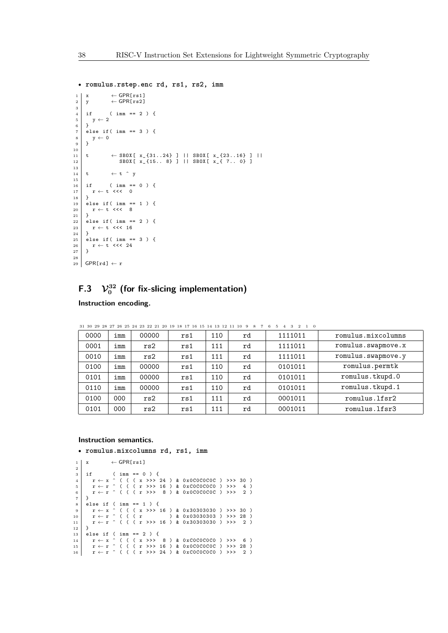```
• romulus.rstep.enc rd, rs1, rs2, imm
 \begin{array}{ccc} 1 & x & \leftarrow \text{GPR}[\text{rs1}] \\ 2 & y & \leftarrow \text{GPR}[\text{rs2}] \end{array}y \leftarrow GPR[rs2]3
  \begin{array}{c|cc} 4 & \text{if} & (\text{imm} == 2) & \{5 & y \leftarrow 2 \end{array}6 \mid }
 \begin{array}{c} 7 \ 8 \ 1 \ 1 \ 1 \end{array} else if ( imm == 3 ) {
  \begin{array}{c} 8 \\ 9 \end{array} y \leftarrow 0
\begin{array}{c} 10 \\ 11 \end{array}11 t ← SBOX [ x {31..24} ] || SBOX [ x {23..16} ] ||<br>
SBOX [ x {15.. 8} ] || SBOX [ x { 7.. 0} ]
                               SBOX [ x_{-}{15.. 8} ] || SBOX [ x_{-}{ 7.. 0} ]
13
14 t ← t \uparrow y
\begin{array}{c} 15 \\ 16 \end{array}16 if ( imm == 0 ) {<br>17 if r \leftarrow t <<< 0
        r \leftarrow t \iff 018 }
        else if ( imm == 1 ) {
20 r ← t <<< 8
21 }
22 else if ( imm == 2 ) {<br>
23 r \leftarrow t <<< 16
\begin{array}{c|c}\n 23 & \text{r} \leftarrow \text{t} & \text{<<} & 16 \\
 24 & \text{t} & \text{)}\n \end{array}25 else if ( imm == 3 ) {<br>
26 r \leftarrow t <<< 24<br>
27 }
\begin{array}{c|c} 28 \\ 29 \end{array}GPR[rd] \leftarrow r
```
# **F.3**  $\mathcal{V}_0^{32}$  (for fix-slicing implementation)

**Instruction encoding.**

|      |     | 01 00 47 40 41 40 45 40 44 41 40 17 10 11 10 10 15 10 14 11 10 7 0 1 0 |     |     |    |         |                    |
|------|-----|------------------------------------------------------------------------|-----|-----|----|---------|--------------------|
| 0000 | imm | 00000                                                                  | rs1 | 110 | rd | 1111011 | romulus.mixcolumns |
| 0001 | imm | rs2                                                                    | rs1 | 111 | rd | 1111011 | romulus.swapmove.x |
| 0010 | imm | rs2                                                                    | rs1 | 111 | rd | 1111011 | romulus.swapmove.y |
| 0100 | imm | 00000                                                                  | rs1 | 110 | rd | 0101011 | romulus.permtk     |
| 0101 | imm | 00000                                                                  | rs1 | 110 | rd | 0101011 | romulus.tkupd.0    |
| 0110 | imm | 00000                                                                  | rs1 | 110 | rd | 0101011 | romulus.tkupd.1    |
| 0100 | 000 | rs2                                                                    | rs1 | 111 | rd | 0001011 | romulus.lfsr2      |
| 0101 | 000 | rs2                                                                    | rs1 | 111 | rd | 0001011 | romulus.lfsr3      |

31 30 29 28 27 26 25 24 23 22 21 20 19 18 17 16 15 14 13 12 11 10 9 8 7 6 5 4 3 2 1 0

**Instruction semantics.**

• **romulus.mixcolumns rd, rs1, imm**

```
1 \mid x \leftarrow GPR[rs1]\begin{array}{c} 2 \\ 3 \end{array}3 if ( imm == 0 ) {<br>
5 r ← x ^ ( ( ( x >>> 24 ) & 0x0C0C0C0C0 ) >>> 30 )<br>
5 r ← r ^ ( ( ( r >>> 8 ) & 0x0C0C0C0C0 ) >>> 2 )
 \frac{1}{7} }
8 else if ( imm == 1 ) {<br>
9 r ← x ^ ( ( ( x >>> 16 ) & 0 x30303030 ) >>> 30 )<br>
10 r ← r ^ ( ( ( r >>> 16 ) & 0 x3030303030 ) >>> 2 )
12 }
13 else if ( imm == 2 ) {<br>
14 r ← r ^ ( ( ( x >>> 16 ) & 0 xC0C0C0C0 ) >>> 6 )<br>
15 r ← r ^ ( ( ( r >>> 24 ) & 0 xC0C0C0C0C0 ) >>> 2 )
```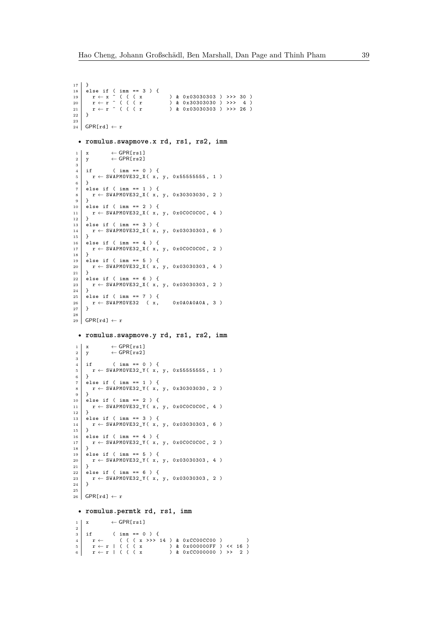```
\begin{array}{c|c} 17 & \rightarrow \\ 18 & \in \end{array}18 else if ( imm == 3 ) {<br>
19 r \leftarrow x \stackrel{\frown}{=} (\text{ } (\text{ } x<br>
20 r \leftarrow r \stackrel{\frown}{=} (\text{ } (\text{ } r<br>
r \leftarrow r \stackrel{\frown}{=} (\text{ } (\text{ } r19 r \leftarrow x \land ((x \land x) \land 0 \times 0303030303) \rightarrow 0 \times 30<br>
20 r \leftarrow r \land ((x \land x) \land 0 \times 303030303) \rightarrow 0 \times 3020 r \leftarrow r ^ ( ( ( r ) & 0 x 30303030 ) >>> 4 )<br>21 r \leftarrow r ^ ( ( ( r ) & 0 x 0 30303030 ) >>> 26 )
                                                            (x + 0)(x - 0) (x + 0)(x - 0)22 \mid }
23
24 GPR[rd] \leftarrow r
  • romulus.swapmove.x rd, rs1, rs2, imm
 1 \mid x \mid \leftarrow \text{GPR}[\text{rs1}]2 \mid y \leftarrow \text{GPR}[\text{rs2}]3
 4 if ( imm == 0 ) {<br>
\begin{array}{c} \text{if} \\ \text{if} \\ \text{if} \leftarrow \text{SWAPMOWE32\_X} \left( \begin{array}{c} x \end{array} \right) \end{array}\begin{array}{c|cc}\n5 & r \leftarrow \text{SWAPMOVE32\_X(}x, y, 0x55555555, 1)\n\end{array}\rightarrow7 else if ( imm == 1 ) {
8 r ← SWAPMOVE32_X ( x , y , 0 x30303030 , 2 )
9 }<br>10 else if ( imm == 2 ) {<br>11 }<br>12 }
13 else if ( imm == 3 ) {<br>
14 r ← SWAPMOVE32_X( x, y, 0x03030303, 6 )<br>
15 }
16 else if ( imm == 4 ) {<br>17 r \leftarrow SWAPMOVE32 X( x,
       r \leftarrow \texttt{SWAPMOWE32_X(} x, y, 0 x00000000, 2 )18 }
       \epsilon else if ( imm == 5 ) {
\begin{array}{c|ccccc}\n 20 & & r & \text{SWAPMOVE32_X(}x, y, 0x03030303, 4)\n \end{array}\begin{array}{c|c} 21 & 3 \\ 22 & 6 \end{array}22 else if ( imm == 6 ) {<br>
23 \t r \leftarrow SWAPMOVE32 X( x,
       r \leftarrow SWAPMOVE32_X(x, y, 0x03030303, 2)
\frac{24}{25}25 else if ( imm == 7 ) {
26 r ← SWAPMOVE32 ( x , 0 x0A0A0A0A , 3 )
27 }
28
29 GPR[rd] \leftarrow r
   • romulus.swapmove.y rd, rs1, rs2, imm
 \begin{array}{ccc} 1 & x & \leftarrow \text{GPR}[\text{rs1}] \\ 2 & y & \leftarrow \text{GPR}[\text{rs2}] \end{array}y \leftarrow GPR[rs2]3
  4 | if ( imm == 0 ) {<br>5 |   r ← SWAPMOVE32_Y( x, y, 0x555555555, 1 )
 \begin{array}{c|c} 6 & \rightarrow \\ 7 & \in \end{array}\begin{array}{c} 7 \ 7 \ 8 \end{array} else if ( imm == 1 ) {<br>8 \begin{array}{c} \text{r} \leftarrow \text{SWAPMOWE32 Y( x, )} \end{array}r \leftarrow SWAPMOVE32_Y(x, y, 0x30303030, 2)
\begin{array}{c|c} 9 & 3 \\ 10 & 6 \end{array}10 else if ( imm == 2 ) {
         r \leftarrow SWAPMOVE32_Y(x, y, 0x0C0C0C0C, 4)
12 }
13 else if ( imm == 3 ) {
14 r \leftarrow \text{SWAPMOWE32}_Y(x, y, 0x03030303, 6)15 }<br>16 else if ( imm == 4 ) {
16 else if ( imm == 4 ) {<br>17 r ← SWAPMOVE32_Y( x, y, 0x0C0C0C0C, 2 )<br>18 }
19 else if ( imm == 5 ) {<br>20 r ← SWAPMOVE32_Y( x, y, 0x03030303, 4 )<br>21 }
22 else if ( imm == 6 ) {<br>
23 r ← SWAPMOVE32_Y( x, y, 0x03030303, 2 )<br>
24 }
25
26 GPR[rd] \leftarrow r
   • romulus.permtk rd, rs1, imm
 1 \mid x \mid \leftarrow \text{GPR}[\text{rs1}]2
 3 if ( imm == 0 ) {<br>4 if ( ( ( x >>> 1
  4 r ← ( ( ( x >>> 14 ) & 0xCC00CC00 ) )<br>
r ← r | ( ( ( x ) & 0x000000FF ) << 16 )<br>
r ← r | ( ( ( x ) & 0xCC000000 ) >> 2 )
```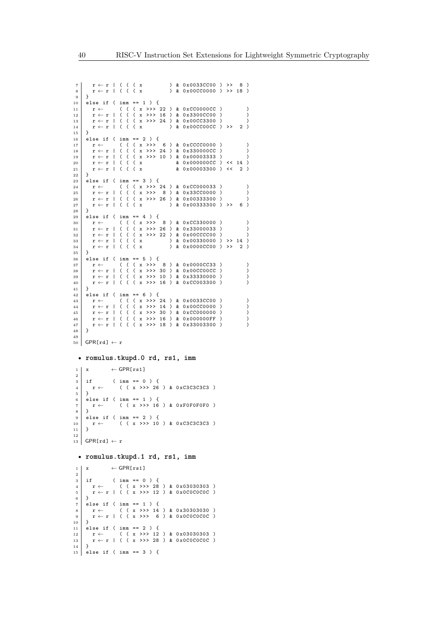```
7 r ← r | ( ( ( x ) & 0x0033CC00 ) >> 8 )<br>8 r ← r | ( ( ( x ) & 0x00CC0000 ) >> 18 )
\begin{array}{c|c} 9 & \rightarrow \\ 10 & \neq \end{array}10 else if ( imm == 1 ) {<br>11 r \leftarrow ( ( ( x >>>
11 r ← ( ( ( x >>> 22 ) & 0 xCC0000CC ) )<br>
12 r ← r | ( ( ( x >>> 16 ) & 0 x3300CC00 ) )<br>
13 r ← r | ( ( ( x >>> 24 ) & 0 x00CC3300 ) )
14 r \leftarrow r | ( ( ( x ) & 0x00CC00CC ) >> 2 )
\begin{array}{c|c} 15 & 3 \\ 16 & 6 \end{array}16 else if ( imm == 2 ) {<br>17 r \leftarrow ( ( ( x >>>
17 r \leftarrow ( ( ( x >>> 6 ) & 0 xCCCC0000 ) )<br>
18 r \leftarrow r | ( ( ( x >>> 24 ) & 0 x 330000CC ) )<br>
19 r \leftarrow r | ( ( ( x >>> 10 ) & 0 x 00003333 ) )
20 r ← r | ( ( ( x & 0 x000000CC ) << 14 )
21 r ← r | ( ( ( x & 0 x00003300 ) << 2 )
22 }
23 else if ( imm == 3 ) {<br>
24 r ← ( ( ( x >>> 24 ) & 0 x CC000033 ) )<br>
1 ← r | ( ( ( x >>> 8 ) & 0 x 0333300 ) )<br>
1 ← r | ( ( ( x ) & 0 x00333300 ) >> 6 )
\begin{array}{c|c} 28 & \rightarrow \\ 29 & \infty \end{array}29 else if ( imm == 4 ) {<br>30 r ← ( ( ( x >>> 26 ) & 0 x CC330000 ) )<br>32 r ← r | ( ( ( x >>> 22 ) & 0 x 00CCCC00 ) )
33 r \leftarrow r | ( ( ( x ) & 0 x00330000 ) >> 14 )<br>34 r \leftarrow r | ( ( ( x ) & 0 x0000CC00 ) >> 2 )
34 r ← r | ( ( ( x ) & 0 x0000CC00 ) >> 2 )
\begin{array}{c} 35 \\ 36 \end{array}else if ( imm == 5 ) {
37 r ← ( ( ( x >>> 8 ) & 0x0000CC33 ) )<br>38 r ← r | ( ( ( x >>> 30 ) & 0x00CC00CC ) )
39 r ← r | ( ( ( x >>> 10 ) & 0 x33330000 ) )
      r \leftarrow r | ( ( ( x >>> 16 ) & 0xCC003300 )
\frac{41}{42}42 else if ( imm == 6 ) {<br>
43 r ← ( ( ( x >>> 24 ) & 0x0033CC00 ) )<br>
r + r | ( ( ( x >>> 14 ) & 0x00CC0000 ) )
45 r ← r | ( ( ( x >>> 30 ) & 0 xCC000000 ) )
46 r ← r | ( ( ( x >>> 16 ) & 0 x000000FF ) )
47 r \leftarrow r | ( ( ( x >>> 18 ) & 0x33003300 )
48 }
49
50 GPR[rd] \leftarrow r
  • romulus.tkupd.0 rd, rs1, imm
 1 \mid x \mid \leftarrow \text{GPR}[\text{rs1}]2
  3 if ( imm == 0 ) {<br>4 r ← ( ( x >>> 26 ) & 0xC3C3C3C3 )
 \frac{1}{5} }
  6 else if ( imm == 1 ) {<br>
7 r \leftarrow ( ( x >>> 16 ) & 0xF0F0F0F0 )
 \begin{array}{c|c} 8 & \rightarrow \\ 9 & \rightarrow \end{array}9 else if ( imm == 2 ) {<br>10 r \leftarrow ( ( x >>> 10
                       ( ( (x \rightarrow) 10 ) & 0 xC3C3C3C3 )
\frac{1}{11} }
12
\begin{array}{c} 12 \\ 13 \end{array} GPR[rd] \leftarrow r
  • romulus.tkupd.1 rd, rs1, imm
 1 \mid x \leftarrow GPR[rs1]2
 3 \mid if ( imm == 0 ) {
  4 r ← ( ( x >>> 28 ) & 0x03030303 )<br>5 r ← r | ( ( x >>> 12 ) & 0x0C0C0C0C )
 6 \mid }
 \begin{array}{c} 7 \ \hline 8 \ \hline \end{array} else if ( imm == 1 ) {<br>8 r \leftarrow ( ( x >>> 14
  \begin{array}{c|c|c|c|c|c|c|c|c} s & r & \left( & (x & \text{>>} & 14 \text{ ) & & 0x30303030} \right) & & & & & & & \\ \hline \end{array}10 \mid \lambda11 else if ( imm == 2 ) {<br>
12 r ← ( ( x >>> 12 ) & 0x03030303 )<br>
13 r ← r | ( ( x >>> 28 ) & 0x0C0C0C0C )
\overline{14} }
15 else if ( imm == 3 ) {
```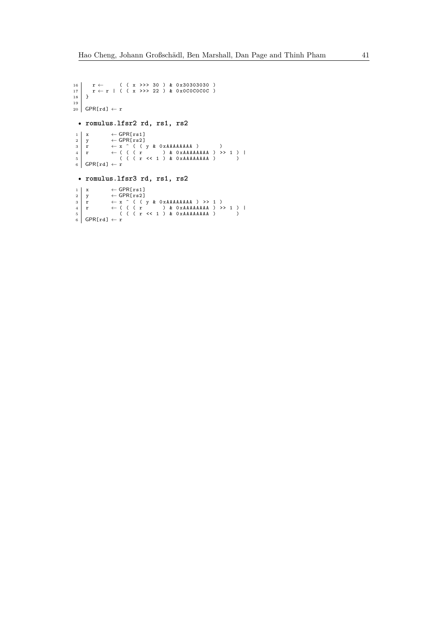```
16 r \leftarrow ( ( x >>> 30 ) & 0x30303030 )<br>
17 + r | ( ( x >>> 22 ) & 0x0C0C0C0C )<br>
18 }
19
\begin{array}{c} 15 \\ 20 \end{array} GPR[rd] \leftarrow r
 • romulus.lfsr2 rd, rs1, rs2
   1 x ← GPR[rs1]<br>
2 y ← GPR[rs2]<br>
r ← x ^ ( ( y & 0 xAAAAAAAAA ) )<br>
4 r ← ( ( ( r << 1 ) & 0 xAAAAAAAAA ) >> 1 ) |<br>
5 ( ( ( r << 1 ) & 0 xAAAAAAAAA ) )<br>
6 GPR[rd] ← r
   • romulus.lfsr3 rd, rs1, rs2
   1 x ← GPR[rs1]<br>
2 y ← GPR[rs2]<br>
r ← x ^ ( ( y & 0xAAAAAAAAA ) >> 1 )<br>
4 r ← ( ( ( r << 1 ) & 0xAAAAAAAAA ) >> 1 ) |<br>
5 ( ( ( r << 1 ) & 0xAAAAAAAAA ) )<br>
6 GPR[rd] ← r
```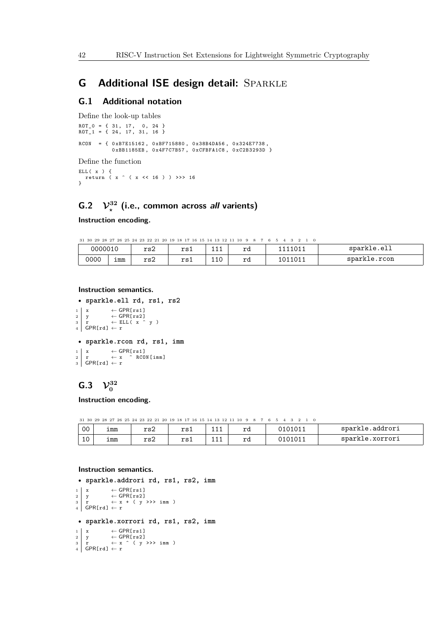## <span id="page-41-0"></span>**G** Additional ISE design detail: SPARKLE

### **G.1 Additional notation**

```
Define the look-up tables
ROT_0 = { 31 , 17 , 0 , 24 }
ROT_1 = { 24 , 17 , 31 , 16 }
RCON = { 0xB7E15162, 0xBF715880, 0x38B4D456, 0x324E7738, }0xBB1185EB, 0x4F7C7B57, 0xCFBFA1C8, 0xC2B3293D }
Define the function
ELL ( x ) {
return ( x ^ ( x << 16 ) ) >>> 16
}
```
# **G.2**  $\mathcal{V}_{\star}^{32}$  (i.e., common across all varients)

### **Instruction encoding.**

```
31\ 30\ 29\ 28\ 27\ 26\ 25\ 24\ 23\ 22\ 21\ 20\ 19\ 18\ 17\ 16\ 15\ 14\ 13\ 12\ 11\ 10\ 9\ 8\ 7\ 6\ 5\ 4\ 3\ 2\ 1\ 0
```

| 0000010 |     | -<br>20 <sup>2</sup><br>⊥ಎ∠ | $r_{\rm c}$<br>ᆠᅌᆠ  | <u>.</u>     | $\mathbf{r}$<br>⊥u | 11011   | spark<br>ert<br>≏           |
|---------|-----|-----------------------------|---------------------|--------------|--------------------|---------|-----------------------------|
| 0000    | imm | -<br>20 <sup>2</sup><br>ᆂᅙᅎ | $\mathbf{r}$<br>ᆠᅌᆠ | $\sim$<br>ᆠᆠ | $\mathbf{r}$<br>⊥u | 1011011 | spark<br>rcon<br>$\epsilon$ |

#### **Instruction semantics.**

```
• sparkle.ell rd, rs1, rs2
\begin{array}{ccc} 1 & x & \leftarrow \text{GPR}[\text{rs1}] \\ 2 & y & \leftarrow \text{GPR}[\text{rs2}] \end{array}\leftarrow GPR[rs2]
 \begin{array}{ccc} 3 & r & \leftarrow \text{ELL}([x \cap y])\ 4 & \text{GPR[rd]} \leftarrow r \end{array}• sparkle.rcon rd, rs1, imm
\begin{array}{cc} 1 & x \\ 2 & x \end{array} \leftarrow \text{GPR}[\text{rs1}]\begin{array}{ccc} 2 & r & \leftarrow x & \hat{ } & \text{RCON [imm]} \\ 3 & \text{GPR[rd]} & \leftarrow r & \end{array}
```
# **G.3**  $V_0^{32}$

**Instruction encoding.**

|    | 31 30 29 28 27 26 25 24 23 22 21 20 19 18 17 16 15 14 13 12 11 10 9 8 7 6 5 4 |     |     |    |         |                 |
|----|-------------------------------------------------------------------------------|-----|-----|----|---------|-----------------|
| 00 | imm                                                                           | rs2 | rs1 | rd | 0101011 | sparkle.addrori |
| 10 | imm                                                                           | rs2 | rs1 | rd | 0101011 | sparkle.xorrori |

```
• sparkle.addrori rd, rs1, rs2, imm
\begin{array}{ccc} 1 & x & \leftarrow \text{GPR}[\text{rs1}] \\ 2 & y & \leftarrow \text{GPR}[\text{rs2}] \end{array}\begin{array}{lll} 2 & y & \leftarrow \text{GPR}[\text{rs}2] \ 3 & r & \leftarrow x + (y \rightarrow\rightarrow \text{imm}) \ 4 & \text{GPR}[\text{rd}] & \leftarrow r \end{array}• sparkle.xorrori rd, rs1, rs2, imm
1 \mid x \leftarrow \text{GPR}[\text{rs1}]\begin{array}{lll} 2 & y & \leftarrow \text{GPR}[\text{rs}2] \ 3 & r & \leftarrow x \quad (y \rightarrow\rightarrow \text{imm}) \ 4 & \text{GPR}[\text{rd}] \leftarrow r \end{array}
```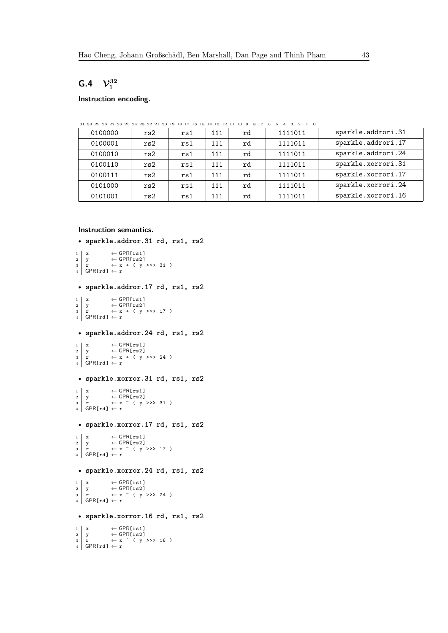# **G.4**  $V_1^{32}$

```
Instruction encoding.
```

| 0100000 | rs2 | rs1 | 111 | rd | 1111011 | sparkle.addrori.31 |
|---------|-----|-----|-----|----|---------|--------------------|
| 0100001 | rs2 | rs1 | 111 | rd | 1111011 | sparkle.addrori.17 |
| 0100010 | rs2 | rs1 | 111 | rd | 1111011 | sparkle.addrori.24 |
| 0100110 | rs2 | rs1 | 111 | rd | 1111011 | sparkle.xorrori.31 |
| 0100111 | rs2 | rs1 | 111 | rd | 1111011 | sparkle.xorrori.17 |
| 0101000 | rs2 | rs1 | 111 | rd | 1111011 | sparkle.xorrori.24 |
| 0101001 | rs2 | rs1 | 111 | rd | 1111011 | sparkle.xorrori.16 |
|         |     |     |     |    |         |                    |

 $31\ 30\ 29\ 28\ 27\ 26\ 25\ 24\ 23\ 22\ 21\ 20\ 19\ 18\ 17\ 16\ 15\ 14\ 13\ 12\ 11\ 10\ 9\ 8\ 7\ 6\ 5\ 4\ 3\ 2\ 1\ 0$ 

```
• sparkle.addror.31 rd, rs1, rs2
\begin{array}{lll} 1 & x & \leftarrow \text{GPR}[\text{rs1}] \ 1 & y & \leftarrow \text{GPR}[\text{rs2}] \ 2 & x & \leftarrow x + (y \rightarrow\rightarrow\rightarrow 31) \ \text{GPR}[\text{rd}] & \leftarrow x \end{array}
```

```
• sparkle.addror.17 rd, rs1, rs2
 \begin{array}{lll} \text{1} & \text{x} & \leftarrow \text{GPR} \text{[rs1]} \ \text{y} & \leftarrow \text{GPR} \text{[rs2]} \ \text{r} & \leftarrow \text{x} + ( \text{ y } \text{ >> } \text{ 17 } ) \ \text{GPR} \text{[rd]} & \leftarrow \text{x} \end{array}• sparkle.addror.24 rd, rs1, rs2
1 \mid x \leftrightarrow GPR[rs1]\begin{array}{lll} 2 & y & \leftarrow \text{GPR}[\text{rs}2] & & \ & 3 & r & \leftarrow x + (y \rightarrow\rightarrow\rightarrow 24) & \ & 4 & \text{GPR}[\text{rd}] & \leftarrow r & & \end{array}• sparkle.xorror.31 rd, rs1, rs2
1 \mid x \leftarrow \text{GPR}[\text{rs1}]\begin{array}{lll} 2 & y & \leftarrow \text{GPR[rs2]} \\ 3 & r & \leftarrow x \quad (y \rightarrow\rightarrow\rightarrow 31) \\ 4 & \text{GPR[rd]} & \leftarrow r \end{array}• sparkle.xorror.17 rd, rs1, rs2
1 \mid x \leftarrow GPR[rs1]\begin{array}{lll} 2 & y & \leftarrow \text{GPR[rs2]} \\ 3 & r & \leftarrow x \quad (y \rightarrow\rightarrow 17) \\ 4 & \text{GPR[rd]} & \leftarrow r \end{array}• sparkle.xorror.24 rd, rs1, rs2
```

```
\begin{array}{llll} 1 & x & \leftarrow \text{GPR}[\text{rs1}] \\ 2 & y & \leftarrow \text{GPR}[\text{rs2}] \\ 3 & r & \leftarrow x \quad ( \quad y \quad \rightarrow \rightarrow \quad 24 \quad ) \\ 4 & \text{GPR}[\text{rd}] \leftarrow r & \end{array}• sparkle.xorror.16 rd, rs1, rs2
```

```
\begin{array}{lll} 1 & x & \leftarrow \text{GPR}[\text{rs1}] \ y & \leftarrow \text{GPR}[\text{rs2}] \ \text{r} & \leftarrow x \quad ( \text{ y } >> \text{ 16 } ) \ \text{GPR}[\text{rd}] & \leftarrow \text{r} \end{array}
```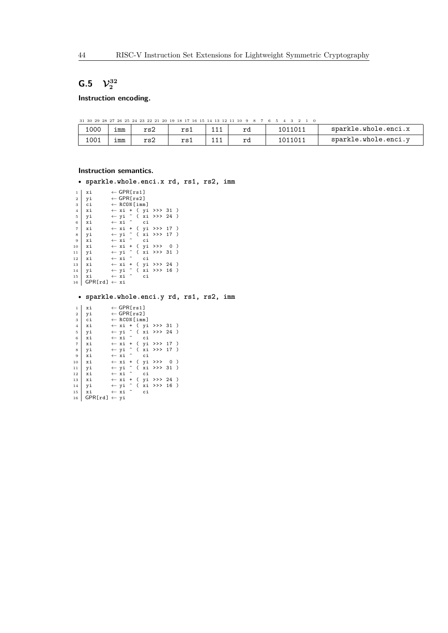# **G.5**  $V_2^{32}$

**Instruction encoding.**

```
31\ 30\ 29\ 28\ 27\ 26\ 25\ 24\ 23\ 22\ 21\ 20\ 19\ 18\ 17\ 16\ 15\ 14\ 13\ 12\ 11\ 10\ 9\ 8\ 7\ 6\ 5\ 4\ 3\ 2\ 1\ 0
```

| 1000 | imm | rc.<br>⊥ ⊃∠ | 22<br>ᅩᇰᅩ | - - - | r. | 101101<br>- נטו | snark<br>.whole.enci.x<br>∵le. |
|------|-----|-------------|-----------|-------|----|-----------------|--------------------------------|
| 1001 | imm | rc'<br>⊥ ⊃∠ | rs1       | - - - | rd | 1011011         | sparkle.whole.enci.            |

#### **Instruction semantics.**

• **sparkle.whole.enci.x rd, rs1, rs2, imm**

| $\mathbf{1}$   | хi                      | $\leftarrow$ GPR[rs1]     |  |    |                                       |  |  |
|----------------|-------------------------|---------------------------|--|----|---------------------------------------|--|--|
| $\overline{2}$ | yi                      | $\leftarrow$ GPR[rs2]     |  |    |                                       |  |  |
| 3              | сi                      | $\leftarrow$ RCON [imm]   |  |    |                                       |  |  |
| $\overline{4}$ | хi                      |                           |  |    | $\leftarrow$ xi + ( yi >>> 31 )       |  |  |
| 5              | vi                      |                           |  |    | $\leftarrow$ yi $\hat{ }$ (xi >>> 24) |  |  |
| 6              | хi                      | $\leftarrow$ xi $\hat{ }$ |  | сi |                                       |  |  |
| $\overline{7}$ | хi                      |                           |  |    | ← xi + ( yi >>> 17 )                  |  |  |
| 8              | уi                      |                           |  |    | $\leftarrow$ yi ^ ( xi >>> 17 )       |  |  |
| 9              | хi                      | $\leftarrow$ xi $\hat{ }$ |  | сi |                                       |  |  |
| 10             | хi                      |                           |  |    | ← xi + ( yi >>> 0 )                   |  |  |
| 11             | yi                      |                           |  |    | $\leftarrow$ yi ^ ( xi >>> 31 )       |  |  |
| $12\,$         | хi                      | $\leftarrow$ xi $\hat{ }$ |  | сi |                                       |  |  |
| 13             | хi                      |                           |  |    | $\leftarrow$ xi + ( yi >>> 24 )       |  |  |
| 14             | yi                      |                           |  |    | $\leftarrow$ yi ^ ( xi >>> 16 )       |  |  |
| 15             | хi                      | $\leftarrow$ xi $\hat{ }$ |  | сi |                                       |  |  |
| 16             | $GPR[rd] \leftarrow xi$ |                           |  |    |                                       |  |  |
|                |                         |                           |  |    |                                       |  |  |

### • **sparkle.whole.enci.y rd, rs1, rs2, imm**

| $\mathbf{1}$   | хi      |      | $\leftarrow$ GPR[rs1]   |                     |          |    |                                       |               |
|----------------|---------|------|-------------------------|---------------------|----------|----|---------------------------------------|---------------|
| $\overline{2}$ | уi      |      | $\leftarrow$ GPR[rs2]   |                     |          |    |                                       |               |
| 3              | сi      |      | $\leftarrow$ RCON [imm] |                     |          |    |                                       |               |
| $\overline{4}$ | хi      |      |                         |                     |          |    | ← xi + ( yi >>> 31 )                  |               |
| 5              | уi      |      |                         |                     |          |    | $\leftarrow$ yi ^ ( xi >>> 24 )       |               |
| 6              | хi      |      | ← xi ^                  |                     |          | ci |                                       |               |
| $\overline{7}$ | хi      |      |                         |                     |          |    | ← xi + ( yi >>> 17 )                  |               |
| 8              | yi      |      |                         |                     |          |    | $\leftarrow$ yi ^ ( xi >>> 17 )       |               |
| 9              | хi      |      | ← xi                    |                     |          | ci |                                       |               |
| 10             | хi      |      |                         |                     |          |    | ← xi + ( yi >>>                       | $\rightarrow$ |
| 11             | yi      |      |                         |                     |          |    | $\leftarrow$ yi $\hat{ }$ ( xi >>> 31 | $\rightarrow$ |
| 12             | хi      |      | ← xi                    |                     |          | сi |                                       |               |
| 13             | хi      |      | ← xi                    |                     |          |    | + ( yi >>> 24 )                       |               |
| 14             | уi      |      | ← yi                    | $\hat{\phantom{a}}$ | $\left($ |    | xi >>> 16                             | $\rightarrow$ |
| 15             | хi      |      | ← xi                    |                     |          | сi |                                       |               |
| 16             | GPR[rd] | ← vi |                         |                     |          |    |                                       |               |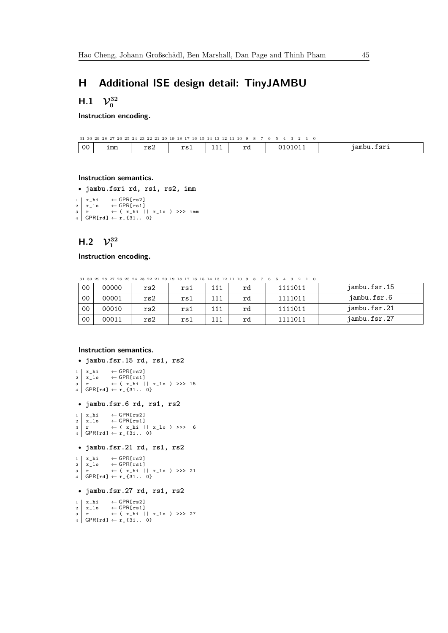## <span id="page-44-0"></span>**H Additional ISE design detail: TinyJAMBU**

# **H.1**  $\mathcal{V}_0^{32}$

**Instruction encoding.**

|                 | 31 30 29 28 27 26 25 24 23 22 21 20 19 18 17 16 15 14 13 12 13 |                        |                 |       | 11 10 9                                               |               |
|-----------------|----------------------------------------------------------------|------------------------|-----------------|-------|-------------------------------------------------------|---------------|
| 00 <sub>o</sub> | imm                                                            | $\sim$ $\sim$<br>⊥ ⊃∠. | $\sim$<br>⊥ د ⊥ | - - - | $\mathbf{r}$<br>⊥ч<br>the contract of the contract of | fsr<br>≐amhi. |

### **Instruction semantics.**

```
• jambu.fsri rd, rs1, rs2, imm
```

```
1 x_hi ← GPR[rs2]<br>3 x_lo ← GPR[rs1]<br>3 r ← ( x_hi || x_lo ) >>> imm<br>4 GPR[rd] ← r_{31.. 0}
```
# **H.2**  $\mathcal{V}_1^{32}$

#### **Instruction encoding.**

01231 3029 2827 2625 2423 2221 2019 1817 1615 1413 1211 10 9 8 7 6 5 4 3 2 1 0

| 00 | 00000 | rs2 | rs1 | 111 | rd | 1111011 | jambu.fsr.15 |
|----|-------|-----|-----|-----|----|---------|--------------|
| 00 | 00001 | rs2 | rs1 | 111 | rd | 1111011 | jambu.fsr.6  |
| 00 | 00010 | rs2 | rs1 | 111 | rd | 1111011 | jambu.fsr.21 |
| 00 | 00011 | rs2 | rs1 | 111 | rd | 1111011 | jambu.fsr.27 |

#### **Instruction semantics.**

```
• jambu.fsr.15 rd, rs1, rs2
```

```
1 \mid x_hi ← GPR[rs2]
```
2 x\_1o ← GPR[rs1]<br>3 r ← ( x\_hi || x\_1o ) >>> 15<br>4 GPR[rd] ← r\_{31.. 0}

#### • **jambu.fsr.6 rd, rs1, rs2**

```
1 \mid x_{h} ← GPR[rs2]
2 x_1o ← GPR[rs1]<br>3 r ← ( x_hi || x_1o ) >>> 6<br>4 GPR[rd] ← r_{31.. 0}
```
### • **jambu.fsr.21 rd, rs1, rs2**

```
1 x_hi ← GPR[rs2]<br>
2 x_lo ← GPR[rs1]<br>
3 r ← ( x_hi || x_lo ) >>> 21<br>
4 GPR[rd] ← r_{31.. 0}
```
### • **jambu.fsr.27 rd, rs1, rs2**

```
1 \mid x_{h} ← GPR[rs2]
```

```
2 x_1o ← GPR[rs1]<br>3 r ← ( x_hi || x_1o ) >>> 27<br>4 GPR[rd] ← r_{31.. 0}
```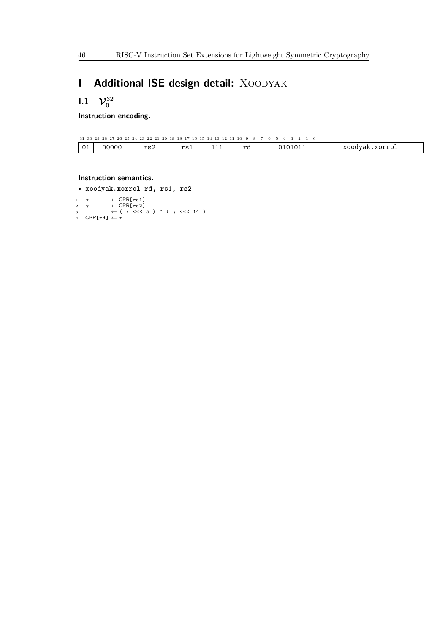# <span id="page-45-0"></span>**I Additional ISE design detail: XOODYAK**

**1.1**  $V_0^{32}$ 

**Instruction encoding.**

|    |       |     |     |              | 31 30 29 28 27 26 25 24 23 22 21 20 19 18 17 16 15 14 13 12 11 10 9 8 7 6 5 4 3 2 1 |                |
|----|-------|-----|-----|--------------|-------------------------------------------------------------------------------------|----------------|
| 01 | 00000 | ກດΩ | 200 | $\mathbf{r}$ | 0101011                                                                             | xoodyak.xorrol |

**Instruction semantics.**

• **xoodyak.xorrol rd, rs1, rs2**

1 x ← GPR[rs1]<br>
3 y ← GPR[rs2]<br>
3 r ← ( x <<< 5 ) ^ ( y <<< 14 )<br>
4 GPR[rd] ← r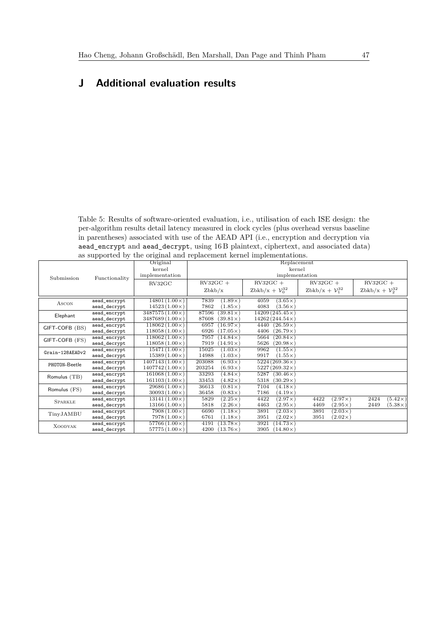## <span id="page-46-0"></span>**J Additional evaluation results**

<span id="page-46-1"></span>Table 5: Results of software-oriented evaluation, i.e., utilisation of each ISE design: the per-algorithm results detail latency measured in clock cycles (plus overhead versus baseline in parentheses) associated with use of the AEAD API (i.e., encryption and decryption via aead\_encrypt and aead\_decrypt, using 16 B plaintext, ciphertext, and associated data) as supported by the original and replacement kernel implementations.

| Submission      | Functionality | Original              | Replacement              |                               |                               |                               |  |
|-----------------|---------------|-----------------------|--------------------------|-------------------------------|-------------------------------|-------------------------------|--|
|                 |               | kernel                | kernel                   |                               |                               |                               |  |
|                 |               | implementation        | implementation           |                               |                               |                               |  |
|                 |               | RV32GC                | $RV32GC +$               | $RV32GC +$                    | $RV32GC +$                    | $RV32GC +$                    |  |
|                 |               |                       | Zbkb/x                   | Zbkb/x + $\mathcal{V}_0^{32}$ | Zbkb/x + $\mathcal{V}_1^{32}$ | Zbkb/x + $\mathcal{V}_2^{32}$ |  |
| ASCON           | aead_encrypt  | $14801(1.00\times)$   | $(1.89\times)$<br>7839   | $(3.65\times)$<br>4059        |                               |                               |  |
|                 | aead_decrypt  | $14523(1.00\times)$   | 7862<br>$(1.85\times)$   | 4083<br>$(3.56\times)$        |                               |                               |  |
| Elephant        | aead_encrypt  | $3487575(1.00\times)$ | 87596<br>$(39.81\times)$ | $14209(245.45\times)$         |                               |                               |  |
|                 | aead_decrypt  | $3487689(1.00\times)$ | 87608<br>$(39.81\times)$ | $14262(244.54\times)$         |                               |                               |  |
| GIFT-COFB (BS)  | aead_encrypt  | $118062(1.00\times)$  | 6957<br>$(16.97\times)$  | 4440<br>$(26.59\times)$       |                               |                               |  |
|                 | aead_decrypt  | $118058(1.00\times)$  | 6926<br>$(17.05\times)$  | 4406<br>$(26.79\times)$       |                               |                               |  |
| GIFT-COFB (FS)  | aead_encrypt  | $118062(1.00\times)$  | 7957<br>$(14.84\times)$  | 5664<br>$(20.84\times)$       |                               |                               |  |
|                 | aead_decrypt  | $118058(1.00\times)$  | 7919<br>$(14.91\times)$  | 5626<br>$(20.98\times)$       |                               |                               |  |
| Grain-128AEADv2 | aead_encrypt  | $15471(1.00\times)$   | $(1.03\times)$<br>15025  | 9962<br>$(1.55\times)$        |                               |                               |  |
|                 | aead_decrypt  | $15389(1.00\times)$   | 14988<br>$(1.03\times)$  | 9917<br>$(1.55\times)$        |                               |                               |  |
| PHOTON-Beetle   | aead_encrypt  | $1407143(1.00\times)$ | 203088<br>$(6.93\times)$ | $5224(269.36\times)$          |                               |                               |  |
|                 | aead_decrypt  | $1407742(1.00\times)$ | 203254<br>$(6.93\times)$ | $5227(269.32\times)$          |                               |                               |  |
| Romulus (TB)    | aead_encrypt  | $161068(1.00\times)$  | $(4.84\times)$<br>33293  | 5287<br>$(30.46\times)$       |                               |                               |  |
|                 | aead_decrypt  | $161103(1.00\times)$  | 33453<br>$(4.82\times)$  | 5318<br>$(30.29\times)$       |                               |                               |  |
| Romulus (FS)    | aead_encrypt  | $29686(1.00\times)$   | 36613<br>$(0.81\times)$  | 7104<br>$(4.18\times)$        |                               |                               |  |
|                 | aead_decrypt  | $30093(1.00\times)$   | 36458<br>$(0.83\times)$  | 7186<br>$(4.19\times)$        |                               |                               |  |
| <b>SPARKLE</b>  | aead_encrypt  | $13141(1.00\times)$   | 5829<br>$(2.25\times)$   | 4422<br>$(2.97\times)$        | $(2.97\times)$<br>4422        | 2424<br>$(5.42\times)$        |  |
|                 | aead_decrypt  | $13166(1.00\times)$   | 5818<br>$(2.26\times)$   | 4463<br>$(2.95\times)$        | 4469<br>$(2.95\times)$        | 2449<br>$(5.38\times)$        |  |
| TinyJAMBU       | aead_encrypt  | $7908(1.00\times)$    | 6690<br>$(1.18\times)$   | 3891<br>$(2.03\times)$        | 3891<br>$(2.03\times)$        |                               |  |
|                 | aead_decrypt  | $7978(1.00\times)$    | 6761<br>$(1.18\times)$   | 3951<br>$(2.02\times)$        | $(2.02\times)$<br>3951        |                               |  |
| <b>XOODYAK</b>  | aead_encrypt  | $57766(1.00\times)$   | 4191<br>$13.78\times$    | $(14.73\times)$<br>3921       |                               |                               |  |
|                 | aead_decrypt  | $57775(1.00\times)$   | $(13.76\times)$<br>4200  | 3905<br>$(14.80\times)$       |                               |                               |  |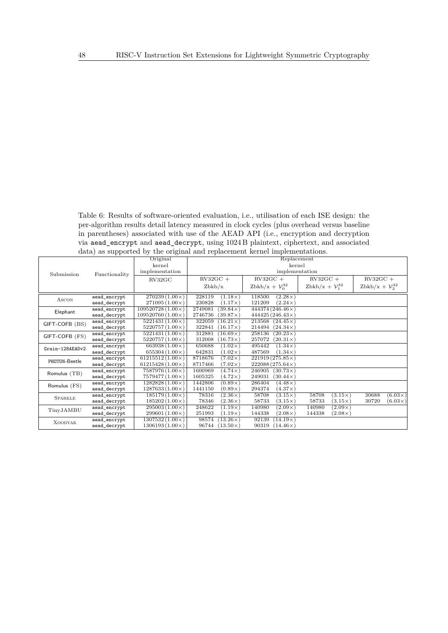<span id="page-47-0"></span>Table 6: Results of software-oriented evaluation, i.e., utilisation of each ISE design: the per-algorithm results detail latency measured in clock cycles (plus overhead versus baseline in parentheses) associated with use of the AEAD API (i.e., encryption and decryption via aead\_encrypt and aead\_decrypt, using 1024 B plaintext, ciphertext, and associated data) as supported by the original and replacement kernel implementations.

| Submission      |               | Original                | Replacement                                          |                               |                               |                               |  |  |
|-----------------|---------------|-------------------------|------------------------------------------------------|-------------------------------|-------------------------------|-------------------------------|--|--|
|                 | Functionality | kernel                  | kernel                                               |                               |                               |                               |  |  |
|                 |               | implementation          | implementation                                       |                               |                               |                               |  |  |
|                 |               |                         | $RV32GC +$<br>$RV32GC +$<br>$RV32GC +$<br>$RV32GC +$ |                               |                               |                               |  |  |
|                 |               | RV32GC                  |                                                      |                               |                               |                               |  |  |
|                 |               |                         | $Z$ bkb/ $x$                                         | Zbkb/x + $\mathcal{V}_0^{32}$ | Zbkb/x + $\mathcal{V}_1^{32}$ | Zbkb/x + $\mathcal{V}_2^{32}$ |  |  |
| <b>ASCON</b>    | aead_encrypt  | $270239(1.00\times)$    | 228119<br>$(1.18\times)$                             | 118500<br>$(2.28\times)$      |                               |                               |  |  |
|                 | aead_decrypt  | $271095(1.00\times)$    | 230828<br>$(1.17\times)$                             | 121209<br>$(2.24\times)$      |                               |                               |  |  |
| Elephant        | aead_encrypt  | $109520728(1.00\times)$ | 2749081<br>$(39.84\times)$                           | $444374(246.46\times)$        |                               |                               |  |  |
|                 | aead_decrypt  | $109520760(1.00\times)$ | 2746736<br>$(39.87\times)$                           | $444425(246.43\times)$        |                               |                               |  |  |
| GIFT-COFB (BS)  | aead_encrypt  | $5221431(1.00\times)$   | 322059<br>$(16.21\times)$                            | 213568<br>$(24.45\times)$     |                               |                               |  |  |
|                 | aead_decrypt  | $5220757(1.00\times)$   | 322841<br>$(16.17\times)$                            | 214494<br>$(24.34\times)$     |                               |                               |  |  |
| GIFT-COFB (FS)  | aead_encrypt  | $5221431(1.00\times)$   | 312881<br>$(16.69\times)$                            | 258136<br>$(20.23\times)$     |                               |                               |  |  |
|                 | aead_decrypt  | $5220757(1.00\times)$   | 312008<br>$(16.73\times)$                            | $(20.31\times)$<br>257072     |                               |                               |  |  |
| Grain-128AEADv2 | aead_encrypt  | $663938(1.00\times)$    | 650688<br>$(1.02\times)$                             | $(1.34\times)$<br>495442      |                               |                               |  |  |
|                 | aead_decrypt  | $655304(1.00\times)$    | 642831<br>$(1.02\times)$                             | 487569<br>$(1.34\times)$      |                               |                               |  |  |
| PHOTON-Beetle   | aead_encrypt  | $61215512(1.00\times)$  | 8718676<br>$(7.02\times)$                            | $221919(275.85\times)$        |                               |                               |  |  |
|                 | aead_decrypt  | $61215428(1.00\times)$  | 8717466<br>$(7.02\times)$                            | $222088(275.64\times)$        |                               |                               |  |  |
| Romulus (TB)    | aead encrypt  | $7587976(1.00\times)$   | 1600969<br>$(4.74\times)$                            | 246905<br>$(30.73\times)$     |                               |                               |  |  |
|                 | aead_decrypt  | $7579477(1.00\times)$   | 1605325<br>$(4.72\times)$                            | 249031<br>$(30.44\times)$     |                               |                               |  |  |
| Romulus (FS)    | aead_encrypt  | $1282828(1.00\times)$   | 1442806<br>$(0.89\times)$                            | 286404<br>$(4.48\times)$      |                               |                               |  |  |
|                 | aead_decrypt  | $1287633(1.00\times)$   | 1441150<br>$(0.89\times)$                            | 294374<br>$(4.37\times)$      |                               |                               |  |  |
| <b>SPARKLE</b>  | aead_encrypt  | $185179(1.00\times)$    | 78316<br>$(2.36\times)$                              | 58708<br>$(3.15\times)$       | 58708<br>$(3.15\times)$       | $(6.03\times)$<br>30688       |  |  |
|                 | aead_decrypt  | $185202(1.00\times)$    | 78346<br>$(2.36\times)$                              | 58733<br>$(3.15\times)$       | 58733<br>$(3.15\times)$       | 30720<br>$(6.03\times)$       |  |  |
| TinyJAMBU       | aead encrypt  | $295003(1.00\times)$    | 248622<br>$(1.19\times)$                             | 140980<br>$(2.09\times)$      | 140980<br>$(2.09\times)$      |                               |  |  |
|                 | aead_decrypt  | $299601(1.00\times)$    | 251993<br>$(1.19\times)$                             | 144338<br>$(2.08\times)$      | 144338<br>$(2.08\times)$      |                               |  |  |
| <b>XOODYAK</b>  | aead_encrypt  | $1307532(1.00\times)$   | 98574<br>$13.26\times$                               | 92139<br>$14.19\times$        |                               |                               |  |  |
|                 | aead_decrypt  | $1306193(1.00\times)$   | 96744<br>$(13.50\times)$                             | 90319<br>$(14.46\times)$      |                               |                               |  |  |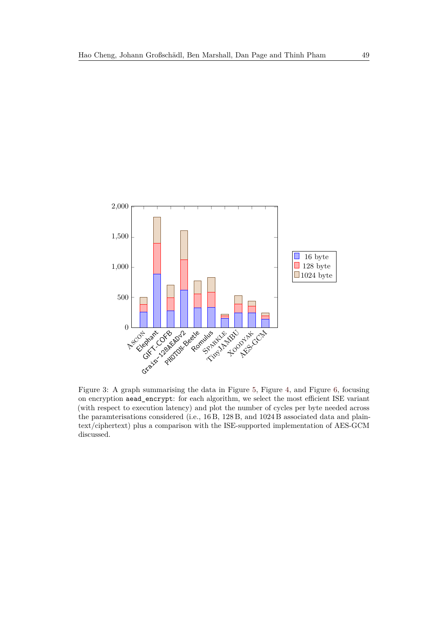

Figure 3: A graph summarising the data in Figure [5,](#page-46-1) Figure [4,](#page-18-1) and Figure [6,](#page-47-0) focusing on encryption aead\_encrypt: for each algorithm, we select the most efficient ISE variant (with respect to execution latency) and plot the number of cycles per byte needed across the paramterisations considered (i.e., 16 B, 128 B, and 1024 B associated data and plaintext/ciphertext) plus a comparison with the ISE-supported implementation of AES-GCM discussed.